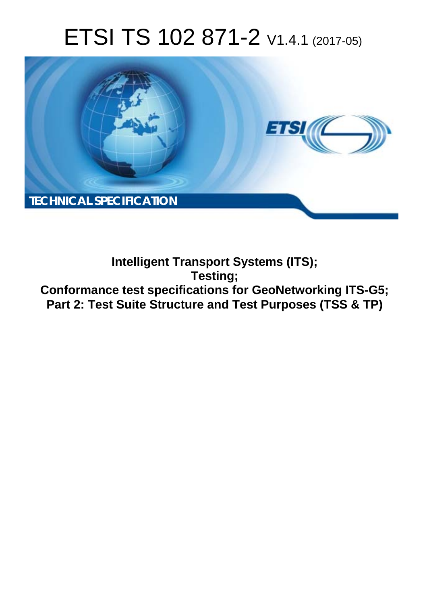# ETSI TS 102 871-2 V1.4.1 (2017-05)



**Intelligent Transport Systems (ITS); Testing; Conformance test specifications for GeoNetworking ITS-G5; Part 2: Test Suite Structure and Test Purposes (TSS & TP)**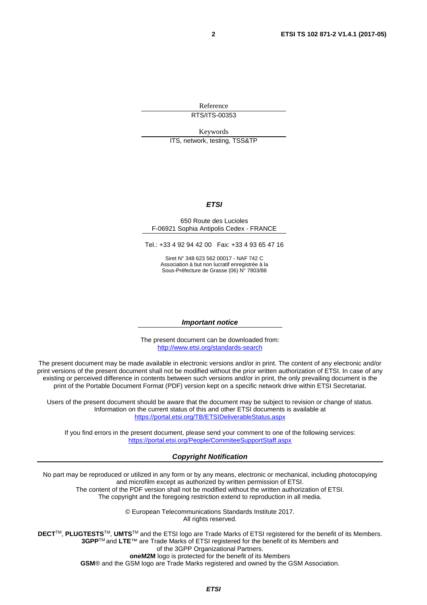Reference RTS/ITS-00353

Keywords

ITS, network, testing, TSS&TP

#### *ETSI*

#### 650 Route des Lucioles F-06921 Sophia Antipolis Cedex - FRANCE

Tel.: +33 4 92 94 42 00 Fax: +33 4 93 65 47 16

Siret N° 348 623 562 00017 - NAF 742 C Association à but non lucratif enregistrée à la Sous-Préfecture de Grasse (06) N° 7803/88

#### *Important notice*

The present document can be downloaded from: <http://www.etsi.org/standards-search>

The present document may be made available in electronic versions and/or in print. The content of any electronic and/or print versions of the present document shall not be modified without the prior written authorization of ETSI. In case of any existing or perceived difference in contents between such versions and/or in print, the only prevailing document is the print of the Portable Document Format (PDF) version kept on a specific network drive within ETSI Secretariat.

Users of the present document should be aware that the document may be subject to revision or change of status. Information on the current status of this and other ETSI documents is available at <https://portal.etsi.org/TB/ETSIDeliverableStatus.aspx>

If you find errors in the present document, please send your comment to one of the following services: <https://portal.etsi.org/People/CommiteeSupportStaff.aspx>

#### *Copyright Notification*

No part may be reproduced or utilized in any form or by any means, electronic or mechanical, including photocopying and microfilm except as authorized by written permission of ETSI.

The content of the PDF version shall not be modified without the written authorization of ETSI. The copyright and the foregoing restriction extend to reproduction in all media.

> © European Telecommunications Standards Institute 2017. All rights reserved.

**DECT**TM, **PLUGTESTS**TM, **UMTS**TM and the ETSI logo are Trade Marks of ETSI registered for the benefit of its Members. **3GPP**TM and **LTE**™ are Trade Marks of ETSI registered for the benefit of its Members and of the 3GPP Organizational Partners.

**oneM2M** logo is protected for the benefit of its Members

**GSM**® and the GSM logo are Trade Marks registered and owned by the GSM Association.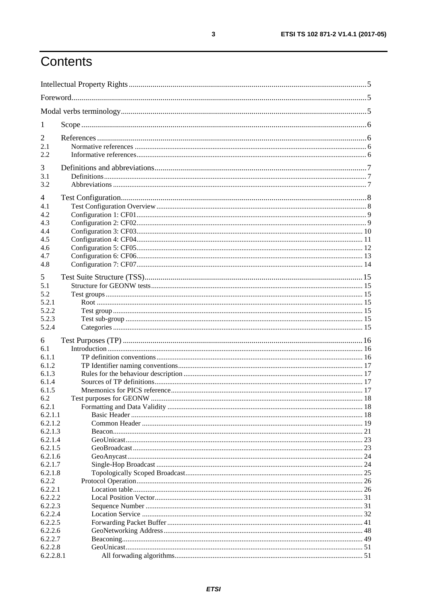# Contents

| 1         |  |    |  |
|-----------|--|----|--|
| 2         |  |    |  |
| 2.1       |  |    |  |
| 2.2       |  |    |  |
| 3         |  |    |  |
| 3.1       |  |    |  |
| 3.2       |  |    |  |
| 4         |  |    |  |
| 4.1       |  |    |  |
| 4.2       |  |    |  |
| 4.3       |  |    |  |
| 4.4       |  |    |  |
| 4.5       |  |    |  |
| 4.6       |  |    |  |
| 4.7       |  |    |  |
| 4.8       |  |    |  |
|           |  |    |  |
| 5         |  |    |  |
| 5.1       |  |    |  |
| 5.2       |  |    |  |
| 5.2.1     |  |    |  |
| 5.2.2     |  |    |  |
| 5.2.3     |  |    |  |
| 5.2.4     |  |    |  |
| 6         |  |    |  |
| 6.1       |  |    |  |
| 6.1.1     |  |    |  |
| 6.1.2     |  |    |  |
| 6.1.3     |  |    |  |
| 6.1.4     |  |    |  |
| 6.1.5     |  |    |  |
| 6.2       |  |    |  |
| 6.2.1     |  |    |  |
| 6.2.1.1   |  |    |  |
| 6.2.1.2   |  |    |  |
| 6.2.1.3   |  |    |  |
| 6.2.1.4   |  |    |  |
| 6.2.1.5   |  |    |  |
| 6.2.1.6   |  | 24 |  |
| 6.2.1.7   |  |    |  |
| 6.2.1.8   |  |    |  |
| 6.2.2     |  |    |  |
| 6.2.2.1   |  |    |  |
| 6.2.2.2   |  |    |  |
| 6.2.2.3   |  |    |  |
| 6.2.2.4   |  |    |  |
| 6.2.2.5   |  |    |  |
| 6.2.2.6   |  |    |  |
| 6.2.2.7   |  |    |  |
| 6.2.2.8   |  |    |  |
| 6.2.2.8.1 |  |    |  |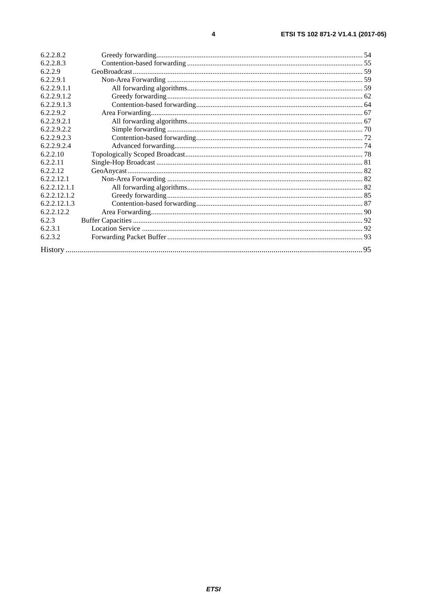| 6.2.2.8.2    |  |  |  |
|--------------|--|--|--|
| 6.2.2.8.3    |  |  |  |
| 6.2.2.9      |  |  |  |
| 6.2.2.9.1    |  |  |  |
| 6.2.2.9.1.1  |  |  |  |
| 6.2.2.9.1.2  |  |  |  |
| 6.2.2.9.1.3  |  |  |  |
| 6.2.2.9.2    |  |  |  |
| 6.2.2.9.2.1  |  |  |  |
| 6.2.2.9.2.2  |  |  |  |
| 6.2.2.9.2.3  |  |  |  |
| 6.2.2.9.2.4  |  |  |  |
| 6.2.2.10     |  |  |  |
| 6.2.2.11     |  |  |  |
| 6.2.2.12     |  |  |  |
| 6.2.2.12.1   |  |  |  |
| 6.2.2.12.1.1 |  |  |  |
| 6.2.2.12.1.2 |  |  |  |
| 6.2.2.12.1.3 |  |  |  |
| 6.2.2.12.2   |  |  |  |
| 6.2.3        |  |  |  |
| 6.2.3.1      |  |  |  |
| 6.2.3.2      |  |  |  |
|              |  |  |  |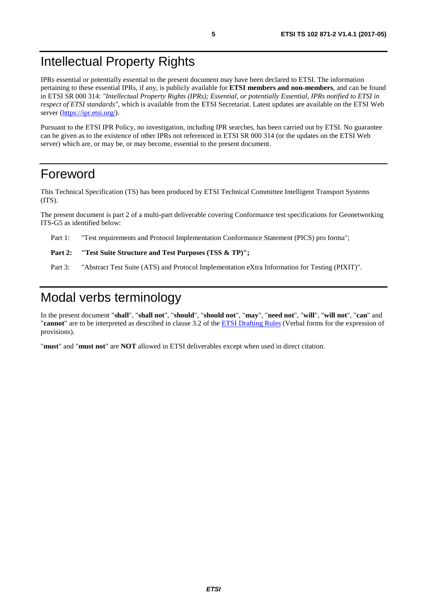### <span id="page-4-0"></span>Intellectual Property Rights

IPRs essential or potentially essential to the present document may have been declared to ETSI. The information pertaining to these essential IPRs, if any, is publicly available for **ETSI members and non-members**, and can be found in ETSI SR 000 314: *"Intellectual Property Rights (IPRs); Essential, or potentially Essential, IPRs notified to ETSI in respect of ETSI standards"*, which is available from the ETSI Secretariat. Latest updates are available on the ETSI Web server (<https://ipr.etsi.org/>).

Pursuant to the ETSI IPR Policy, no investigation, including IPR searches, has been carried out by ETSI. No guarantee can be given as to the existence of other IPRs not referenced in ETSI SR 000 314 (or the updates on the ETSI Web server) which are, or may be, or may become, essential to the present document.

### Foreword

This Technical Specification (TS) has been produced by ETSI Technical Committee Intelligent Transport Systems (ITS).

The present document is part 2 of a multi-part deliverable covering Conformance test specifications for Geonetworking ITS-G5 as identified below:

Part 1: "Test requirements and Protocol Implementation Conformance Statement (PICS) pro forma";

#### **Part 2: "Test Suite Structure and Test Purposes (TSS & TP)";**

Part 3: "Abstract Test Suite (ATS) and Protocol Implementation eXtra Information for Testing (PIXIT)".

### Modal verbs terminology

In the present document "**shall**", "**shall not**", "**should**", "**should not**", "**may**", "**need not**", "**will**", "**will not**", "**can**" and "**cannot**" are to be interpreted as described in clause 3.2 of the [ETSI Drafting Rules](https://portal.etsi.org/Services/editHelp!/Howtostart/ETSIDraftingRules.aspx) (Verbal forms for the expression of provisions).

"**must**" and "**must not**" are **NOT** allowed in ETSI deliverables except when used in direct citation.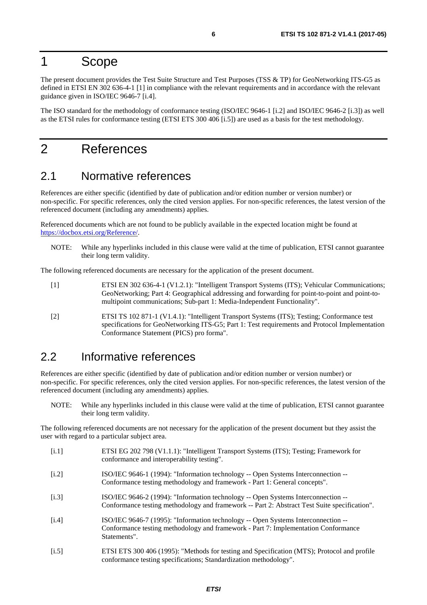### <span id="page-5-0"></span>1 Scope

The present document provides the Test Suite Structure and Test Purposes (TSS & TP) for GeoNetworking ITS-G5 as defined in ETSI EN 302 636-4-1 [1] in compliance with the relevant requirements and in accordance with the relevant guidance given in ISO/IEC 9646-7 [i.4].

The ISO standard for the methodology of conformance testing (ISO/IEC 9646-1 [i.2] and ISO/IEC 9646-2 [i.3]) as well as the ETSI rules for conformance testing (ETSI ETS 300 406 [i.5]) are used as a basis for the test methodology.

### 2 References

#### 2.1 Normative references

References are either specific (identified by date of publication and/or edition number or version number) or non-specific. For specific references, only the cited version applies. For non-specific references, the latest version of the referenced document (including any amendments) applies.

Referenced documents which are not found to be publicly available in the expected location might be found at <https://docbox.etsi.org/Reference/>.

NOTE: While any hyperlinks included in this clause were valid at the time of publication, ETSI cannot guarantee their long term validity.

The following referenced documents are necessary for the application of the present document.

- [1] ETSI EN 302 636-4-1 (V1.2.1): "Intelligent Transport Systems (ITS); Vehicular Communications; GeoNetworking; Part 4: Geographical addressing and forwarding for point-to-point and point-tomultipoint communications; Sub-part 1: Media-Independent Functionality".
- [2] ETSI TS 102 871-1 (V1.4.1): "Intelligent Transport Systems (ITS); Testing; Conformance test specifications for GeoNetworking ITS-G5; Part 1: Test requirements and Protocol Implementation Conformance Statement (PICS) pro forma".

#### 2.2 Informative references

References are either specific (identified by date of publication and/or edition number or version number) or non-specific. For specific references, only the cited version applies. For non-specific references, the latest version of the referenced document (including any amendments) applies.

NOTE: While any hyperlinks included in this clause were valid at the time of publication, ETSI cannot guarantee their long term validity.

The following referenced documents are not necessary for the application of the present document but they assist the user with regard to a particular subject area.

- [i.1] ETSI EG 202 798 (V1.1.1): "Intelligent Transport Systems (ITS); Testing; Framework for conformance and interoperability testing".
- [i.2] ISO/IEC 9646-1 (1994): "Information technology -- Open Systems Interconnection -- Conformance testing methodology and framework - Part 1: General concepts".
- [i.3] ISO/IEC 9646-2 (1994): "Information technology -- Open Systems Interconnection -- Conformance testing methodology and framework -- Part 2: Abstract Test Suite specification".
- [i.4] ISO/IEC 9646-7 (1995): "Information technology -- Open Systems Interconnection -- Conformance testing methodology and framework - Part 7: Implementation Conformance Statements".
- [i.5] ETSI ETS 300 406 (1995): "Methods for testing and Specification (MTS); Protocol and profile conformance testing specifications; Standardization methodology".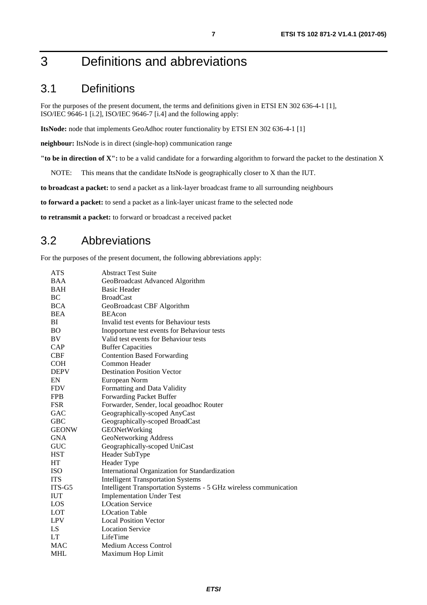### <span id="page-6-0"></span>3 Definitions and abbreviations

### 3.1 Definitions

For the purposes of the present document, the terms and definitions given in ETSI EN 302 636-4-1 [\[1](#page-5-0)], ISO/IEC 9646-1 [\[i.2\]](#page-5-0), ISO/IEC 9646-7 [[i.4\]](#page-5-0) and the following apply:

**ItsNode:** node that implements GeoAdhoc router functionality by ETSI EN 302 636-4-1 [\[1\]](#page-5-0)

**neighbour:** ItsNode is in direct (single-hop) communication range

**"to be in direction of X":** to be a valid candidate for a forwarding algorithm to forward the packet to the destination X

NOTE: This means that the candidate ItsNode is geographically closer to X than the IUT.

**to broadcast a packet:** to send a packet as a link-layer broadcast frame to all surrounding neighbours

**to forward a packet:** to send a packet as a link-layer unicast frame to the selected node

**to retransmit a packet:** to forward or broadcast a received packet

#### 3.2 Abbreviations

For the purposes of the present document, the following abbreviations apply:

| ATS          | <b>Abstract Test Suite</b>                                        |
|--------------|-------------------------------------------------------------------|
| <b>BAA</b>   | GeoBroadcast Advanced Algorithm                                   |
| <b>BAH</b>   | <b>Basic Header</b>                                               |
| BC           | <b>BroadCast</b>                                                  |
| <b>BCA</b>   | GeoBroadcast CBF Algorithm                                        |
| <b>BEA</b>   | <b>BEAcon</b>                                                     |
| BI           | Invalid test events for Behaviour tests                           |
| <b>BO</b>    | Inopportune test events for Behaviour tests                       |
| BV           | Valid test events for Behaviour tests                             |
| CAP          | <b>Buffer Capacities</b>                                          |
| <b>CBF</b>   | <b>Contention Based Forwarding</b>                                |
| <b>COH</b>   | Common Header                                                     |
| <b>DEPV</b>  | <b>Destination Position Vector</b>                                |
| EN           | European Norm                                                     |
| <b>FDV</b>   | Formatting and Data Validity                                      |
| <b>FPB</b>   | Forwarding Packet Buffer                                          |
| <b>FSR</b>   | Forwarder, Sender, local geoadhoc Router                          |
| <b>GAC</b>   | Geographically-scoped AnyCast                                     |
| <b>GBC</b>   | Geographically-scoped BroadCast                                   |
| <b>GEONW</b> | GEONetWorking                                                     |
| <b>GNA</b>   | GeoNetworking Address                                             |
| <b>GUC</b>   | Geographically-scoped UniCast                                     |
| <b>HST</b>   | Header SubType                                                    |
| HT           | Header Type                                                       |
| <b>ISO</b>   | International Organization for Standardization                    |
| <b>ITS</b>   | <b>Intelligent Transportation Systems</b>                         |
| ITS-G5       | Intelligent Transportation Systems - 5 GHz wireless communication |
| <b>IUT</b>   | <b>Implementation Under Test</b>                                  |
| LOS          | <b>LOcation Service</b>                                           |
| LOT          | <b>LOcation Table</b>                                             |
| <b>LPV</b>   | <b>Local Position Vector</b>                                      |
| LS           | <b>Location Service</b>                                           |
| LT           | LifeTime                                                          |
| <b>MAC</b>   | <b>Medium Access Control</b>                                      |
| <b>MHL</b>   | Maximum Hop Limit                                                 |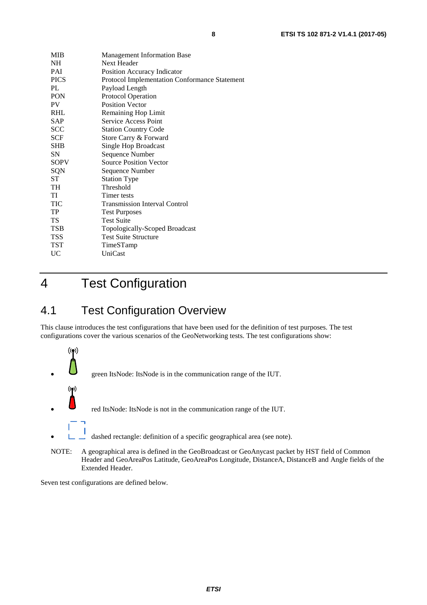<span id="page-7-0"></span>

| <b>MIB</b>  | <b>Management Information Base</b>            |  |  |
|-------------|-----------------------------------------------|--|--|
| <b>NH</b>   | Next Header                                   |  |  |
| PAI         | Position Accuracy Indicator                   |  |  |
| <b>PICS</b> | Protocol Implementation Conformance Statement |  |  |
| PI.         | Payload Length                                |  |  |
| <b>PON</b>  | <b>Protocol Operation</b>                     |  |  |
| <b>PV</b>   | <b>Position Vector</b>                        |  |  |
| <b>RHL</b>  | Remaining Hop Limit                           |  |  |
| <b>SAP</b>  | Service Access Point                          |  |  |
| <b>SCC</b>  | <b>Station Country Code</b>                   |  |  |
| <b>SCF</b>  | Store Carry & Forward                         |  |  |
| <b>SHB</b>  | Single Hop Broadcast                          |  |  |
| <b>SN</b>   | Sequence Number                               |  |  |
| <b>SOPV</b> | <b>Source Position Vector</b>                 |  |  |
| SQN         | Sequence Number                               |  |  |
| <b>ST</b>   | <b>Station Type</b>                           |  |  |
| TH          | Threshold                                     |  |  |
| TI          | Timer tests                                   |  |  |
| <b>TIC</b>  | <b>Transmission Interval Control</b>          |  |  |
| TP          | <b>Test Purposes</b>                          |  |  |
| <b>TS</b>   | <b>Test Suite</b>                             |  |  |
| <b>TSB</b>  | Topologically-Scoped Broadcast                |  |  |
| <b>TSS</b>  | <b>Test Suite Structure</b>                   |  |  |
| TST         | TimeSTamp                                     |  |  |
| UC          | UniCast                                       |  |  |
|             |                                               |  |  |

### 4 Test Configuration

### 4.1 Test Configuration Overview

This clause introduces the test configurations that have been used for the definition of test purposes. The test configurations cover the various scenarios of the GeoNetworking tests. The test configurations show:



Header and GeoAreaPos Latitude, GeoAreaPos Longitude, DistanceA, DistanceB and Angle fields of the Extended Header.

Seven test configurations are defined below.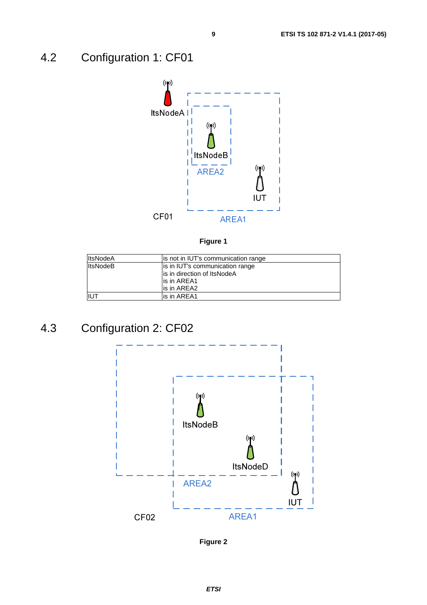### <span id="page-8-0"></span>4.2 Configuration 1: CF01



**Figure 1** 

| <b>ItsNodeA</b>             | lis not in IUT's communication range |  |
|-----------------------------|--------------------------------------|--|
| <b>ItsNodeB</b>             | is in IUT's communication range      |  |
| is in direction of ItsNodeA |                                      |  |
|                             | lis in AREA1                         |  |
|                             | lis in AREA2                         |  |
| <b>IUT</b>                  | lis in AREA1                         |  |

### 4.3 Configuration 2: CF02



**Figure 2**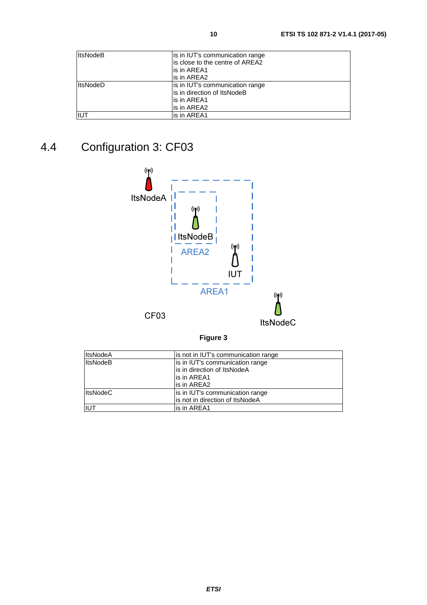<span id="page-9-0"></span>

| <b>ItsNodeB</b> | is in IUT's communication range  |
|-----------------|----------------------------------|
|                 | lis close to the centre of AREA2 |
|                 | lis in AREA1                     |
|                 | lis in AREA2                     |
| <b>ItsNodeD</b> | is in IUT's communication range  |
|                 | lis in direction of ItsNodeB     |
|                 | lis in AREA1                     |
|                 | lis in AREA2                     |
| <b>IIUT</b>     | lis in AREA1                     |

# 4.4 Configuration 3: CF03



**Figure 3** 

| <b>ItsNodeA</b> | lis not in IUT's communication range |  |
|-----------------|--------------------------------------|--|
| <b>ItsNodeB</b> | is in IUT's communication range      |  |
|                 | is in direction of ItsNodeA          |  |
|                 | is in AREA1                          |  |
|                 | lis in AREA2                         |  |
| <b>ItsNodeC</b> | is in IUT's communication range      |  |
|                 | is not in direction of ItsNodeA      |  |
| IUT             | lis in AREA1                         |  |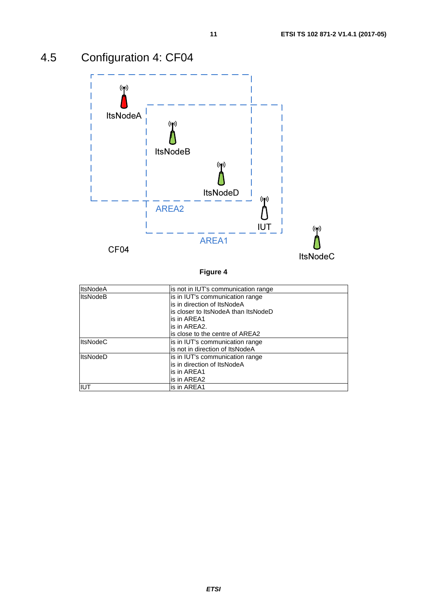

# <span id="page-10-0"></span>4.5 Configuration 4: CF04

| <b>ItsNodeA</b> | is not in IUT's communication range  |
|-----------------|--------------------------------------|
| <b>ItsNodeB</b> | is in IUT's communication range      |
|                 | lis in direction of ItsNodeA         |
|                 | lis closer to ItsNodeA than ItsNodeD |
|                 | lis in AREA1                         |
|                 | lis in AREA2.                        |
|                 | is close to the centre of AREA2      |
| <b>ItsNodeC</b> | is in IUT's communication range      |
|                 | lis not in direction of ItsNodeA     |
| <b>ItsNodeD</b> | is in IUT's communication range      |
|                 | lis in direction of ItsNodeA         |
|                 | lis in AREA1                         |
|                 | is in AREA2                          |
| <b>IUT</b>      | is in AREA1                          |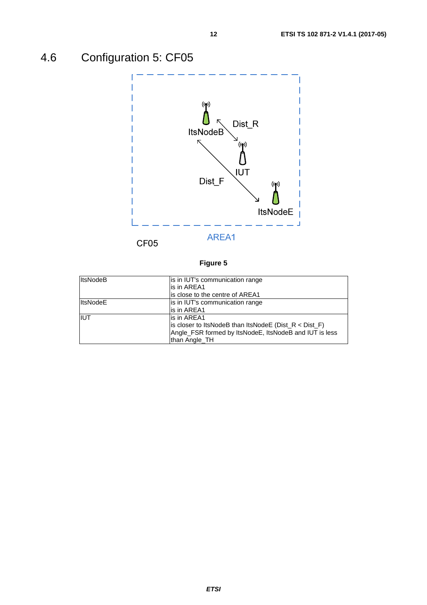# <span id="page-11-0"></span>4.6 Configuration 5: CF05



| <b>ItsNodeB</b> | is in IUT's communication range                           |  |
|-----------------|-----------------------------------------------------------|--|
|                 | lis in AREA1                                              |  |
|                 | is close to the centre of AREA1                           |  |
| <b>ItsNodeE</b> | is in IUT's communication range                           |  |
|                 | is in AREA1                                               |  |
| <b>IIUT</b>     | lis in AREA1                                              |  |
|                 | is closer to ItsNodeB than ItsNodeE ( $Dist_R < Dist_F$ ) |  |
|                 | Angle_FSR formed by ItsNodeE, ItsNodeB and IUT is less    |  |
|                 | than Angle TH                                             |  |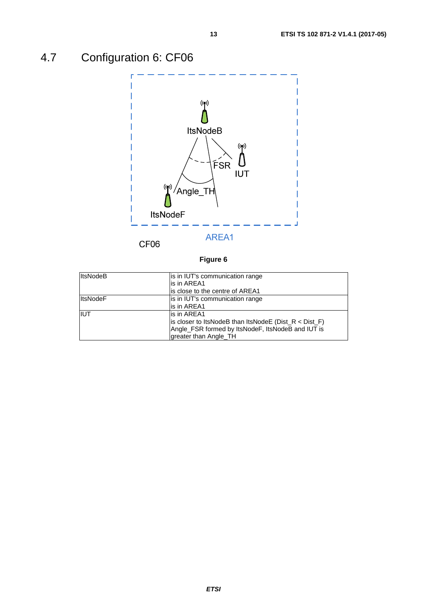# <span id="page-12-0"></span>4.7 Configuration 6: CF06



CF<sub>06</sub>

| <b>ItsNodeB</b> | is in IUT's communication range                           |  |
|-----------------|-----------------------------------------------------------|--|
|                 | lis in AREA1                                              |  |
|                 | is close to the centre of AREA1                           |  |
| <b>ItsNodeF</b> | is in IUT's communication range                           |  |
|                 | lis in AREA1                                              |  |
| IUT             | lis in AREA1                                              |  |
|                 | is closer to ItsNodeB than ItsNodeE ( $Dist_R < Dist_F$ ) |  |
|                 | Angle_FSR formed by ItsNodeF, ItsNodeB and IUT is         |  |
|                 | greater than Angle TH                                     |  |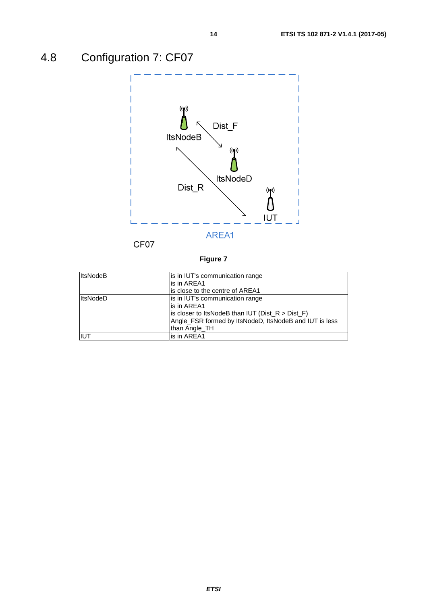# <span id="page-13-0"></span>4.8 Configuration 7: CF07



| <b>ItsNodeB</b> | is in IUT's communication range<br>lis in AREA1                                                                                                                                   |  |
|-----------------|-----------------------------------------------------------------------------------------------------------------------------------------------------------------------------------|--|
|                 | is close to the centre of AREA1                                                                                                                                                   |  |
| <b>ItsNodeD</b> | is in IUT's communication range<br>is in AREA1<br>is closer to ItsNodeB than IUT ( $Dist_R > Dist_F$ )<br>Angle_FSR formed by ItsNodeD, ItsNodeB and IUT is less<br>than Angle_TH |  |
| iiut            | is in AREA1                                                                                                                                                                       |  |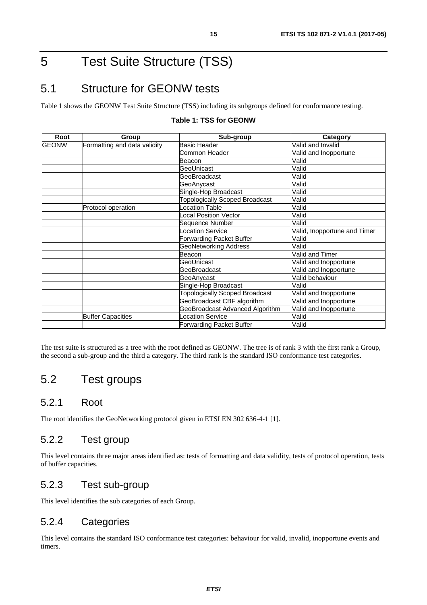### <span id="page-14-0"></span>5 Test Suite Structure (TSS)

### 5.1 Structure for GEONW tests

Table 1 shows the GEONW Test Suite Structure (TSS) including its subgroups defined for conformance testing.

| Root         | Group                        | Sub-group                             | Category                     |
|--------------|------------------------------|---------------------------------------|------------------------------|
| <b>GEONW</b> | Formatting and data validity | <b>Basic Header</b>                   | Valid and Invalid            |
|              |                              | Common Header                         | Valid and Inopportune        |
|              |                              | Beacon                                | Valid                        |
|              |                              | GeoUnicast                            | Valid                        |
|              |                              | GeoBroadcast                          | Valid                        |
|              |                              | GeoAnycast                            | Valid                        |
|              |                              | Single-Hop Broadcast                  | Valid                        |
|              |                              | <b>Topologically Scoped Broadcast</b> | Valid                        |
|              | Protocol operation           | Location Table                        | Valid                        |
|              |                              | Local Position Vector                 | Valid                        |
|              |                              | Sequence Number                       | Valid                        |
|              |                              | <b>Location Service</b>               | Valid, Inopportune and Timer |
|              |                              | <b>Forwarding Packet Buffer</b>       | Valid                        |
|              |                              | <b>GeoNetworking Address</b>          | Valid                        |
|              |                              | Beacon                                | Valid and Timer              |
|              |                              | GeoUnicast                            | Valid and Inopportune        |
|              |                              | GeoBroadcast                          | Valid and Inopportune        |
|              |                              | GeoAnycast                            | Valid behaviour              |
|              |                              | Single-Hop Broadcast                  | Valid                        |
|              |                              | <b>Topologically Scoped Broadcast</b> | Valid and Inopportune        |
|              |                              | GeoBroadcast CBF algorithm            | Valid and Inopportune        |
|              |                              | GeoBroadcast Advanced Algorithm       | Valid and Inopportune        |
|              | <b>Buffer Capacities</b>     | _ocation Service                      | Valid                        |
|              |                              | Forwarding Packet Buffer              | Valid                        |

#### **Table 1: TSS for GEONW**

The test suite is structured as a tree with the root defined as GEONW. The tree is of rank 3 with the first rank a Group, the second a sub-group and the third a category. The third rank is the standard ISO conformance test categories.

### 5.2 Test groups

#### 5.2.1 Root

The root identifies the GeoNetworking protocol given in ETSI EN 302 636-4-1 [[1\]](#page-5-0).

#### 5.2.2 Test group

This level contains three major areas identified as: tests of formatting and data validity, tests of protocol operation, tests of buffer capacities.

#### 5.2.3 Test sub-group

This level identifies the sub categories of each Group.

#### 5.2.4 Categories

This level contains the standard ISO conformance test categories: behaviour for valid, invalid, inopportune events and timers.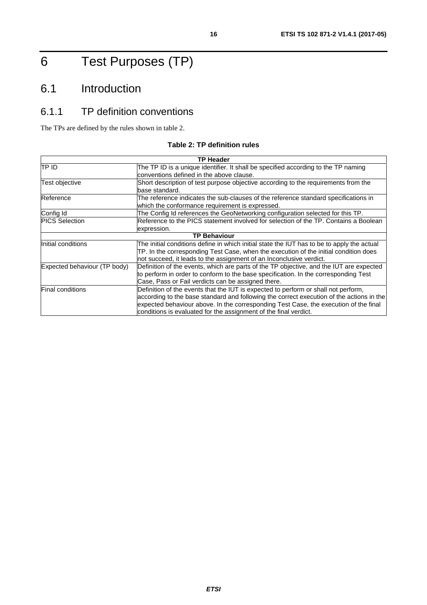# <span id="page-15-0"></span>6 Test Purposes (TP)

### 6.1 Introduction

### 6.1.1 TP definition conventions

The TPs are defined by the rules shown in table 2.

#### **Table 2: TP definition rules**

|                              | <b>TP Header</b>                                                                                                                                                                                                                                                                                                                           |
|------------------------------|--------------------------------------------------------------------------------------------------------------------------------------------------------------------------------------------------------------------------------------------------------------------------------------------------------------------------------------------|
| TP ID                        | The TP ID is a unique identifier. It shall be specified according to the TP naming<br>conventions defined in the above clause.                                                                                                                                                                                                             |
| Test objective               | Short description of test purpose objective according to the requirements from the<br>base standard.                                                                                                                                                                                                                                       |
| Reference                    | The reference indicates the sub-clauses of the reference standard specifications in<br>which the conformance requirement is expressed.                                                                                                                                                                                                     |
| Config Id                    | The Config Id references the GeoNetworking configuration selected for this TP.                                                                                                                                                                                                                                                             |
| <b>PICS Selection</b>        | Reference to the PICS statement involved for selection of the TP. Contains a Boolean<br>expression.                                                                                                                                                                                                                                        |
|                              | <b>TP Behaviour</b>                                                                                                                                                                                                                                                                                                                        |
| Initial conditions           | The initial conditions define in which initial state the IUT has to be to apply the actual<br>TP. In the corresponding Test Case, when the execution of the initial condition does<br>not succeed, it leads to the assignment of an Inconclusive verdict.                                                                                  |
| Expected behaviour (TP body) | Definition of the events, which are parts of the TP objective, and the IUT are expected<br>to perform in order to conform to the base specification. In the corresponding Test<br>Case, Pass or Fail verdicts can be assigned there.                                                                                                       |
| <b>Final conditions</b>      | Definition of the events that the IUT is expected to perform or shall not perform,<br>according to the base standard and following the correct execution of the actions in the<br>expected behaviour above. In the corresponding Test Case, the execution of the final<br>conditions is evaluated for the assignment of the final verdict. |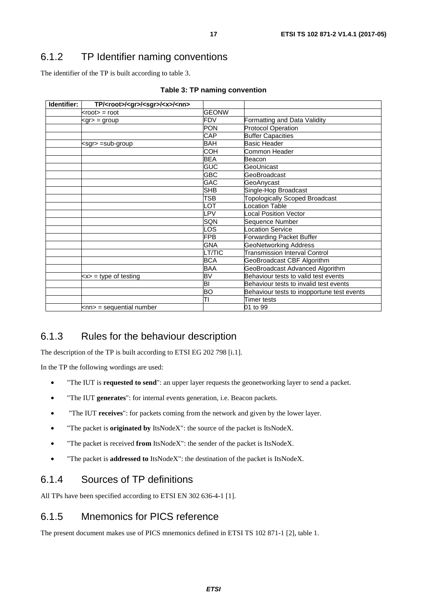#### <span id="page-16-0"></span>6.1.2 TP Identifier naming conventions

The identifier of the TP is built according to table 3.

| Identifier: | TP/ <root>/<gr>/<sgr>/<x>/<nn></nn></x></sgr></gr></root> |               |                                            |
|-------------|-----------------------------------------------------------|---------------|--------------------------------------------|
|             | $k$ root $\ge$ = root                                     | <b>GEONW</b>  |                                            |
|             | $<$ gr $>$ = group                                        | <b>FDV</b>    | Formatting and Data Validity               |
|             |                                                           | <b>PON</b>    | <b>Protocol Operation</b>                  |
|             |                                                           | <b>CAP</b>    | <b>Buffer Capacities</b>                   |
|             | <sgr> =sub-group</sgr>                                    | <b>BAH</b>    | Basic Header                               |
|             |                                                           | <b>COH</b>    | Common Header                              |
|             |                                                           | <b>BEA</b>    | Beacon                                     |
|             |                                                           | <b>GUC</b>    | GeoUnicast                                 |
|             |                                                           | <b>GBC</b>    | GeoBroadcast                               |
|             |                                                           | <b>GAC</b>    | GeoAnycast                                 |
|             |                                                           | SHB           | Single-Hop Broadcast                       |
|             |                                                           | <b>TSB</b>    | <b>Topologically Scoped Broadcast</b>      |
|             |                                                           | LOT           | <b>Location Table</b>                      |
|             |                                                           | LPV           | <b>Local Position Vector</b>               |
|             |                                                           | <b>SQN</b>    | Sequence Number                            |
|             |                                                           | LOS           | <b>Location Service</b>                    |
|             |                                                           | <b>FPB</b>    | <b>Forwarding Packet Buffer</b>            |
|             |                                                           | <b>GNA</b>    | <b>GeoNetworking Address</b>               |
|             |                                                           | <b>LT/TIC</b> | <b>Transmission Interval Control</b>       |
|             |                                                           | <b>BCA</b>    | GeoBroadcast CBF Algorithm                 |
|             |                                                           | <b>BAA</b>    | GeoBroadcast Advanced Algorithm            |
|             | $\langle x \rangle$ = type of testing                     | BV            | Behaviour tests to valid test events       |
|             |                                                           | BI            | Behaviour tests to invalid test events     |
|             |                                                           | ВO            | Behaviour tests to inopportune test events |
|             |                                                           | TΙ            | Timer tests                                |
|             | <nn> = sequential number</nn>                             |               | 01 to 99                                   |

|  |  |  | Table 3: TP naming convention |
|--|--|--|-------------------------------|
|--|--|--|-------------------------------|

### 6.1.3 Rules for the behaviour description

The description of the TP is built according to ETSI EG 202 798 [\[i.1](#page-5-0)].

In the TP the following wordings are used:

- "The IUT is **requested to send**": an upper layer requests the geonetworking layer to send a packet.
- "The IUT **generates**": for internal events generation, i.e. Beacon packets.
- "The IUT **receives**": for packets coming from the network and given by the lower layer.
- "The packet is **originated by** ItsNodeX": the source of the packet is ItsNodeX.
- "The packet is received **from** ItsNodeX": the sender of the packet is ItsNodeX.
- "The packet is **addressed to** ItsNodeX": the destination of the packet is ItsNodeX.

#### 6.1.4 Sources of TP definitions

All TPs have been specified according to ETSI EN 302 636-4-1 [[1\]](#page-5-0).

#### 6.1.5 Mnemonics for PICS reference

The present document makes use of PICS mnemonics defined in ETSI TS 102 871-1 [\[2\]](#page-5-0), table 1.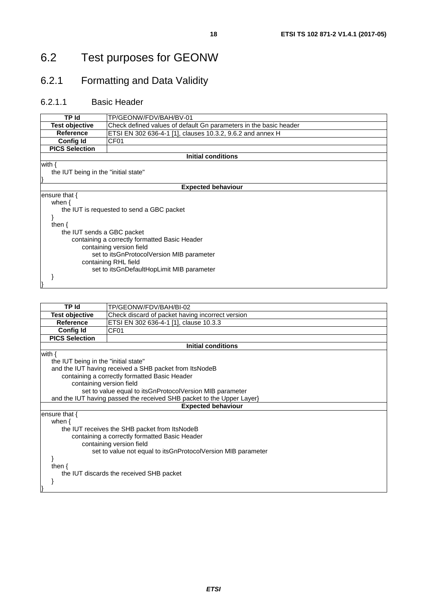### <span id="page-17-0"></span>6.2 Test purposes for GEONW

### 6.2.1 Formatting and Data Validity

#### 6.2.1.1 Basic Header

| TP Id                                | TP/GEONW/FDV/BAH/BV-01                                            |
|--------------------------------------|-------------------------------------------------------------------|
| <b>Test objective</b>                | Check defined values of default Gn parameters in the basic header |
| <b>Reference</b>                     | ETSI EN 302 636-4-1 [1], clauses 10.3.2, 9.6.2 and annex H        |
| <b>Config Id</b>                     | CF <sub>01</sub>                                                  |
| <b>PICS Selection</b>                |                                                                   |
|                                      | <b>Initial conditions</b>                                         |
| with $\{$                            |                                                                   |
| the IUT being in the "initial state" |                                                                   |
|                                      |                                                                   |
|                                      | <b>Expected behaviour</b>                                         |
| ensure that $\{$                     |                                                                   |
| when $\{$                            |                                                                   |
|                                      | the IUT is requested to send a GBC packet                         |
|                                      |                                                                   |
| then $\{$                            |                                                                   |
| the IUT sends a GBC packet           |                                                                   |
|                                      | containing a correctly formatted Basic Header                     |
|                                      | containing version field                                          |
|                                      | set to itsGnProtocolVersion MIB parameter                         |
|                                      | containing RHL field                                              |
|                                      | set to itsGnDefaultHopLimit MIB parameter                         |
|                                      |                                                                   |
|                                      |                                                                   |
|                                      |                                                                   |

| <b>TP Id</b>                         | TP/GEONW/FDV/BAH/BI-02                                                |
|--------------------------------------|-----------------------------------------------------------------------|
| <b>Test objective</b>                | Check discard of packet having incorrect version                      |
| <b>Reference</b>                     | ETSI EN 302 636-4-1 [1], clause 10.3.3                                |
| <b>Config Id</b>                     | CF <sub>01</sub>                                                      |
| <b>PICS Selection</b>                |                                                                       |
|                                      | <b>Initial conditions</b>                                             |
| with $\{$                            |                                                                       |
| the IUT being in the "initial state" |                                                                       |
|                                      | and the IUT having received a SHB packet from ItsNodeB                |
|                                      | containing a correctly formatted Basic Header                         |
| containing version field             |                                                                       |
|                                      | set to value equal to itsGnProtocolVersion MIB parameter              |
|                                      | and the IUT having passed the received SHB packet to the Upper Layer} |
|                                      | <b>Expected behaviour</b>                                             |
| ensure that {                        |                                                                       |
| when $\{$                            |                                                                       |
|                                      | the IUT receives the SHB packet from ItsNodeB                         |
|                                      | containing a correctly formatted Basic Header                         |
|                                      | containing version field                                              |
|                                      | set to value not equal to its GnProtocol Version MIB parameter        |
|                                      |                                                                       |
| then $\{$                            |                                                                       |
|                                      | the IUT discards the received SHB packet                              |
|                                      |                                                                       |
|                                      |                                                                       |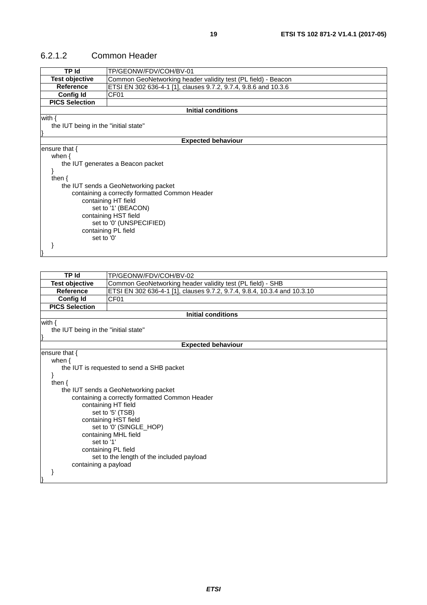#### <span id="page-18-0"></span>6.2.1.2 Common Header

| TP Id                                | TP/GEONW/FDV/COH/BV-01                                                   |
|--------------------------------------|--------------------------------------------------------------------------|
| <b>Test objective</b>                | Common GeoNetworking header validity test (PL field) - Beacon            |
| <b>Reference</b>                     | ETSI EN 302 636-4-1 [1], clauses 9.7.2, 9.7.4, 9.8.6 and 10.3.6          |
| <b>Config Id</b>                     | CF01                                                                     |
| <b>PICS Selection</b>                |                                                                          |
|                                      | <b>Initial conditions</b>                                                |
| with $\{$                            |                                                                          |
| the IUT being in the "initial state" |                                                                          |
|                                      |                                                                          |
|                                      | <b>Expected behaviour</b>                                                |
| ensure that $\{$                     |                                                                          |
| when $\{$                            |                                                                          |
|                                      | the IUT generates a Beacon packet                                        |
| }                                    |                                                                          |
| then $\{$                            |                                                                          |
|                                      | the IUT sends a GeoNetworking packet                                     |
|                                      | containing a correctly formatted Common Header                           |
|                                      | containing HT field                                                      |
|                                      | set to '1' (BEACON)                                                      |
|                                      | containing HST field                                                     |
|                                      | set to '0' (UNSPECIFIED)                                                 |
|                                      | containing PL field                                                      |
| set to '0'                           |                                                                          |
| <sup>}</sup>                         |                                                                          |
|                                      |                                                                          |
|                                      |                                                                          |
|                                      |                                                                          |
| TP Id                                | TP/GEONW/FDV/COH/BV-02                                                   |
| <b>Test objective</b>                | Common GeoNetworking header validity test (PL field) - SHB               |
| <b>Reference</b>                     | ETSI EN 302 636-4-1 [1], clauses 9.7.2, 9.7.4, 9.8.4, 10.3.4 and 10.3.10 |
| Config Id                            | CF01                                                                     |
| <b>PICS Selection</b>                |                                                                          |
|                                      | <b>Initial conditions</b>                                                |
| with $\{$                            |                                                                          |

the IUT being in the "initial state"

}

}

#### **Expected behaviour**

| <b>LAPGULGU DELIAY</b>                         |
|------------------------------------------------|
|                                                |
|                                                |
|                                                |
|                                                |
|                                                |
|                                                |
| containing a correctly formatted Common Header |
|                                                |
|                                                |
|                                                |
|                                                |
|                                                |
|                                                |
|                                                |
|                                                |
|                                                |
|                                                |
|                                                |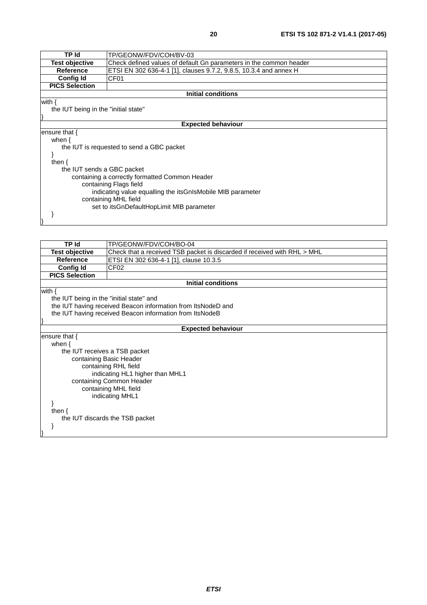| <b>TP Id</b>                         | TP/GEONW/FDV/COH/BV-03                                             |
|--------------------------------------|--------------------------------------------------------------------|
| <b>Test objective</b>                | Check defined values of default Gn parameters in the common header |
| <b>Reference</b>                     | ETSI EN 302 636-4-1 [1], clauses 9.7.2, 9.8.5, 10.3.4 and annex H  |
| <b>Config Id</b>                     | CF01                                                               |
| <b>PICS Selection</b>                |                                                                    |
|                                      | Initial conditions                                                 |
| with $\{$                            |                                                                    |
| the IUT being in the "initial state" |                                                                    |
|                                      |                                                                    |
|                                      | <b>Expected behaviour</b>                                          |
| ensure that $\{$                     |                                                                    |
| when $\{$                            |                                                                    |
|                                      | the IUT is requested to send a GBC packet                          |
|                                      |                                                                    |
| then $\{$                            |                                                                    |
| the IUT sends a GBC packet           |                                                                    |
|                                      | containing a correctly formatted Common Header                     |
|                                      | containing Flags field                                             |
|                                      | indicating value equalling the itsGnIsMobile MIB parameter         |
|                                      | containing MHL field                                               |
|                                      | set to itsGnDefaultHopLimit MIB parameter                          |
|                                      |                                                                    |
|                                      |                                                                    |

| <b>TP Id</b>                             | TP/GEONW/FDV/COH/BO-04                                                   |
|------------------------------------------|--------------------------------------------------------------------------|
| <b>Test objective</b>                    | Check that a received TSB packet is discarded if received with RHL > MHL |
| Reference                                | ETSI EN 302 636-4-1 [1], clause 10.3.5                                   |
| <b>Config Id</b>                         | CF <sub>02</sub>                                                         |
| <b>PICS Selection</b>                    |                                                                          |
|                                          | <b>Initial conditions</b>                                                |
| with $\{$                                |                                                                          |
| the IUT being in the "initial state" and |                                                                          |
|                                          | the IUT having received Beacon information from ItsNodeD and             |
|                                          | the IUT having received Beacon information from ItsNodeB                 |
|                                          |                                                                          |
|                                          | <b>Expected behaviour</b>                                                |
| ensure that $\{$                         |                                                                          |
| when $\{$                                |                                                                          |
| the IUT receives a TSB packet            |                                                                          |
|                                          | containing Basic Header                                                  |
|                                          | containing RHL field                                                     |
|                                          | indicating HL1 higher than MHL1                                          |
|                                          | containing Common Header                                                 |
|                                          | containing MHL field                                                     |
|                                          | indicating MHL1                                                          |
|                                          |                                                                          |
| then $\{$                                |                                                                          |
|                                          | the IUT discards the TSB packet                                          |
|                                          |                                                                          |
|                                          |                                                                          |
|                                          |                                                                          |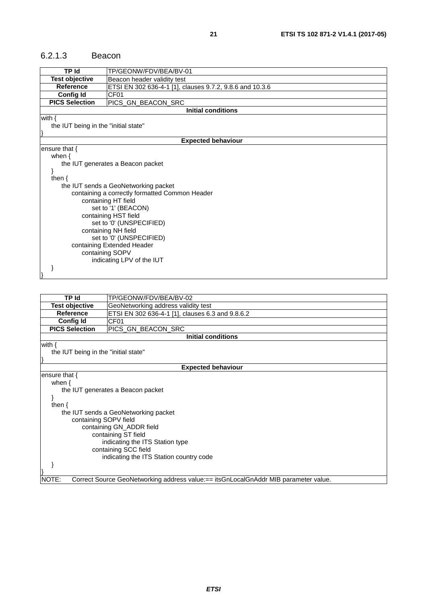#### <span id="page-20-0"></span>6.2.1.3 Beacon

| TP Id                                | TP/GEONW/FDV/BEA/BV-01                                   |
|--------------------------------------|----------------------------------------------------------|
| <b>Test objective</b>                | Beacon header validity test                              |
| <b>Reference</b>                     | ETSI EN 302 636-4-1 [1], clauses 9.7.2, 9.8.6 and 10.3.6 |
| <b>Config Id</b>                     | CF <sub>01</sub>                                         |
| <b>PICS Selection</b>                | PICS_GN_BEACON_SRC                                       |
|                                      | <b>Initial conditions</b>                                |
| with $\{$                            |                                                          |
| the IUT being in the "initial state" |                                                          |
|                                      |                                                          |
|                                      | <b>Expected behaviour</b>                                |
| ensure that $\{$                     |                                                          |
| when $\{$                            |                                                          |
|                                      | the IUT generates a Beacon packet                        |
|                                      |                                                          |
| then $\{$                            |                                                          |
|                                      | the IUT sends a GeoNetworking packet                     |
|                                      | containing a correctly formatted Common Header           |
|                                      | containing HT field                                      |
|                                      | set to '1' (BEACON)                                      |
|                                      | containing HST field                                     |
|                                      | set to '0' (UNSPECIFIED)                                 |
|                                      | containing NH field                                      |
|                                      | set to '0' (UNSPECIFIED)                                 |
|                                      | containing Extended Header<br>containing SOPV            |
|                                      | indicating LPV of the IUT                                |
|                                      |                                                          |
|                                      |                                                          |
|                                      |                                                          |

| TP Id                                | TP/GEONW/FDV/BEA/BV-02                                                              |
|--------------------------------------|-------------------------------------------------------------------------------------|
| <b>Test objective</b>                | GeoNetworking address validity test                                                 |
| Reference                            | ETSI EN 302 636-4-1 [1], clauses 6.3 and 9.8.6.2                                    |
| <b>Config Id</b>                     | CF01                                                                                |
| <b>PICS Selection</b>                | PICS_GN_BEACON_SRC                                                                  |
|                                      | <b>Initial conditions</b>                                                           |
| with $\{$                            |                                                                                     |
| the IUT being in the "initial state" |                                                                                     |
|                                      | <b>Expected behaviour</b>                                                           |
| ensure that $\{$                     |                                                                                     |
| when $\{$                            |                                                                                     |
|                                      | the IUT generates a Beacon packet                                                   |
| ł                                    |                                                                                     |
| then $\{$                            |                                                                                     |
|                                      | the IUT sends a GeoNetworking packet                                                |
| containing SOPV field                |                                                                                     |
|                                      | containing GN_ADDR field                                                            |
|                                      | containing ST field                                                                 |
|                                      | indicating the ITS Station type                                                     |
|                                      | containing SCC field                                                                |
|                                      | indicating the ITS Station country code                                             |
|                                      |                                                                                     |
|                                      |                                                                                     |
| NOTE:                                | Correct Source GeoNetworking address value:== itsGnLocalGnAddr MIB parameter value. |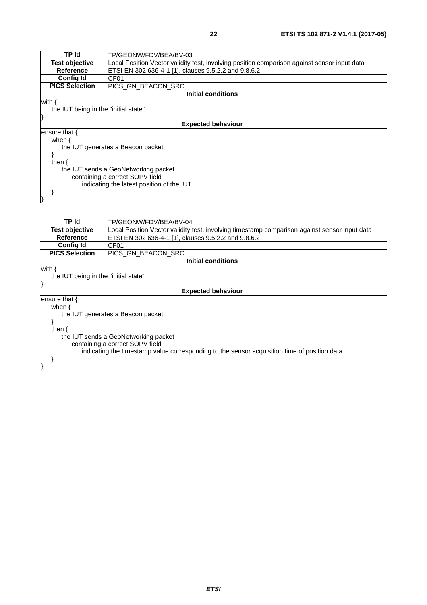| TP Id                                | TP/GEONW/FDV/BEA/BV-03                                                                       |
|--------------------------------------|----------------------------------------------------------------------------------------------|
| <b>Test objective</b>                | Local Position Vector validity test, involving position comparison against sensor input data |
| Reference                            | ETSI EN 302 636-4-1 [1], clauses 9.5.2.2 and 9.8.6.2                                         |
| <b>Config Id</b>                     | CF <sub>01</sub>                                                                             |
| <b>PICS Selection</b>                | IPICS GN BEACON SRC                                                                          |
|                                      | Initial conditions                                                                           |
| the IUT being in the "initial state" |                                                                                              |
| with {                               | <b>Expected behaviour</b>                                                                    |
| when $\{$                            |                                                                                              |
|                                      | the IUT generates a Beacon packet                                                            |
| ensure that {<br>then                |                                                                                              |

 } }

| TP Id                                | TP/GEONW/FDV/BEA/BV-04                                                                        |  |
|--------------------------------------|-----------------------------------------------------------------------------------------------|--|
| <b>Test objective</b>                | Local Position Vector validity test, involving timestamp comparison against sensor input data |  |
| Reference                            | ETSI EN 302 636-4-1 [1], clauses 9.5.2.2 and 9.8.6.2                                          |  |
| <b>Config Id</b>                     | CF <sub>01</sub>                                                                              |  |
| <b>PICS Selection</b>                | PICS_GN_BEACON_SRC                                                                            |  |
|                                      | Initial conditions                                                                            |  |
| with {                               |                                                                                               |  |
| the IUT being in the "initial state" |                                                                                               |  |
|                                      |                                                                                               |  |
| <b>Expected behaviour</b>            |                                                                                               |  |
| ensure that {                        |                                                                                               |  |
| when $\{$                            |                                                                                               |  |
|                                      | the IUT generates a Beacon packet                                                             |  |
|                                      |                                                                                               |  |
| then $\{$                            |                                                                                               |  |
| the IUT sends a GeoNetworking packet |                                                                                               |  |
| containing a correct SOPV field      |                                                                                               |  |
|                                      | indicating the timestamp value corresponding to the sensor acquisition time of position data  |  |
|                                      |                                                                                               |  |
|                                      |                                                                                               |  |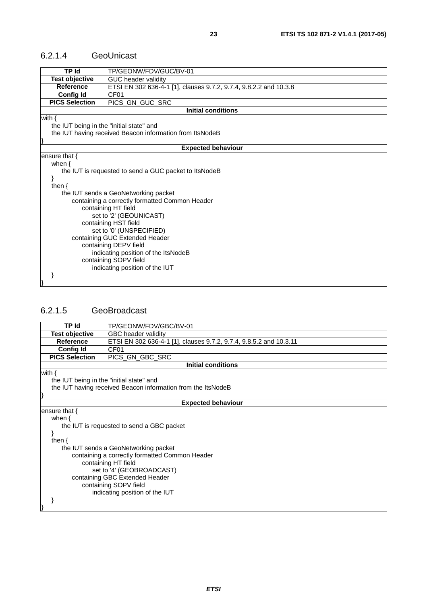#### <span id="page-22-0"></span>6.2.1.4 GeoUnicast

| <b>TP Id</b>                                                                          | TP/GEONW/FDV/GUC/BV-01                                   |  |  |
|---------------------------------------------------------------------------------------|----------------------------------------------------------|--|--|
| <b>Test objective</b><br>GUC header validity                                          |                                                          |  |  |
| ETSI EN 302 636-4-1 [1], clauses 9.7.2, 9.7.4, 9.8.2.2 and 10.3.8<br><b>Reference</b> |                                                          |  |  |
| <b>Config Id</b><br>CF <sub>01</sub>                                                  |                                                          |  |  |
| <b>PICS Selection</b>                                                                 | PICS_GN_GUC_SRC                                          |  |  |
|                                                                                       | Initial conditions                                       |  |  |
| with $\{$                                                                             |                                                          |  |  |
| the IUT being in the "initial state" and                                              |                                                          |  |  |
|                                                                                       | the IUT having received Beacon information from ItsNodeB |  |  |
|                                                                                       |                                                          |  |  |
|                                                                                       | <b>Expected behaviour</b>                                |  |  |
| ensure that $\{$                                                                      |                                                          |  |  |
| when $\{$                                                                             |                                                          |  |  |
|                                                                                       | the IUT is requested to send a GUC packet to ItsNodeB    |  |  |
|                                                                                       |                                                          |  |  |
| then $\{$                                                                             |                                                          |  |  |
|                                                                                       | the IUT sends a GeoNetworking packet                     |  |  |
|                                                                                       | containing a correctly formatted Common Header           |  |  |
|                                                                                       | containing HT field                                      |  |  |
|                                                                                       | set to '2' (GEOUNICAST)                                  |  |  |
|                                                                                       | containing HST field                                     |  |  |
| set to '0' (UNSPECIFIED)                                                              |                                                          |  |  |
|                                                                                       | containing GUC Extended Header                           |  |  |
| containing DEPV field                                                                 |                                                          |  |  |
| indicating position of the ItsNodeB                                                   |                                                          |  |  |
|                                                                                       | containing SOPV field                                    |  |  |
|                                                                                       | indicating position of the IUT                           |  |  |
|                                                                                       |                                                          |  |  |
|                                                                                       |                                                          |  |  |

#### 6.2.1.5 GeoBroadcast

| <b>TP Id</b>                                                                           | TP/GEONW/FDV/GBC/BV-01                                       |  |
|----------------------------------------------------------------------------------------|--------------------------------------------------------------|--|
| <b>Test objective</b><br>GBC header validity                                           |                                                              |  |
| <b>Reference</b><br>ETSI EN 302 636-4-1 [1], clauses 9.7.2, 9.7.4, 9.8.5.2 and 10.3.11 |                                                              |  |
|                                                                                        | <b>Config Id</b><br>CF <sub>01</sub>                         |  |
| <b>PICS Selection</b>                                                                  | PICS GN GBC SRC                                              |  |
|                                                                                        | <b>Initial conditions</b>                                    |  |
| with $\{$<br>the IUT being in the "initial state" and                                  |                                                              |  |
|                                                                                        | the IUT having received Beacon information from the ItsNodeB |  |
|                                                                                        |                                                              |  |
|                                                                                        | <b>Expected behaviour</b>                                    |  |
| ensure that {                                                                          |                                                              |  |
| when $\{$                                                                              |                                                              |  |
|                                                                                        | the IUT is requested to send a GBC packet                    |  |
|                                                                                        |                                                              |  |
| then $\{$                                                                              |                                                              |  |
| the IUT sends a GeoNetworking packet                                                   |                                                              |  |
|                                                                                        | containing a correctly formatted Common Header               |  |
| containing HT field                                                                    |                                                              |  |
| set to '4' (GEOBROADCAST)                                                              |                                                              |  |
| containing GBC Extended Header                                                         |                                                              |  |
| containing SOPV field                                                                  |                                                              |  |
|                                                                                        | indicating position of the IUT                               |  |
|                                                                                        |                                                              |  |
|                                                                                        |                                                              |  |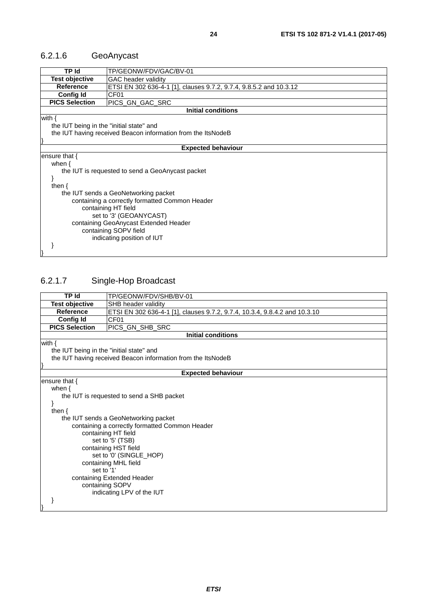### <span id="page-23-0"></span>6.2.1.6 GeoAnycast

| TP Id                                                                                  | TP/GEONW/FDV/GAC/BV-01                                       |  |
|----------------------------------------------------------------------------------------|--------------------------------------------------------------|--|
| <b>Test objective</b><br><b>GAC</b> header validity                                    |                                                              |  |
| ETSI EN 302 636-4-1 [1], clauses 9.7.2, 9.7.4, 9.8.5.2 and 10.3.12<br><b>Reference</b> |                                                              |  |
| <b>Config Id</b>                                                                       | CF <sub>01</sub>                                             |  |
| <b>PICS Selection</b>                                                                  | PICS_GN_GAC_SRC                                              |  |
|                                                                                        | <b>Initial conditions</b>                                    |  |
| with $\{$                                                                              |                                                              |  |
| the IUT being in the "initial state" and                                               |                                                              |  |
|                                                                                        | the IUT having received Beacon information from the ItsNodeB |  |
|                                                                                        |                                                              |  |
|                                                                                        | <b>Expected behaviour</b>                                    |  |
| ensure that {                                                                          |                                                              |  |
| when $\{$                                                                              |                                                              |  |
|                                                                                        | the IUT is requested to send a GeoAnycast packet             |  |
|                                                                                        |                                                              |  |
| then $\{$                                                                              |                                                              |  |
| the IUT sends a GeoNetworking packet                                                   |                                                              |  |
|                                                                                        |                                                              |  |
| containing a correctly formatted Common Header                                         |                                                              |  |
| containing HT field                                                                    |                                                              |  |
| set to '3' (GEOANYCAST)                                                                |                                                              |  |
| containing GeoAnycast Extended Header                                                  |                                                              |  |
| containing SOPV field                                                                  |                                                              |  |
|                                                                                        | indicating position of IUT                                   |  |
|                                                                                        |                                                              |  |
|                                                                                        |                                                              |  |

### 6.2.1.7 Single-Hop Broadcast

| <b>TP</b> Id                                   |                                                                            |  |  |
|------------------------------------------------|----------------------------------------------------------------------------|--|--|
|                                                | TP/GEONW/FDV/SHB/BV-01                                                     |  |  |
| <b>Test objective</b><br>SHB header validity   |                                                                            |  |  |
| <b>Reference</b>                               | ETSI EN 302 636-4-1 [1], clauses 9.7.2, 9.7.4, 10.3.4, 9.8.4.2 and 10.3.10 |  |  |
| <b>Config Id</b>                               | CF <sub>01</sub>                                                           |  |  |
| <b>PICS Selection</b>                          | PICS_GN_SHB_SRC                                                            |  |  |
|                                                | <b>Initial conditions</b>                                                  |  |  |
| with {                                         |                                                                            |  |  |
| the IUT being in the "initial state" and       |                                                                            |  |  |
|                                                | the IUT having received Beacon information from the ItsNodeB               |  |  |
|                                                |                                                                            |  |  |
|                                                | <b>Expected behaviour</b>                                                  |  |  |
| ensure that {                                  |                                                                            |  |  |
| when $\{$                                      |                                                                            |  |  |
|                                                | the IUT is requested to send a SHB packet                                  |  |  |
|                                                |                                                                            |  |  |
| then $\{$                                      |                                                                            |  |  |
|                                                | the IUT sends a GeoNetworking packet                                       |  |  |
| containing a correctly formatted Common Header |                                                                            |  |  |
|                                                | containing HT field                                                        |  |  |
|                                                | set to '5' (TSB)                                                           |  |  |
|                                                | containing HST field                                                       |  |  |
|                                                |                                                                            |  |  |
| set to '0' (SINGLE_HOP)                        |                                                                            |  |  |
| containing MHL field<br>set to '1'             |                                                                            |  |  |
| containing Extended Header                     |                                                                            |  |  |
|                                                |                                                                            |  |  |
|                                                | containing SOPV                                                            |  |  |
|                                                | indicating LPV of the IUT                                                  |  |  |
|                                                |                                                                            |  |  |
|                                                |                                                                            |  |  |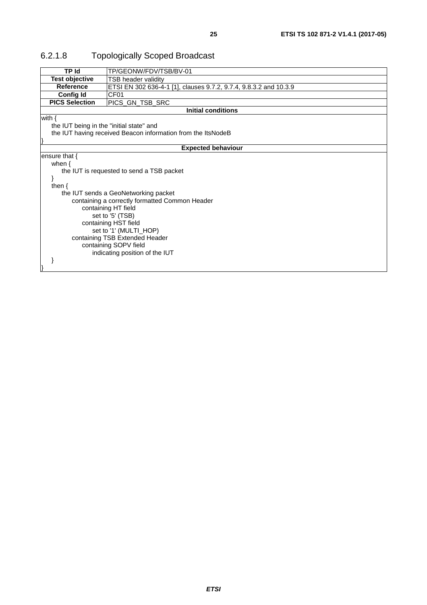| <b>TP Id</b>                                            | TP/GEONW/FDV/TSB/BV-01                                            |  |
|---------------------------------------------------------|-------------------------------------------------------------------|--|
| <b>Test objective</b><br>TSB header validity            |                                                                   |  |
| <b>Reference</b>                                        | ETSI EN 302 636-4-1 [1], clauses 9.7.2, 9.7.4, 9.8.3.2 and 10.3.9 |  |
| <b>Config Id</b>                                        | CF01                                                              |  |
| <b>PICS Selection</b><br>PICS_GN_TSB_SRC                |                                                                   |  |
|                                                         | <b>Initial conditions</b>                                         |  |
| with $\{$                                               |                                                                   |  |
|                                                         | the IUT being in the "initial state" and                          |  |
|                                                         | the IUT having received Beacon information from the ItsNodeB      |  |
|                                                         |                                                                   |  |
|                                                         | <b>Expected behaviour</b>                                         |  |
| ensure that $\{$                                        |                                                                   |  |
| when $\{$                                               |                                                                   |  |
| the IUT is requested to send a TSB packet               |                                                                   |  |
|                                                         |                                                                   |  |
| then $\{$                                               |                                                                   |  |
|                                                         | the IUT sends a GeoNetworking packet                              |  |
|                                                         | containing a correctly formatted Common Header                    |  |
|                                                         | containing HT field                                               |  |
|                                                         | set to '5' (TSB)                                                  |  |
| containing HST field                                    |                                                                   |  |
| set to '1' (MULTI_HOP)                                  |                                                                   |  |
| containing TSB Extended Header<br>containing SOPV field |                                                                   |  |
|                                                         |                                                                   |  |
|                                                         | indicating position of the IUT                                    |  |
|                                                         |                                                                   |  |
|                                                         |                                                                   |  |

### <span id="page-24-0"></span>6.2.1.8 Topologically Scoped Broadcast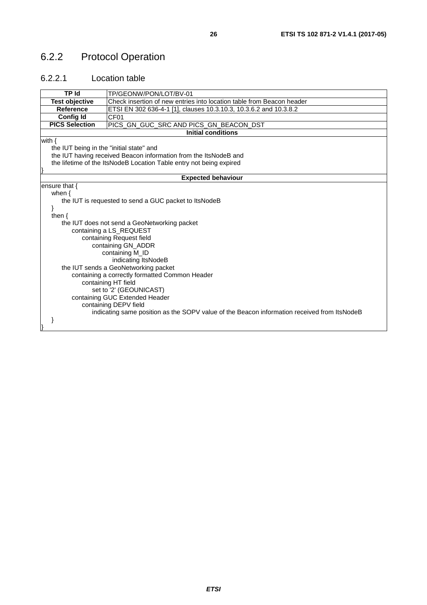### <span id="page-25-0"></span>6.2.2 Protocol Operation

#### 6.2.2.1 Location table

| TP Id                                                                                          | TP/GEONW/PON/LOT/BV-01                                                                      |  |  |
|------------------------------------------------------------------------------------------------|---------------------------------------------------------------------------------------------|--|--|
| <b>Test objective</b><br>Check insertion of new entries into location table from Beacon header |                                                                                             |  |  |
|                                                                                                | <b>Reference</b>                                                                            |  |  |
|                                                                                                | ETSI EN 302 636-4-1 [1], clauses 10.3.10.3, 10.3.6.2 and 10.3.8.2                           |  |  |
|                                                                                                | CF <sub>01</sub><br><b>Config Id</b>                                                        |  |  |
| <b>PICS Selection</b>                                                                          | PICS_GN_GUC_SRC AND PICS_GN_BEACON_DST                                                      |  |  |
|                                                                                                | <b>Initial conditions</b>                                                                   |  |  |
| with $\{$                                                                                      |                                                                                             |  |  |
| the IUT being in the "initial state" and                                                       |                                                                                             |  |  |
|                                                                                                | the IUT having received Beacon information from the ItsNodeB and                            |  |  |
|                                                                                                | the lifetime of the ItsNodeB Location Table entry not being expired                         |  |  |
|                                                                                                |                                                                                             |  |  |
|                                                                                                | <b>Expected behaviour</b>                                                                   |  |  |
| ensure that $\{$                                                                               |                                                                                             |  |  |
| when $\{$                                                                                      |                                                                                             |  |  |
|                                                                                                | the IUT is requested to send a GUC packet to ItsNodeB                                       |  |  |
|                                                                                                |                                                                                             |  |  |
| then $\{$                                                                                      |                                                                                             |  |  |
|                                                                                                | the IUT does not send a GeoNetworking packet                                                |  |  |
|                                                                                                | containing a LS_REQUEST                                                                     |  |  |
| containing Request field                                                                       |                                                                                             |  |  |
| containing GN_ADDR                                                                             |                                                                                             |  |  |
| containing M_ID                                                                                |                                                                                             |  |  |
| indicating ItsNodeB                                                                            |                                                                                             |  |  |
| the IUT sends a GeoNetworking packet                                                           |                                                                                             |  |  |
| containing a correctly formatted Common Header                                                 |                                                                                             |  |  |
| containing HT field                                                                            |                                                                                             |  |  |
| set to '2' (GEOUNICAST)                                                                        |                                                                                             |  |  |
|                                                                                                | containing GUC Extended Header                                                              |  |  |
|                                                                                                | containing DEPV field                                                                       |  |  |
|                                                                                                | indicating same position as the SOPV value of the Beacon information received from ItsNodeB |  |  |
|                                                                                                |                                                                                             |  |  |
|                                                                                                |                                                                                             |  |  |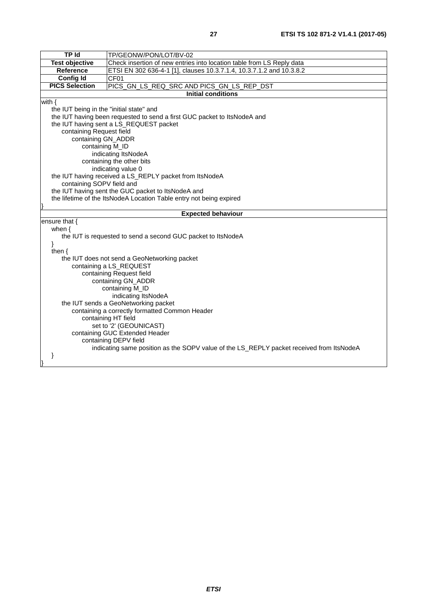| $\overline{TP}$ Id                                                                             | TP/GEONW/PON/LOT/BV-02                                                                   |  |  |
|------------------------------------------------------------------------------------------------|------------------------------------------------------------------------------------------|--|--|
| <b>Test objective</b><br>Check insertion of new entries into location table from LS Reply data |                                                                                          |  |  |
| Reference                                                                                      | ETSI EN 302 636-4-1 [1], clauses 10.3.7.1.4, 10.3.7.1.2 and 10.3.8.2                     |  |  |
| <b>Config Id</b>                                                                               | CF01                                                                                     |  |  |
|                                                                                                | <b>PICS Selection</b><br>PICS_GN_LS_REQ_SRC AND PICS_GN_LS_REP_DST                       |  |  |
|                                                                                                | <b>Initial conditions</b>                                                                |  |  |
| with $\{$                                                                                      |                                                                                          |  |  |
| the IUT being in the "initial state" and                                                       |                                                                                          |  |  |
| the IUT having been requested to send a first GUC packet to ItsNodeA and                       |                                                                                          |  |  |
|                                                                                                | the IUT having sent a LS_REQUEST packet                                                  |  |  |
| containing Request field                                                                       |                                                                                          |  |  |
| containing GN_ADDR                                                                             |                                                                                          |  |  |
| containing M_ID                                                                                |                                                                                          |  |  |
|                                                                                                | indicating ItsNodeA                                                                      |  |  |
|                                                                                                | containing the other bits                                                                |  |  |
|                                                                                                | indicating value 0                                                                       |  |  |
|                                                                                                | the IUT having received a LS_REPLY packet from ItsNodeA                                  |  |  |
|                                                                                                | containing SOPV field and                                                                |  |  |
|                                                                                                | the IUT having sent the GUC packet to ItsNodeA and                                       |  |  |
|                                                                                                | the lifetime of the ItsNodeA Location Table entry not being expired                      |  |  |
|                                                                                                |                                                                                          |  |  |
|                                                                                                |                                                                                          |  |  |
|                                                                                                | <b>Expected behaviour</b>                                                                |  |  |
| ensure that $\{$                                                                               |                                                                                          |  |  |
| when $\{$                                                                                      |                                                                                          |  |  |
|                                                                                                | the IUT is requested to send a second GUC packet to ItsNodeA                             |  |  |
| }                                                                                              |                                                                                          |  |  |
| then $\{$                                                                                      |                                                                                          |  |  |
|                                                                                                | the IUT does not send a GeoNetworking packet                                             |  |  |
|                                                                                                | containing a LS_REQUEST                                                                  |  |  |
|                                                                                                | containing Request field<br>containing GN_ADDR                                           |  |  |
|                                                                                                | containing M_ID                                                                          |  |  |
|                                                                                                | indicating ItsNodeA                                                                      |  |  |
|                                                                                                | the IUT sends a GeoNetworking packet                                                     |  |  |
|                                                                                                | containing a correctly formatted Common Header                                           |  |  |
|                                                                                                | containing HT field                                                                      |  |  |
|                                                                                                | set to '2' (GEOUNICAST)                                                                  |  |  |
|                                                                                                | containing GUC Extended Header                                                           |  |  |
|                                                                                                | containing DEPV field                                                                    |  |  |
|                                                                                                | indicating same position as the SOPV value of the LS_REPLY packet received from ItsNodeA |  |  |
|                                                                                                |                                                                                          |  |  |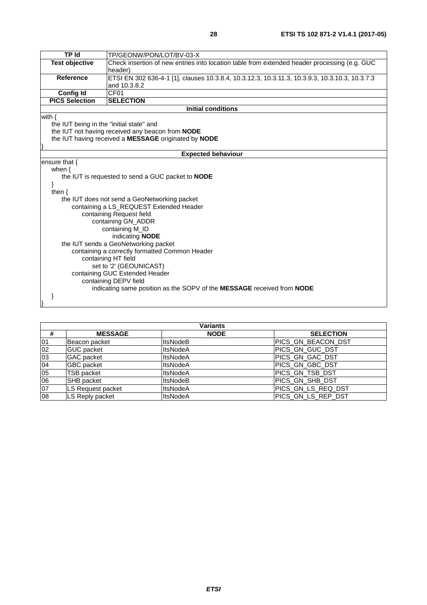| <b>TP</b> Id                                                                                                          | TP/GEONW/PON/LOT/BV-03-X                                                                       |  |
|-----------------------------------------------------------------------------------------------------------------------|------------------------------------------------------------------------------------------------|--|
| <b>Test objective</b><br>Check insertion of new entries into location table from extended header processing (e.g. GUC |                                                                                                |  |
|                                                                                                                       | header)                                                                                        |  |
| <b>Reference</b>                                                                                                      | ETSI EN 302 636-4-1 [1], clauses 10.3.8.4, 10.3.12.3, 10.3.11.3, 10.3.9.3, 10.3.10.3, 10.3.7.3 |  |
|                                                                                                                       | and 10.3.8.2                                                                                   |  |
| <b>Config Id</b>                                                                                                      | CF01                                                                                           |  |
| <b>PICS Selection</b>                                                                                                 | <b>SELECTION</b>                                                                               |  |
|                                                                                                                       | <b>Initial conditions</b>                                                                      |  |
| with $\{$                                                                                                             |                                                                                                |  |
| the IUT being in the "initial state" and                                                                              |                                                                                                |  |
|                                                                                                                       | the IUT not having received any beacon from NODE                                               |  |
|                                                                                                                       | the IUT having received a MESSAGE originated by NODE                                           |  |
|                                                                                                                       |                                                                                                |  |
|                                                                                                                       | <b>Expected behaviour</b>                                                                      |  |
| ensure that {                                                                                                         |                                                                                                |  |
| when $\{$                                                                                                             | the IUT is requested to send a GUC packet to NODE                                              |  |
|                                                                                                                       |                                                                                                |  |
| then $\{$                                                                                                             |                                                                                                |  |
|                                                                                                                       | the IUT does not send a GeoNetworking packet                                                   |  |
|                                                                                                                       | containing a LS_REQUEST Extended Header                                                        |  |
|                                                                                                                       | containing Request field                                                                       |  |
| containing GN_ADDR                                                                                                    |                                                                                                |  |
|                                                                                                                       | containing M_ID                                                                                |  |
| indicating NODE                                                                                                       |                                                                                                |  |
| the IUT sends a GeoNetworking packet                                                                                  |                                                                                                |  |
| containing a correctly formatted Common Header                                                                        |                                                                                                |  |
| containing HT field                                                                                                   |                                                                                                |  |
| set to '2' (GEOUNICAST)                                                                                               |                                                                                                |  |
|                                                                                                                       | containing GUC Extended Header                                                                 |  |
|                                                                                                                       | containing DEPV field                                                                          |  |
|                                                                                                                       | indicating same position as the SOPV of the MESSAGE received from NODE                         |  |
|                                                                                                                       |                                                                                                |  |
|                                                                                                                       |                                                                                                |  |

| <b>Variants</b> |                   |                 |                    |
|-----------------|-------------------|-----------------|--------------------|
| #               | <b>MESSAGE</b>    | <b>NODE</b>     | <b>SELECTION</b>   |
| 01              | Beacon packet     | <b>ItsNodeB</b> | PICS_GN_BEACON_DST |
| $\overline{02}$ | <b>GUC</b> packet | <b>ItsNodeA</b> | PICS GN GUC DST    |
| 03              | <b>GAC</b> packet | <b>ItsNodeA</b> | PICS GN GAC DST    |
| 04              | <b>GBC</b> packet | <b>ItsNodeA</b> | PICS_GN_GBC_DST    |
| $\overline{0}5$ | <b>TSB packet</b> | <b>ItsNodeA</b> | PICS_GN_TSB_DST    |
| 06              | <b>SHB</b> packet | <b>ItsNodeB</b> | PICS_GN_SHB_DST    |
| 07              | LS Request packet | <b>ItsNodeA</b> | PICS_GN_LS_REQ_DST |
| 08              | LS Reply packet   | <b>ItsNodeA</b> | PICS_GN_LS_REP_DST |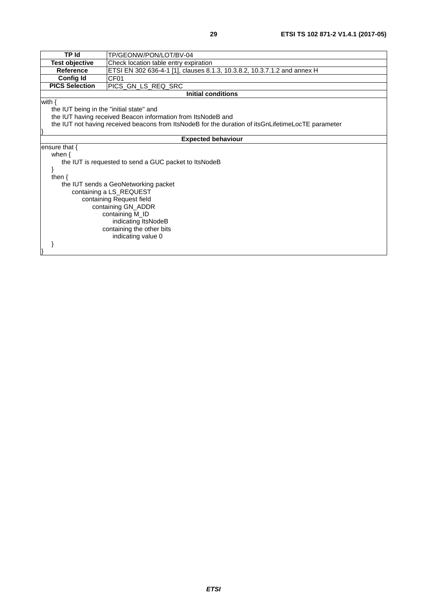| <b>TP Id</b>                                                 | TP/GEONW/PON/LOT/BV-04                                                                             |  |
|--------------------------------------------------------------|----------------------------------------------------------------------------------------------------|--|
| <b>Test objective</b>                                        | Check location table entry expiration                                                              |  |
| <b>Reference</b>                                             | ETSI EN 302 636-4-1 [1], clauses 8.1.3, 10.3.8.2, 10.3.7.1.2 and annex H                           |  |
| <b>Config Id</b>                                             | CF <sub>01</sub>                                                                                   |  |
| <b>PICS Selection</b><br>PICS_GN_LS_REQ_SRC                  |                                                                                                    |  |
|                                                              | <b>Initial conditions</b>                                                                          |  |
| with $\{$                                                    |                                                                                                    |  |
| the IUT being in the "initial state" and                     |                                                                                                    |  |
| the IUT having received Beacon information from ItsNodeB and |                                                                                                    |  |
|                                                              | the IUT not having received beacons from ItsNodeB for the duration of itsGnLifetimeLocTE parameter |  |
|                                                              |                                                                                                    |  |
| <b>Expected behaviour</b>                                    |                                                                                                    |  |
| ensure that $\{$                                             |                                                                                                    |  |
| when $\{$                                                    |                                                                                                    |  |
| the IUT is requested to send a GUC packet to ItsNodeB        |                                                                                                    |  |
|                                                              |                                                                                                    |  |
| then $\{$                                                    |                                                                                                    |  |
| the IUT sends a GeoNetworking packet                         |                                                                                                    |  |
|                                                              | containing a LS_REQUEST                                                                            |  |
| containing Request field                                     |                                                                                                    |  |
| containing GN_ADDR                                           |                                                                                                    |  |
| containing M_ID                                              |                                                                                                    |  |
| indicating ItsNodeB                                          |                                                                                                    |  |
| containing the other bits                                    |                                                                                                    |  |
|                                                              | indicating value 0                                                                                 |  |
|                                                              |                                                                                                    |  |
|                                                              |                                                                                                    |  |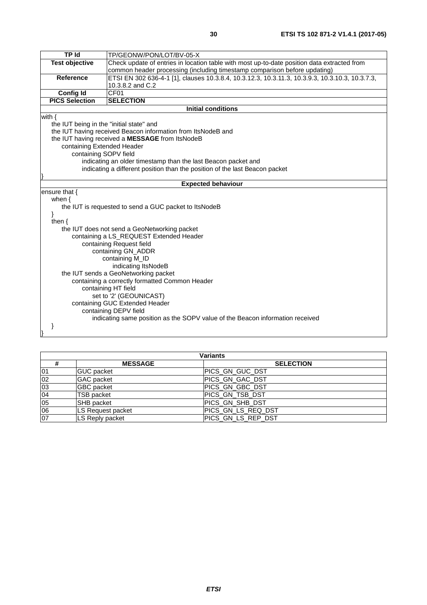|                                                | <b>TP</b> Id<br>TP/GEONW/PON/LOT/BV-05-X                                                        |  |  |
|------------------------------------------------|-------------------------------------------------------------------------------------------------|--|--|
| <b>Test objective</b>                          | Check update of entries in location table with most up-to-date position data extracted from     |  |  |
|                                                | common header processing (including timestamp comparison before updating)                       |  |  |
| <b>Reference</b>                               | ETSI EN 302 636-4-1 [1], clauses 10.3.8.4, 10.3.12.3, 10.3.11.3, 10.3.9.3, 10.3.10.3, 10.3.7.3, |  |  |
|                                                | 10.3.8.2 and C.2                                                                                |  |  |
| <b>Config Id</b><br>CF01                       |                                                                                                 |  |  |
| <b>PICS Selection</b>                          | <b>SELECTION</b>                                                                                |  |  |
|                                                | <b>Initial conditions</b>                                                                       |  |  |
| with $\{$                                      |                                                                                                 |  |  |
| the IUT being in the "initial state" and       |                                                                                                 |  |  |
|                                                | the IUT having received Beacon information from ItsNodeB and                                    |  |  |
|                                                | the IUT having received a MESSAGE from ItsNodeB                                                 |  |  |
| containing Extended Header                     |                                                                                                 |  |  |
| containing SOPV field                          |                                                                                                 |  |  |
|                                                | indicating an older timestamp than the last Beacon packet and                                   |  |  |
|                                                | indicating a different position than the position of the last Beacon packet                     |  |  |
|                                                |                                                                                                 |  |  |
|                                                | <b>Expected behaviour</b>                                                                       |  |  |
| ensure that {                                  |                                                                                                 |  |  |
| when $\{$                                      |                                                                                                 |  |  |
|                                                | the IUT is requested to send a GUC packet to ItsNodeB                                           |  |  |
| ł                                              |                                                                                                 |  |  |
| then $\{$                                      |                                                                                                 |  |  |
|                                                | the IUT does not send a GeoNetworking packet                                                    |  |  |
| containing a LS_REQUEST Extended Header        |                                                                                                 |  |  |
| containing Request field                       |                                                                                                 |  |  |
| containing GN_ADDR                             |                                                                                                 |  |  |
| containing M_ID                                |                                                                                                 |  |  |
| indicating ItsNodeB                            |                                                                                                 |  |  |
| the IUT sends a GeoNetworking packet           |                                                                                                 |  |  |
| containing a correctly formatted Common Header |                                                                                                 |  |  |
| containing HT field                            |                                                                                                 |  |  |
|                                                | set to '2' (GEOUNICAST)                                                                         |  |  |
|                                                | containing GUC Extended Header                                                                  |  |  |
|                                                | containing DEPV field                                                                           |  |  |
|                                                | indicating same position as the SOPV value of the Beacon information received                   |  |  |
|                                                |                                                                                                 |  |  |
|                                                |                                                                                                 |  |  |

| Variants     |                   |                    |
|--------------|-------------------|--------------------|
|              | <b>MESSAGE</b>    | <b>SELECTION</b>   |
| 01           | <b>GUC</b> packet | PICS GN GUC DST    |
| 02           | <b>GAC</b> packet | PICS GN GAC DST    |
| $ 03\rangle$ | <b>GBC</b> packet | PICS GN GBC DST    |
| 04           | <b>TSB</b> packet | PICS GN_TSB_DST    |
| 05           | <b>SHB</b> packet | PICS GN SHB DST    |
| 06           | LS Request packet | PICS_GN_LS_REQ_DST |
| 07           | LS Reply packet   | PICS GN_LS_REP_DST |

}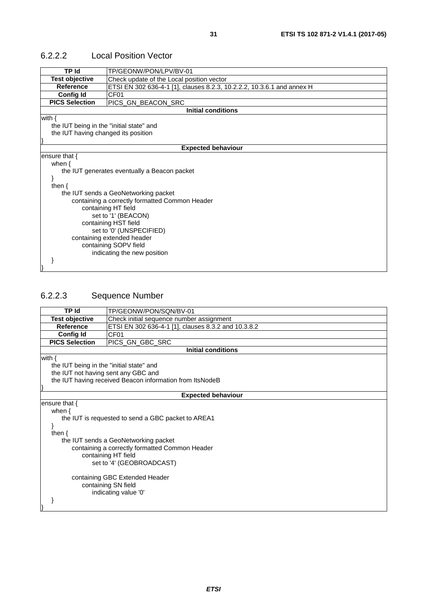| <b>TP Id</b>                             | TP/GEONW/PON/LPV/BV-01                                                 |  |  |
|------------------------------------------|------------------------------------------------------------------------|--|--|
| <b>Test objective</b>                    | Check update of the Local position vector                              |  |  |
| <b>Reference</b>                         | ETSI EN 302 636-4-1 [1], clauses 8.2.3, 10.2.2.2, 10.3.6.1 and annex H |  |  |
| <b>Config Id</b>                         | CF <sub>01</sub>                                                       |  |  |
| <b>PICS Selection</b>                    | PICS_GN_BEACON_SRC                                                     |  |  |
|                                          | <b>Initial conditions</b>                                              |  |  |
| with $\{$                                |                                                                        |  |  |
| the IUT being in the "initial state" and |                                                                        |  |  |
| the IUT having changed its position      |                                                                        |  |  |
|                                          |                                                                        |  |  |
|                                          | <b>Expected behaviour</b>                                              |  |  |
| ensure that $\{$                         |                                                                        |  |  |
| when $\{$                                |                                                                        |  |  |
|                                          | the IUT generates eventually a Beacon packet                           |  |  |
|                                          |                                                                        |  |  |
| then $\{$                                |                                                                        |  |  |
|                                          | the IUT sends a GeoNetworking packet                                   |  |  |
|                                          | containing a correctly formatted Common Header                         |  |  |
|                                          | containing HT field                                                    |  |  |
| set to '1' (BEACON)                      |                                                                        |  |  |
| containing HST field                     |                                                                        |  |  |
| set to '0' (UNSPECIFIED)                 |                                                                        |  |  |
| containing extended header               |                                                                        |  |  |
| containing SOPV field                    |                                                                        |  |  |
|                                          | indicating the new position                                            |  |  |
|                                          |                                                                        |  |  |
|                                          |                                                                        |  |  |

#### <span id="page-30-0"></span>6.2.2.2 Local Position Vector

#### 6.2.2.3 Sequence Number

|                                          | <b>TP Id</b><br>TP/GEONW/PON/SQN/BV-01                            |  |  |
|------------------------------------------|-------------------------------------------------------------------|--|--|
|                                          | <b>Test objective</b><br>Check initial sequence number assignment |  |  |
| <b>Reference</b>                         | ETSI EN 302 636-4-1 [1], clauses 8.3.2 and 10.3.8.2               |  |  |
| <b>Config Id</b>                         | CF <sub>01</sub>                                                  |  |  |
| <b>PICS Selection</b>                    | PICS_GN_GBC_SRC                                                   |  |  |
|                                          | <b>Initial conditions</b>                                         |  |  |
| with $\{$                                |                                                                   |  |  |
| the IUT being in the "initial state" and |                                                                   |  |  |
| the IUT not having sent any GBC and      |                                                                   |  |  |
|                                          | the IUT having received Beacon information from ItsNodeB          |  |  |
|                                          |                                                                   |  |  |
|                                          | <b>Expected behaviour</b>                                         |  |  |
| ensure that $\{$                         |                                                                   |  |  |
| when $\{$                                |                                                                   |  |  |
|                                          | the IUT is requested to send a GBC packet to AREA1                |  |  |
|                                          |                                                                   |  |  |
| then $\{$                                |                                                                   |  |  |
|                                          | the IUT sends a GeoNetworking packet                              |  |  |
|                                          | containing a correctly formatted Common Header                    |  |  |
|                                          | containing HT field                                               |  |  |
| set to '4' (GEOBROADCAST)                |                                                                   |  |  |
|                                          |                                                                   |  |  |
| containing GBC Extended Header           |                                                                   |  |  |
| containing SN field                      |                                                                   |  |  |
| indicating value '0'                     |                                                                   |  |  |
|                                          |                                                                   |  |  |
|                                          |                                                                   |  |  |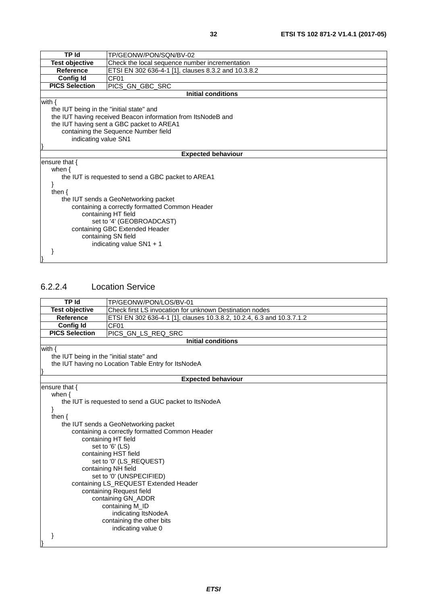<span id="page-31-0"></span>

| <b>TP Id</b>                                   | TP/GEONW/PON/SQN/BV-02                                       |  |  |
|------------------------------------------------|--------------------------------------------------------------|--|--|
| <b>Test objective</b>                          | Check the local sequence number incrementation               |  |  |
| <b>Reference</b>                               | ETSI EN 302 636-4-1 [1], clauses 8.3.2 and 10.3.8.2          |  |  |
| <b>Config Id</b>                               | CF01                                                         |  |  |
| <b>PICS Selection</b>                          | PICS_GN_GBC_SRC                                              |  |  |
|                                                | <b>Initial conditions</b>                                    |  |  |
| with $\{$                                      |                                                              |  |  |
| the IUT being in the "initial state" and       |                                                              |  |  |
|                                                | the IUT having received Beacon information from ItsNodeB and |  |  |
|                                                | the IUT having sent a GBC packet to AREA1                    |  |  |
|                                                | containing the Sequence Number field                         |  |  |
|                                                | indicating value SN1                                         |  |  |
|                                                |                                                              |  |  |
|                                                | <b>Expected behaviour</b>                                    |  |  |
| ensure that {                                  |                                                              |  |  |
| when $\{$                                      |                                                              |  |  |
|                                                | the IUT is requested to send a GBC packet to AREA1           |  |  |
|                                                |                                                              |  |  |
| then $\{$                                      |                                                              |  |  |
|                                                | the IUT sends a GeoNetworking packet                         |  |  |
| containing a correctly formatted Common Header |                                                              |  |  |
| containing HT field                            |                                                              |  |  |
| set to '4' (GEOBROADCAST)                      |                                                              |  |  |
| containing GBC Extended Header                 |                                                              |  |  |
| containing SN field                            |                                                              |  |  |
|                                                | indicating value $SN1 + 1$                                   |  |  |
|                                                |                                                              |  |  |
|                                                |                                                              |  |  |

#### 6.2.2.4 Location Service

| <b>TP Id</b>                             | TP/GEONW/PON/LOS/BV-01                                                                 |  |
|------------------------------------------|----------------------------------------------------------------------------------------|--|
| <b>Test objective</b>                    | Check first LS invocation for unknown Destination nodes                                |  |
| <b>Reference</b>                         | ETSI EN 302 636-4-1 [1], clauses 10.3.8.2, 10.2.4, 6.3 and 10.3.7.1.2                  |  |
| <b>Config Id</b>                         | CF <sub>01</sub>                                                                       |  |
| <b>PICS Selection</b>                    | PICS_GN_LS_REQ_SRC                                                                     |  |
|                                          | <b>Initial conditions</b>                                                              |  |
| with $\{$                                |                                                                                        |  |
| the IUT being in the "initial state" and |                                                                                        |  |
|                                          | the IUT having no Location Table Entry for ItsNodeA                                    |  |
|                                          |                                                                                        |  |
|                                          | <b>Expected behaviour</b>                                                              |  |
| ensure that {                            |                                                                                        |  |
| when $\{$                                |                                                                                        |  |
|                                          | the IUT is requested to send a GUC packet to ItsNodeA                                  |  |
|                                          |                                                                                        |  |
| then $\{$                                |                                                                                        |  |
|                                          | the IUT sends a GeoNetworking packet<br>containing a correctly formatted Common Header |  |
|                                          | containing HT field                                                                    |  |
|                                          | set to '6' (LS)                                                                        |  |
|                                          | containing HST field                                                                   |  |
|                                          | set to '0' (LS_REQUEST)                                                                |  |
|                                          | containing NH field                                                                    |  |
|                                          | set to '0' (UNSPECIFIED)                                                               |  |
|                                          | containing LS_REQUEST Extended Header                                                  |  |
| containing Request field                 |                                                                                        |  |
| containing GN_ADDR                       |                                                                                        |  |
| containing M_ID                          |                                                                                        |  |
|                                          | indicating ItsNodeA                                                                    |  |
|                                          | containing the other bits                                                              |  |
|                                          | indicating value 0                                                                     |  |
|                                          |                                                                                        |  |
|                                          |                                                                                        |  |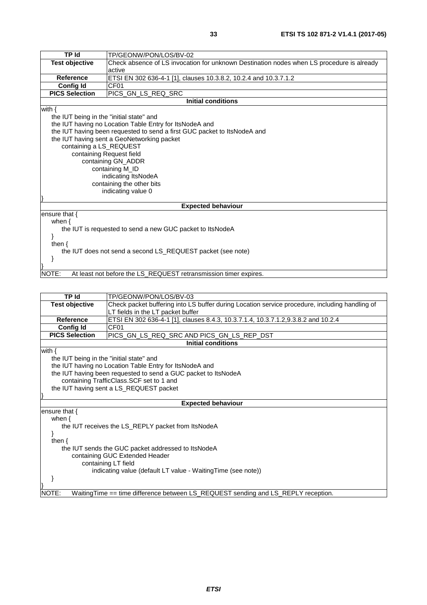| <b>TP Id</b>                                                | TP/GEONW/PON/LOS/BV-02                                                                    |  |  |
|-------------------------------------------------------------|-------------------------------------------------------------------------------------------|--|--|
| <b>Test objective</b>                                       | Check absence of LS invocation for unknown Destination nodes when LS procedure is already |  |  |
|                                                             | active                                                                                    |  |  |
| <b>Reference</b>                                            | ETSI EN 302 636-4-1 [1], clauses 10.3.8.2, 10.2.4 and 10.3.7.1.2                          |  |  |
| <b>Config Id</b>                                            | CF <sub>01</sub>                                                                          |  |  |
| <b>PICS Selection</b>                                       | PICS_GN_LS_REQ_SRC                                                                        |  |  |
|                                                             | <b>Initial conditions</b>                                                                 |  |  |
| with $\{$                                                   |                                                                                           |  |  |
|                                                             | the IUT being in the "initial state" and                                                  |  |  |
|                                                             | the IUT having no Location Table Entry for ItsNodeA and                                   |  |  |
|                                                             | the IUT having been requested to send a first GUC packet to ItsNodeA and                  |  |  |
|                                                             | the IUT having sent a GeoNetworking packet                                                |  |  |
| containing a LS_REQUEST                                     |                                                                                           |  |  |
|                                                             | containing Request field                                                                  |  |  |
|                                                             | containing GN_ADDR                                                                        |  |  |
|                                                             | containing M_ID                                                                           |  |  |
|                                                             | indicating ItsNodeA                                                                       |  |  |
|                                                             | containing the other bits                                                                 |  |  |
|                                                             | indicating value 0                                                                        |  |  |
|                                                             |                                                                                           |  |  |
|                                                             | <b>Expected behaviour</b>                                                                 |  |  |
| ensure that $\{$                                            |                                                                                           |  |  |
| when $\{$                                                   |                                                                                           |  |  |
| the IUT is requested to send a new GUC packet to ItsNodeA   |                                                                                           |  |  |
| ł                                                           |                                                                                           |  |  |
| then $\{$                                                   |                                                                                           |  |  |
| the IUT does not send a second LS REQUEST packet (see note) |                                                                                           |  |  |
|                                                             |                                                                                           |  |  |
|                                                             |                                                                                           |  |  |
| NOTE:                                                       | At least not before the LS_REQUEST retransmission timer expires.                          |  |  |

| <b>TP Id</b>                                       | TP/GEONW/PON/LOS/BV-03                                                                         |  |
|----------------------------------------------------|------------------------------------------------------------------------------------------------|--|
| <b>Test objective</b>                              | Check packet buffering into LS buffer during Location service procedure, including handling of |  |
|                                                    | LT fields in the LT packet buffer                                                              |  |
| <b>Reference</b>                                   | ETSI EN 302 636-4-1 [1], clauses 8.4.3, 10.3.7.1.4, 10.3.7.1.2,9.3.8.2 and 10.2.4              |  |
| <b>Config Id</b>                                   | CF <sub>01</sub>                                                                               |  |
| <b>PICS Selection</b>                              | PICS_GN_LS_REQ_SRC AND PICS_GN_LS_REP_DST                                                      |  |
|                                                    | <b>Initial conditions</b>                                                                      |  |
| with $\{$                                          |                                                                                                |  |
| the IUT being in the "initial state" and           |                                                                                                |  |
|                                                    | the IUT having no Location Table Entry for ItsNodeA and                                        |  |
|                                                    | the IUT having been requested to send a GUC packet to ItsNodeA                                 |  |
|                                                    | containing TrafficClass.SCF set to 1 and                                                       |  |
|                                                    | the IUT having sent a LS_REQUEST packet                                                        |  |
|                                                    |                                                                                                |  |
|                                                    | <b>Expected behaviour</b>                                                                      |  |
| ensure that $\{$                                   |                                                                                                |  |
| when $\{$                                          |                                                                                                |  |
|                                                    | the IUT receives the LS_REPLY packet from ItsNodeA                                             |  |
|                                                    |                                                                                                |  |
| then $\{$                                          |                                                                                                |  |
| the IUT sends the GUC packet addressed to ItsNodeA |                                                                                                |  |
| containing GUC Extended Header                     |                                                                                                |  |
| containing LT field                                |                                                                                                |  |
|                                                    | indicating value (default LT value - Waiting Time (see note))                                  |  |
|                                                    |                                                                                                |  |
|                                                    |                                                                                                |  |
| NOTE:                                              | WaitingTime == time difference between LS_REQUEST sending and LS_REPLY reception.              |  |
|                                                    |                                                                                                |  |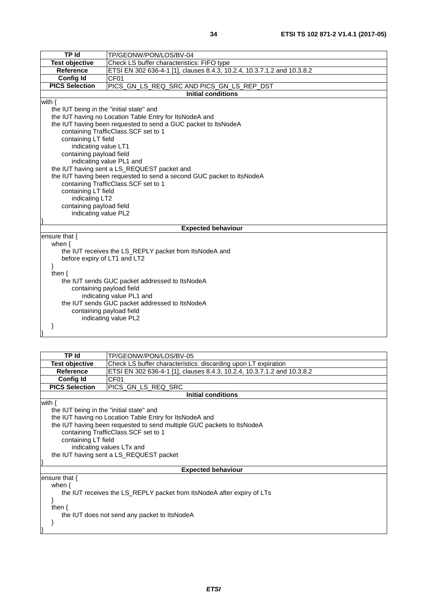| TP Id                                                               | TP/GEONW/PON/LOS/BV-04                                                  |  |  |
|---------------------------------------------------------------------|-------------------------------------------------------------------------|--|--|
| <b>Test objective</b><br>Check LS buffer characteristics: FIFO type |                                                                         |  |  |
| <b>Reference</b>                                                    | ETSI EN 302 636-4-1 [1], clauses 8.4.3, 10.2.4, 10.3.7.1.2 and 10.3.8.2 |  |  |
| Config Id<br>CF01                                                   |                                                                         |  |  |
| <b>PICS Selection</b>                                               | PICS_GN_LS_REQ_SRC AND PICS_GN_LS_REP_DST                               |  |  |
|                                                                     | <b>Initial conditions</b>                                               |  |  |
| with $\{$                                                           |                                                                         |  |  |
| the IUT being in the "initial state" and                            |                                                                         |  |  |
|                                                                     | the IUT having no Location Table Entry for ItsNodeA and                 |  |  |
|                                                                     | the IUT having been requested to send a GUC packet to ItsNodeA          |  |  |
|                                                                     | containing TrafficClass.SCF set to 1                                    |  |  |
| containing LT field                                                 |                                                                         |  |  |
| indicating value LT1                                                |                                                                         |  |  |
| containing payload field                                            |                                                                         |  |  |
|                                                                     | indicating value PL1 and                                                |  |  |
|                                                                     | the IUT having sent a LS_REQUEST packet and                             |  |  |
|                                                                     | the IUT having been requested to send a second GUC packet to ItsNodeA   |  |  |
|                                                                     | containing TrafficClass.SCF set to 1                                    |  |  |
|                                                                     | containing LT field                                                     |  |  |
| indicating LT2                                                      |                                                                         |  |  |
| containing payload field                                            |                                                                         |  |  |
| indicating value PL2                                                |                                                                         |  |  |
|                                                                     |                                                                         |  |  |
|                                                                     | <b>Expected behaviour</b>                                               |  |  |
| ensure that {                                                       |                                                                         |  |  |
| when $\{$                                                           | the IUT receives the LS_REPLY packet from ItsNodeA and                  |  |  |
| before expiry of LT1 and LT2                                        |                                                                         |  |  |
| ł                                                                   |                                                                         |  |  |
| then $\{$                                                           |                                                                         |  |  |
|                                                                     | the IUT sends GUC packet addressed to ItsNodeA                          |  |  |
| containing payload field                                            |                                                                         |  |  |
|                                                                     | indicating value PL1 and                                                |  |  |
|                                                                     | the IUT sends GUC packet addressed to ItsNodeA                          |  |  |
| containing payload field                                            |                                                                         |  |  |
|                                                                     | indicating value PL2                                                    |  |  |
|                                                                     |                                                                         |  |  |
|                                                                     |                                                                         |  |  |

| TP Id                                                                                                                                                                                                                                                                                                                              | TP/GEONW/PON/LOS/BV-05                                                                                                 |  |
|------------------------------------------------------------------------------------------------------------------------------------------------------------------------------------------------------------------------------------------------------------------------------------------------------------------------------------|------------------------------------------------------------------------------------------------------------------------|--|
| Test objective                                                                                                                                                                                                                                                                                                                     | Check LS buffer characteristics: discarding upon LT expiration                                                         |  |
| <b>Reference</b>                                                                                                                                                                                                                                                                                                                   | ETSI EN 302 636-4-1 [1], clauses 8.4.3, 10.2.4, 10.3.7.1.2 and 10.3.8.2                                                |  |
| <b>Config Id</b>                                                                                                                                                                                                                                                                                                                   | CF01                                                                                                                   |  |
| <b>PICS Selection</b>                                                                                                                                                                                                                                                                                                              | PICS_GN_LS_REQ_SRC                                                                                                     |  |
|                                                                                                                                                                                                                                                                                                                                    | <b>Initial conditions</b>                                                                                              |  |
| with $\{$<br>the IUT being in the "initial state" and<br>the IUT having no Location Table Entry for ItsNodeA and<br>the IUT having been requested to send multiple GUC packets to ItsNodeA<br>containing TrafficClass. SCF set to 1<br>containing LT field<br>indicating values LTx and<br>the IUT having sent a LS_REQUEST packet |                                                                                                                        |  |
|                                                                                                                                                                                                                                                                                                                                    | <b>Expected behaviour</b>                                                                                              |  |
| ensure that $\{$<br>when $\{$<br>then $\{$                                                                                                                                                                                                                                                                                         | the IUT receives the LS_REPLY packet from ItsNodeA after expiry of LTs<br>the IUT does not send any packet to ItsNodeA |  |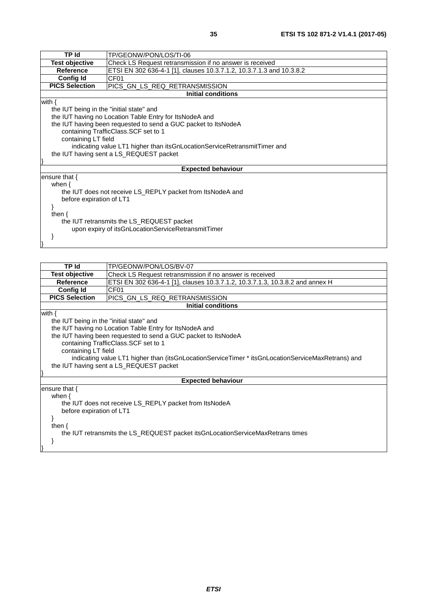| <b>TP Id</b>                                       | TP/GEONW/PON/LOS/TI-06                                                       |  |
|----------------------------------------------------|------------------------------------------------------------------------------|--|
| <b>Test objective</b>                              | Check LS Request retransmission if no answer is received                     |  |
| <b>Reference</b>                                   | ETSI EN 302 636-4-1 [1], clauses 10.3.7.1.2, 10.3.7.1.3 and 10.3.8.2         |  |
| <b>Config Id</b>                                   | CF <sub>01</sub>                                                             |  |
| <b>PICS Selection</b>                              | PICS GN_LS_REQ_RETRANSMISSION                                                |  |
|                                                    | <b>Initial conditions</b>                                                    |  |
| with $\{$                                          |                                                                              |  |
| the IUT being in the "initial state" and           |                                                                              |  |
|                                                    | the IUT having no Location Table Entry for ItsNodeA and                      |  |
|                                                    | the IUT having been requested to send a GUC packet to ItsNodeA               |  |
|                                                    | containing TrafficClass. SCF set to 1                                        |  |
| containing LT field                                |                                                                              |  |
|                                                    | indicating value LT1 higher than its GnLocation Service Retransmit Timer and |  |
| the IUT having sent a LS_REQUEST packet            |                                                                              |  |
|                                                    |                                                                              |  |
|                                                    | <b>Expected behaviour</b>                                                    |  |
| ensure that $\{$                                   |                                                                              |  |
| when $\{$                                          |                                                                              |  |
|                                                    | the IUT does not receive LS_REPLY packet from ItsNodeA and                   |  |
| before expiration of LT1                           |                                                                              |  |
|                                                    |                                                                              |  |
| then $\{$                                          |                                                                              |  |
| the IUT retransmits the LS_REQUEST packet          |                                                                              |  |
| upon expiry of itsGnLocationServiceRetransmitTimer |                                                                              |  |
|                                                    |                                                                              |  |
|                                                    |                                                                              |  |
|                                                    |                                                                              |  |

| <b>TP</b> Id                                                                   | TP/GEONW/PON/LOS/BV-07                                                                            |  |  |
|--------------------------------------------------------------------------------|---------------------------------------------------------------------------------------------------|--|--|
| <b>Test objective</b>                                                          | Check LS Request retransmission if no answer is received                                          |  |  |
| <b>Reference</b>                                                               | ETSI EN 302 636-4-1 [1], clauses 10.3.7.1.2, 10.3.7.1.3, 10.3.8.2 and annex H                     |  |  |
| <b>Config Id</b>                                                               | CF <sub>01</sub>                                                                                  |  |  |
| <b>PICS Selection</b>                                                          | PICS_GN_LS_REQ_RETRANSMISSION                                                                     |  |  |
|                                                                                | <b>Initial conditions</b>                                                                         |  |  |
| with $\{$                                                                      |                                                                                                   |  |  |
| the IUT being in the "initial state" and                                       |                                                                                                   |  |  |
|                                                                                | the IUT having no Location Table Entry for ItsNodeA and                                           |  |  |
|                                                                                | the IUT having been requested to send a GUC packet to ItsNodeA                                    |  |  |
|                                                                                | containing TrafficClass.SCF set to 1                                                              |  |  |
| containing LT field                                                            |                                                                                                   |  |  |
|                                                                                | indicating value LT1 higher than (itsGnLocationServiceTimer * itsGnLocationServiceMaxRetrans) and |  |  |
| the IUT having sent a LS_REQUEST packet                                        |                                                                                                   |  |  |
|                                                                                |                                                                                                   |  |  |
|                                                                                | <b>Expected behaviour</b>                                                                         |  |  |
| ensure that $\{$                                                               |                                                                                                   |  |  |
| when $\{$                                                                      |                                                                                                   |  |  |
| the IUT does not receive LS_REPLY packet from ItsNodeA                         |                                                                                                   |  |  |
| before expiration of LT1                                                       |                                                                                                   |  |  |
|                                                                                |                                                                                                   |  |  |
| then $\{$                                                                      |                                                                                                   |  |  |
| the IUT retransmits the LS_REQUEST packet itsGnLocationServiceMaxRetrans times |                                                                                                   |  |  |
|                                                                                |                                                                                                   |  |  |
|                                                                                |                                                                                                   |  |  |
|                                                                                |                                                                                                   |  |  |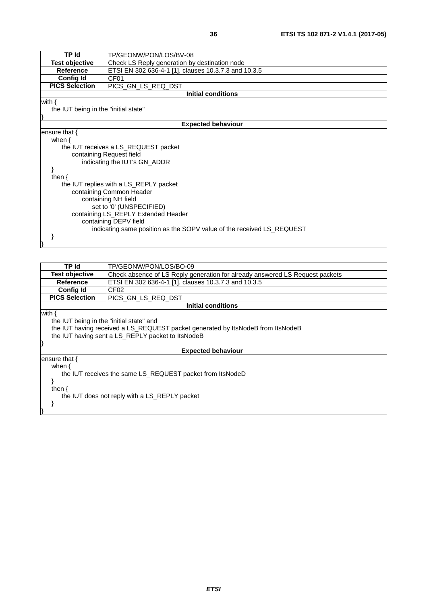| <b>TP Id</b>                                                    | TP/GEONW/PON/LOS/BV-08                                                |  |  |
|-----------------------------------------------------------------|-----------------------------------------------------------------------|--|--|
| Test objective                                                  | Check LS Reply generation by destination node                         |  |  |
| <b>Reference</b>                                                | ETSI EN 302 636-4-1 [1], clauses 10.3.7.3 and 10.3.5                  |  |  |
| <b>Config Id</b>                                                | CF <sub>01</sub>                                                      |  |  |
| <b>PICS Selection</b>                                           | PICS_GN_LS_REQ_DST                                                    |  |  |
|                                                                 | <b>Initial conditions</b>                                             |  |  |
| with $\{$                                                       |                                                                       |  |  |
| the IUT being in the "initial state"                            |                                                                       |  |  |
|                                                                 |                                                                       |  |  |
|                                                                 | <b>Expected behaviour</b>                                             |  |  |
|                                                                 | ensure that $\{$                                                      |  |  |
| when $\{$                                                       |                                                                       |  |  |
|                                                                 | the IUT receives a LS_REQUEST packet                                  |  |  |
|                                                                 | containing Request field                                              |  |  |
| indicating the IUT's GN_ADDR                                    |                                                                       |  |  |
|                                                                 |                                                                       |  |  |
| then $\{$                                                       |                                                                       |  |  |
|                                                                 | the IUT replies with a LS_REPLY packet                                |  |  |
| containing Common Header                                        |                                                                       |  |  |
| containing NH field                                             |                                                                       |  |  |
| set to '0' (UNSPECIFIED)<br>containing LS_REPLY Extended Header |                                                                       |  |  |
| containing DEPV field                                           |                                                                       |  |  |
|                                                                 | indicating same position as the SOPV value of the received LS_REQUEST |  |  |
|                                                                 |                                                                       |  |  |
|                                                                 |                                                                       |  |  |
|                                                                 |                                                                       |  |  |

| Initial conditions                                        |  |  |
|-----------------------------------------------------------|--|--|
|                                                           |  |  |
| the IUT being in the "initial state" and                  |  |  |
|                                                           |  |  |
|                                                           |  |  |
|                                                           |  |  |
|                                                           |  |  |
|                                                           |  |  |
|                                                           |  |  |
| the IUT receives the same LS_REQUEST packet from ItsNodeD |  |  |
|                                                           |  |  |
|                                                           |  |  |
|                                                           |  |  |
| the IUT does not reply with a LS_REPLY packet             |  |  |
|                                                           |  |  |
|                                                           |  |  |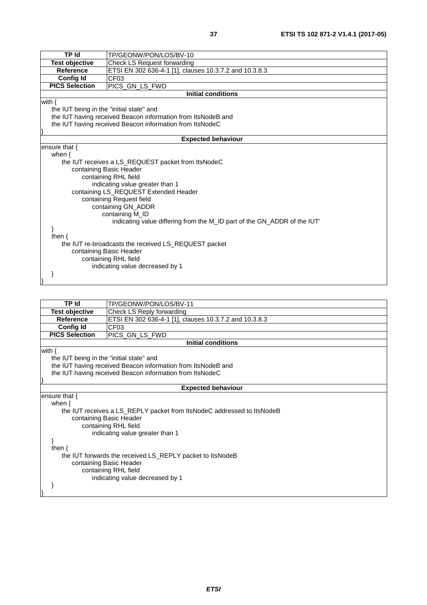| TP Id                                                                   | TP/GEONW/PON/LOS/BV-10                                       |  |
|-------------------------------------------------------------------------|--------------------------------------------------------------|--|
| <b>Test objective</b>                                                   | Check LS Request forwarding                                  |  |
| <b>Reference</b>                                                        | ETSI EN 302 636-4-1 [1], clauses 10.3.7.2 and 10.3.8.3       |  |
| <b>Config Id</b>                                                        | CF03                                                         |  |
| <b>PICS Selection</b>                                                   | PICS_GN_LS_FWD                                               |  |
|                                                                         | <b>Initial conditions</b>                                    |  |
| with $\{$                                                               |                                                              |  |
| the IUT being in the "initial state" and                                |                                                              |  |
|                                                                         | the IUT having received Beacon information from ItsNodeB and |  |
|                                                                         | the IUT having received Beacon information from ItsNodeC     |  |
|                                                                         |                                                              |  |
|                                                                         | <b>Expected behaviour</b>                                    |  |
| ensure that {                                                           |                                                              |  |
| when $\{$                                                               |                                                              |  |
|                                                                         | the IUT receives a LS_REQUEST packet from ItsNodeC           |  |
|                                                                         | containing Basic Header                                      |  |
|                                                                         | containing RHL field                                         |  |
|                                                                         | indicating value greater than 1                              |  |
|                                                                         | containing LS_REQUEST Extended Header                        |  |
|                                                                         | containing Request field                                     |  |
|                                                                         | containing GN_ADDR                                           |  |
|                                                                         | containing M_ID                                              |  |
| indicating value differing from the M_ID part of the GN_ADDR of the IUT |                                                              |  |
|                                                                         |                                                              |  |
| then $\{$                                                               |                                                              |  |
|                                                                         | the IUT re-broadcasts the received LS_REQUEST packet         |  |
| containing Basic Header                                                 |                                                              |  |
|                                                                         | containing RHL field                                         |  |
|                                                                         | indicating value decreased by 1                              |  |
|                                                                         |                                                              |  |
|                                                                         |                                                              |  |

| TP Id                                                     | TP/GEONW/PON/LOS/BV-11                                                 |  |
|-----------------------------------------------------------|------------------------------------------------------------------------|--|
| Test objective                                            | Check LS Reply forwarding                                              |  |
| Reference                                                 | ETSI EN 302 636-4-1 [1], clauses 10.3.7.2 and 10.3.8.3                 |  |
| <b>Config Id</b>                                          | CF <sub>03</sub>                                                       |  |
| <b>PICS Selection</b>                                     | PICS_GN_LS_FWD                                                         |  |
|                                                           | <b>Initial conditions</b>                                              |  |
| with $\{$                                                 |                                                                        |  |
| the IUT being in the "initial state" and                  |                                                                        |  |
|                                                           | the IUT having received Beacon information from ItsNodeB and           |  |
|                                                           | the IUT having received Beacon information from ItsNodeC               |  |
|                                                           |                                                                        |  |
|                                                           | <b>Expected behaviour</b>                                              |  |
| ensure that $\{$                                          |                                                                        |  |
| when $\{$                                                 |                                                                        |  |
|                                                           | the IUT receives a LS_REPLY packet from ItsNodeC addressed to ItsNodeB |  |
|                                                           | containing Basic Header                                                |  |
|                                                           | containing RHL field                                                   |  |
|                                                           | indicating value greater than 1                                        |  |
|                                                           |                                                                        |  |
| then $\{$                                                 |                                                                        |  |
| the IUT forwards the received LS_REPLY packet to ItsNodeB |                                                                        |  |
| containing Basic Header                                   |                                                                        |  |
| containing RHL field                                      |                                                                        |  |
| indicating value decreased by 1                           |                                                                        |  |
|                                                           |                                                                        |  |
|                                                           |                                                                        |  |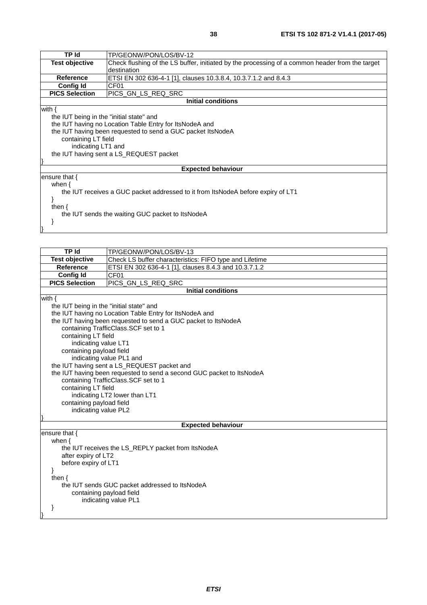| TP Id                                                                            | TP/GEONW/PON/LOS/BV-12                                                                          |
|----------------------------------------------------------------------------------|-------------------------------------------------------------------------------------------------|
| <b>Test objective</b>                                                            | Check flushing of the LS buffer, initiated by the processing of a common header from the target |
|                                                                                  | destination                                                                                     |
| <b>Reference</b>                                                                 | ETSI EN 302 636-4-1 [1], clauses 10.3.8.4, 10.3.7.1.2 and 8.4.3                                 |
| <b>Config Id</b>                                                                 | CF <sub>01</sub>                                                                                |
| <b>PICS Selection</b>                                                            | IPICS GN LS REQ SRC                                                                             |
|                                                                                  | <b>Initial conditions</b>                                                                       |
| with $\{$                                                                        |                                                                                                 |
| the IUT being in the "initial state" and                                         |                                                                                                 |
|                                                                                  | the IUT having no Location Table Entry for ItsNodeA and                                         |
|                                                                                  | the IUT having been requested to send a GUC packet ItsNodeA                                     |
| containing LT field                                                              |                                                                                                 |
| indicating LT1 and                                                               |                                                                                                 |
| the IUT having sent a LS_REQUEST packet                                          |                                                                                                 |
|                                                                                  |                                                                                                 |
|                                                                                  | <b>Expected behaviour</b>                                                                       |
| ensure that $\{$                                                                 |                                                                                                 |
| when $\{$                                                                        |                                                                                                 |
| the IUT receives a GUC packet addressed to it from ItsNodeA before expiry of LT1 |                                                                                                 |
|                                                                                  |                                                                                                 |
| then $\{$                                                                        |                                                                                                 |
| the IUT sends the waiting GUC packet to ItsNodeA                                 |                                                                                                 |
|                                                                                  |                                                                                                 |
|                                                                                  |                                                                                                 |
|                                                                                  |                                                                                                 |

| <b>TP</b> Id                                   | TP/GEONW/PON/LOS/BV-13                                                |  |
|------------------------------------------------|-----------------------------------------------------------------------|--|
| <b>Test objective</b>                          | Check LS buffer characteristics: FIFO type and Lifetime               |  |
| <b>Reference</b>                               | ETSI EN 302 636-4-1 [1], clauses 8.4.3 and 10.3.7.1.2                 |  |
| <b>Config Id</b>                               | CF <sub>01</sub>                                                      |  |
| <b>PICS Selection</b>                          | PICS_GN_LS_REQ_SRC                                                    |  |
|                                                | <b>Initial conditions</b>                                             |  |
| with $\{$                                      |                                                                       |  |
| the IUT being in the "initial state" and       |                                                                       |  |
|                                                | the IUT having no Location Table Entry for ItsNodeA and               |  |
|                                                | the IUT having been requested to send a GUC packet to ItsNodeA        |  |
|                                                | containing TrafficClass.SCF set to 1                                  |  |
| containing LT field                            |                                                                       |  |
| indicating value LT1                           |                                                                       |  |
| containing payload field                       |                                                                       |  |
|                                                | indicating value PL1 and                                              |  |
|                                                | the IUT having sent a LS_REQUEST packet and                           |  |
|                                                | the IUT having been requested to send a second GUC packet to ItsNodeA |  |
|                                                | containing TrafficClass. SCF set to 1                                 |  |
| containing LT field                            |                                                                       |  |
|                                                | indicating LT2 lower than LT1                                         |  |
| containing payload field                       |                                                                       |  |
| indicating value PL2                           |                                                                       |  |
|                                                |                                                                       |  |
| <b>Expected behaviour</b>                      |                                                                       |  |
| ensure that $\{$                               |                                                                       |  |
| when $\{$                                      |                                                                       |  |
|                                                | the IUT receives the LS_REPLY packet from ItsNodeA                    |  |
| after expiry of LT2                            |                                                                       |  |
| before expiry of LT1                           |                                                                       |  |
| <sup>}</sup>                                   |                                                                       |  |
| then $\{$                                      |                                                                       |  |
| the IUT sends GUC packet addressed to ItsNodeA |                                                                       |  |
| containing payload field                       |                                                                       |  |
| indicating value PL1                           |                                                                       |  |
| ł                                              |                                                                       |  |
|                                                |                                                                       |  |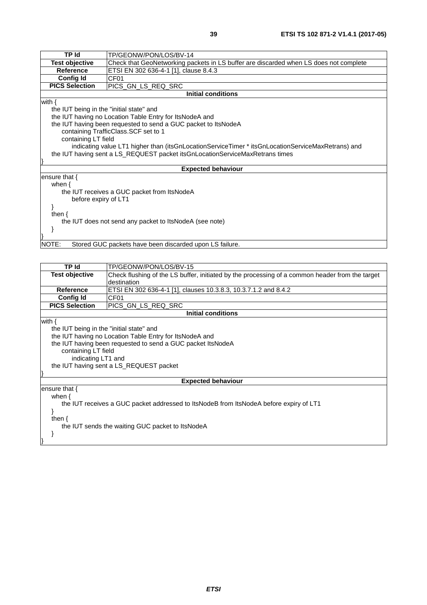| TP Id                                                            | TP/GEONW/PON/LOS/BV-14                                                                            |  |
|------------------------------------------------------------------|---------------------------------------------------------------------------------------------------|--|
| Test objective                                                   | Check that GeoNetworking packets in LS buffer are discarded when LS does not complete             |  |
| <b>Reference</b>                                                 | ETSI EN 302 636-4-1 [1], clause 8.4.3                                                             |  |
| Config Id                                                        | CF <sub>01</sub>                                                                                  |  |
| <b>PICS Selection</b>                                            | PICS_GN_LS_REQ_SRC                                                                                |  |
|                                                                  | <b>Initial conditions</b>                                                                         |  |
| with $\{$                                                        |                                                                                                   |  |
| the IUT being in the "initial state" and                         |                                                                                                   |  |
|                                                                  | the IUT having no Location Table Entry for ItsNodeA and                                           |  |
|                                                                  | the IUT having been requested to send a GUC packet to ItsNodeA                                    |  |
|                                                                  | containing TrafficClass. SCF set to 1                                                             |  |
| containing LT field                                              |                                                                                                   |  |
|                                                                  | indicating value LT1 higher than (itsGnLocationServiceTimer * itsGnLocationServiceMaxRetrans) and |  |
|                                                                  | the IUT having sent a LS_REQUEST packet itsGnLocationServiceMaxRetrans times                      |  |
|                                                                  |                                                                                                   |  |
|                                                                  | <b>Expected behaviour</b>                                                                         |  |
| ensure that $\{$                                                 |                                                                                                   |  |
| when $\{$                                                        |                                                                                                   |  |
| the IUT receives a GUC packet from ItsNodeA                      |                                                                                                   |  |
| before expiry of LT1                                             |                                                                                                   |  |
|                                                                  |                                                                                                   |  |
| then $\{$                                                        |                                                                                                   |  |
| the IUT does not send any packet to ItsNodeA (see note)          |                                                                                                   |  |
|                                                                  |                                                                                                   |  |
|                                                                  |                                                                                                   |  |
| NOTE:<br>Stored GUC packets have been discarded upon LS failure. |                                                                                                   |  |
|                                                                  |                                                                                                   |  |

| TP Id                                                                                                                                                                                    | TP/GEONW/PON/LOS/BV-15                                                                                                                                            |
|------------------------------------------------------------------------------------------------------------------------------------------------------------------------------------------|-------------------------------------------------------------------------------------------------------------------------------------------------------------------|
| <b>Test objective</b>                                                                                                                                                                    | Check flushing of the LS buffer, initiated by the processing of a common header from the target<br>destination                                                    |
| <b>Reference</b>                                                                                                                                                                         | ETSI EN 302 636-4-1 [1], clauses 10.3.8.3, 10.3.7.1.2 and 8.4.2                                                                                                   |
| <b>Config Id</b>                                                                                                                                                                         | CF <sub>01</sub>                                                                                                                                                  |
| <b>PICS Selection</b>                                                                                                                                                                    | PICS_GN_LS_REQ_SRC                                                                                                                                                |
|                                                                                                                                                                                          | <b>Initial conditions</b>                                                                                                                                         |
| with {<br>the IUT being in the "initial state" and<br>containing LT field<br>indicating LT1 and                                                                                          | the IUT having no Location Table Entry for ItsNodeA and<br>the IUT having been requested to send a GUC packet ItsNodeA<br>the IUT having sent a LS_REQUEST packet |
|                                                                                                                                                                                          | <b>Expected behaviour</b>                                                                                                                                         |
| ensure that $\{$<br>when $\{$<br>the IUT receives a GUC packet addressed to ItsNodeB from ItsNodeA before expiry of LT1<br>then $\{$<br>the IUT sends the waiting GUC packet to ItsNodeA |                                                                                                                                                                   |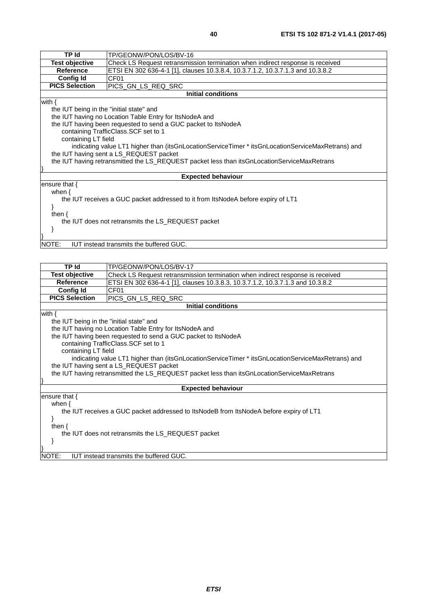| <b>TP</b> Id                                                                                  | TP/GEONW/PON/LOS/BV-16                                                                            |  |
|-----------------------------------------------------------------------------------------------|---------------------------------------------------------------------------------------------------|--|
| <b>Test objective</b>                                                                         | Check LS Request retransmission termination when indirect response is received                    |  |
| <b>Reference</b>                                                                              | ETSI EN 302 636-4-1 [1], clauses 10.3.8.4, 10.3.7.1.2, 10.3.7.1.3 and 10.3.8.2                    |  |
| <b>Config Id</b>                                                                              | CF <sub>01</sub>                                                                                  |  |
| <b>PICS Selection</b>                                                                         | PICS_GN_LS_REQ_SRC                                                                                |  |
|                                                                                               | <b>Initial conditions</b>                                                                         |  |
| with $\{$                                                                                     |                                                                                                   |  |
| the IUT being in the "initial state" and                                                      |                                                                                                   |  |
|                                                                                               | the IUT having no Location Table Entry for ItsNodeA and                                           |  |
|                                                                                               | the IUT having been requested to send a GUC packet to ItsNodeA                                    |  |
|                                                                                               | containing TrafficClass. SCF set to 1                                                             |  |
|                                                                                               | containing LT field                                                                               |  |
|                                                                                               | indicating value LT1 higher than (itsGnLocationServiceTimer * itsGnLocationServiceMaxRetrans) and |  |
| the IUT having sent a LS_REQUEST packet                                                       |                                                                                                   |  |
| the IUT having retransmitted the LS_REQUEST packet less than itsGnLocationServiceMaxRetrans   |                                                                                                   |  |
|                                                                                               |                                                                                                   |  |
| <b>Expected behaviour</b>                                                                     |                                                                                                   |  |
| ensure that $\{$                                                                              |                                                                                                   |  |
| when $\{$<br>the IUT receives a GUC packet addressed to it from ItsNodeA before expiry of LT1 |                                                                                                   |  |
|                                                                                               |                                                                                                   |  |
| then $\{$                                                                                     |                                                                                                   |  |
| the IUT does not retransmits the LS_REQUEST packet                                            |                                                                                                   |  |
|                                                                                               |                                                                                                   |  |
|                                                                                               |                                                                                                   |  |
| <b>IUT instead transmits the buffered GUC.</b><br>NOTE:                                       |                                                                                                   |  |

| TP Id                                              | TP/GEONW/PON/LOS/BV-17                                                                            |  |
|----------------------------------------------------|---------------------------------------------------------------------------------------------------|--|
| <b>Test objective</b>                              | Check LS Request retransmission termination when indirect response is received                    |  |
| <b>Reference</b>                                   | ETSI EN 302 636-4-1 [1], clauses 10.3.8.3, 10.3.7.1.2, 10.3.7.1.3 and 10.3.8.2                    |  |
| <b>Config Id</b>                                   | CF <sub>01</sub>                                                                                  |  |
| <b>PICS Selection</b>                              | PICS GN LS REQ SRC                                                                                |  |
|                                                    | <b>Initial conditions</b>                                                                         |  |
| with $\{$                                          |                                                                                                   |  |
| the IUT being in the "initial state" and           |                                                                                                   |  |
|                                                    | the IUT having no Location Table Entry for ItsNodeA and                                           |  |
|                                                    | the IUT having been requested to send a GUC packet to ItsNodeA                                    |  |
|                                                    | containing TrafficClass. SCF set to 1                                                             |  |
| containing LT field                                |                                                                                                   |  |
|                                                    | indicating value LT1 higher than (itsGnLocationServiceTimer * itsGnLocationServiceMaxRetrans) and |  |
| the IUT having sent a LS_REQUEST packet            |                                                                                                   |  |
|                                                    | the IUT having retransmitted the LS_REQUEST packet less than itsGnLocationServiceMaxRetrans       |  |
|                                                    |                                                                                                   |  |
| <b>Expected behaviour</b>                          |                                                                                                   |  |
| ensure that $\{$                                   |                                                                                                   |  |
| when $\{$                                          |                                                                                                   |  |
|                                                    | the IUT receives a GUC packet addressed to ItsNodeB from ItsNodeA before expiry of LT1            |  |
|                                                    |                                                                                                   |  |
| then $\{$                                          |                                                                                                   |  |
| the IUT does not retransmits the LS_REQUEST packet |                                                                                                   |  |
|                                                    |                                                                                                   |  |
|                                                    |                                                                                                   |  |
| NOTE:                                              | IUT instead transmits the buffered GUC.                                                           |  |
|                                                    |                                                                                                   |  |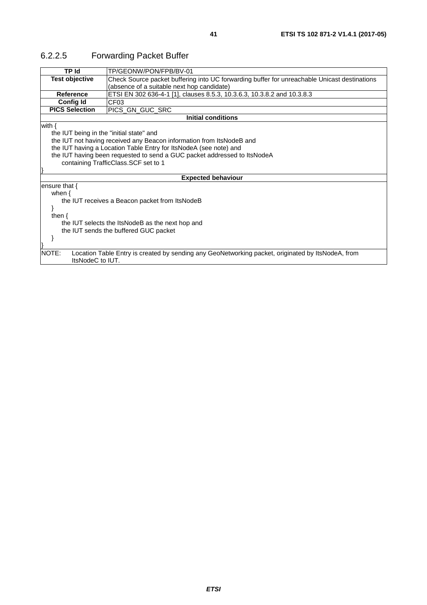| TP Id                                            | TP/GEONW/PON/FPB/BV-01                                                                            |  |
|--------------------------------------------------|---------------------------------------------------------------------------------------------------|--|
| <b>Test objective</b>                            | Check Source packet buffering into UC forwarding buffer for unreachable Unicast destinations      |  |
|                                                  | (absence of a suitable next hop candidate)                                                        |  |
| Reference                                        | ETSI EN 302 636-4-1 [1], clauses 8.5.3, 10.3.6.3, 10.3.8.2 and 10.3.8.3                           |  |
| <b>Config Id</b>                                 | CF <sub>03</sub>                                                                                  |  |
| <b>PICS Selection</b>                            | PICS GN GUC SRC                                                                                   |  |
|                                                  | <b>Initial conditions</b>                                                                         |  |
| with $\{$                                        |                                                                                                   |  |
|                                                  | the IUT being in the "initial state" and                                                          |  |
|                                                  | the IUT not having received any Beacon information from ItsNodeB and                              |  |
|                                                  | the IUT having a Location Table Entry for ItsNodeA (see note) and                                 |  |
|                                                  | the IUT having been requested to send a GUC packet addressed to ItsNodeA                          |  |
|                                                  | containing TrafficClass.SCF set to 1                                                              |  |
|                                                  |                                                                                                   |  |
| <b>Expected behaviour</b>                        |                                                                                                   |  |
| ensure that $\{$                                 |                                                                                                   |  |
| when $\{$                                        |                                                                                                   |  |
|                                                  | the IUT receives a Beacon packet from ItsNodeB                                                    |  |
|                                                  |                                                                                                   |  |
| then $\{$                                        |                                                                                                   |  |
| the IUT selects the ItsNodeB as the next hop and |                                                                                                   |  |
| the IUT sends the buffered GUC packet            |                                                                                                   |  |
|                                                  |                                                                                                   |  |
|                                                  |                                                                                                   |  |
| NOTE:<br>ItsNodeC to IUT.                        | Location Table Entry is created by sending any GeoNetworking packet, originated by ItsNodeA, from |  |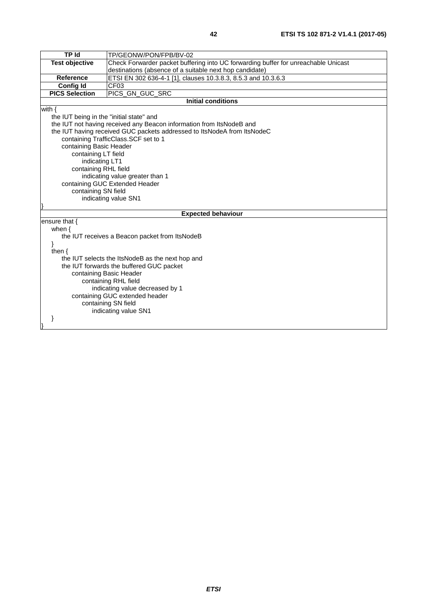| TP Id                                            | TP/GEONW/PON/FPB/BV-02                                                             |  |
|--------------------------------------------------|------------------------------------------------------------------------------------|--|
| <b>Test objective</b>                            | Check Forwarder packet buffering into UC forwarding buffer for unreachable Unicast |  |
|                                                  | destinations (absence of a suitable next hop candidate)                            |  |
| <b>Reference</b>                                 | ETSI EN 302 636-4-1 [1], clauses 10.3.8.3, 8.5.3 and 10.3.6.3                      |  |
| <b>Config Id</b>                                 | CF <sub>03</sub>                                                                   |  |
| <b>PICS Selection</b>                            | PICS_GN_GUC_SRC                                                                    |  |
|                                                  | <b>Initial conditions</b>                                                          |  |
| with $\{$                                        |                                                                                    |  |
| the IUT being in the "initial state" and         |                                                                                    |  |
|                                                  | the IUT not having received any Beacon information from ItsNodeB and               |  |
|                                                  | the IUT having received GUC packets addressed to ItsNodeA from ItsNodeC            |  |
|                                                  | containing TrafficClass.SCF set to 1                                               |  |
| containing Basic Header                          |                                                                                    |  |
| containing LT field                              |                                                                                    |  |
| indicating LT1                                   |                                                                                    |  |
| containing RHL field                             |                                                                                    |  |
|                                                  | indicating value greater than 1                                                    |  |
|                                                  | containing GUC Extended Header                                                     |  |
| containing SN field                              |                                                                                    |  |
|                                                  | indicating value SN1                                                               |  |
|                                                  | <b>Expected behaviour</b>                                                          |  |
| ensure that {                                    |                                                                                    |  |
| when $\{$                                        |                                                                                    |  |
| the IUT receives a Beacon packet from ItsNodeB   |                                                                                    |  |
|                                                  |                                                                                    |  |
| then $\{$                                        |                                                                                    |  |
| the IUT selects the ItsNodeB as the next hop and |                                                                                    |  |
| the IUT forwards the buffered GUC packet         |                                                                                    |  |
| containing Basic Header                          |                                                                                    |  |
| containing RHL field                             |                                                                                    |  |
| indicating value decreased by 1                  |                                                                                    |  |
| containing GUC extended header                   |                                                                                    |  |
| containing SN field                              |                                                                                    |  |
|                                                  | indicating value SN1                                                               |  |
|                                                  |                                                                                    |  |
|                                                  |                                                                                    |  |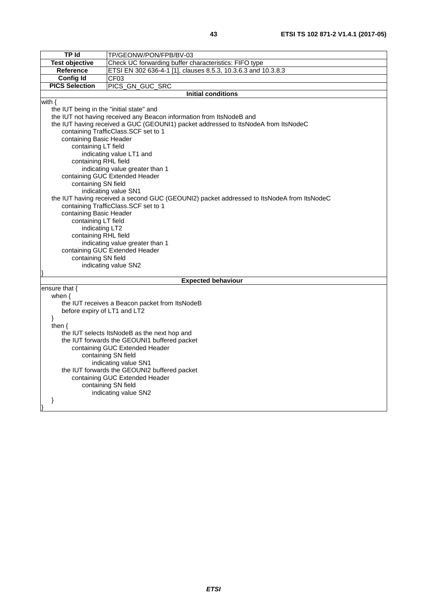| <b>TP Id</b>                                 | TP/GEONW/PON/FPB/BV-03                                                                    |  |
|----------------------------------------------|-------------------------------------------------------------------------------------------|--|
| <b>Test objective</b>                        | Check UC forwarding buffer characteristics: FIFO type                                     |  |
| <b>Reference</b>                             | ETSI EN 302 636-4-1 [1], clauses 8.5.3, 10.3.6.3 and 10.3.8.3                             |  |
| <b>Config Id</b>                             | CF <sub>03</sub>                                                                          |  |
| <b>PICS Selection</b>                        | PICS_GN_GUC_SRC                                                                           |  |
|                                              | <b>Initial conditions</b>                                                                 |  |
| with $\{$                                    |                                                                                           |  |
| the IUT being in the "initial state" and     |                                                                                           |  |
|                                              | the IUT not having received any Beacon information from ItsNodeB and                      |  |
|                                              | the IUT having received a GUC (GEOUNI1) packet addressed to ItsNodeA from ItsNodeC        |  |
|                                              | containing TrafficClass.SCF set to 1                                                      |  |
| containing Basic Header                      |                                                                                           |  |
| containing LT field                          |                                                                                           |  |
|                                              | indicating value LT1 and                                                                  |  |
| containing RHL field                         |                                                                                           |  |
|                                              | indicating value greater than 1<br>containing GUC Extended Header                         |  |
| containing SN field                          |                                                                                           |  |
|                                              | indicating value SN1                                                                      |  |
|                                              | the IUT having received a second GUC (GEOUNI2) packet addressed to ItsNodeA from ItsNodeC |  |
|                                              | containing TrafficClass.SCF set to 1                                                      |  |
| containing Basic Header                      |                                                                                           |  |
| containing LT field                          |                                                                                           |  |
| indicating LT2                               |                                                                                           |  |
| containing RHL field                         |                                                                                           |  |
|                                              | indicating value greater than 1                                                           |  |
|                                              | containing GUC Extended Header                                                            |  |
|                                              | containing SN field                                                                       |  |
|                                              | indicating value SN2                                                                      |  |
|                                              |                                                                                           |  |
|                                              | <b>Expected behaviour</b>                                                                 |  |
| ensure that {                                |                                                                                           |  |
| when $\{$                                    | the IUT receives a Beacon packet from ItsNodeB                                            |  |
| before expiry of LT1 and LT2                 |                                                                                           |  |
| }                                            |                                                                                           |  |
| then $\{$                                    |                                                                                           |  |
| the IUT selects ItsNodeB as the next hop and |                                                                                           |  |
| the IUT forwards the GEOUNI1 buffered packet |                                                                                           |  |
| containing GUC Extended Header               |                                                                                           |  |
| containing SN field                          |                                                                                           |  |
| indicating value SN1                         |                                                                                           |  |
|                                              | the IUT forwards the GEOUNI2 buffered packet                                              |  |
|                                              | containing GUC Extended Header                                                            |  |
|                                              | containing SN field                                                                       |  |
|                                              | indicating value SN2                                                                      |  |
| }                                            |                                                                                           |  |
|                                              |                                                                                           |  |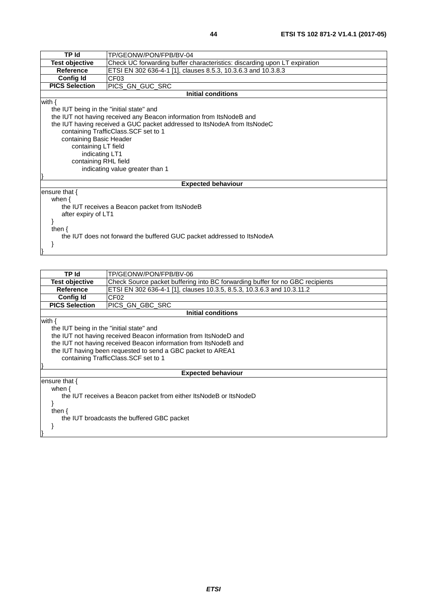| <b>TP Id</b>                             | TP/GEONW/PON/FPB/BV-04                                                    |  |  |  |  |
|------------------------------------------|---------------------------------------------------------------------------|--|--|--|--|
| <b>Test objective</b>                    | Check UC forwarding buffer characteristics: discarding upon LT expiration |  |  |  |  |
| <b>Reference</b>                         | ETSI EN 302 636-4-1 [1], clauses 8.5.3, 10.3.6.3 and 10.3.8.3             |  |  |  |  |
| <b>Config Id</b>                         | CF <sub>03</sub>                                                          |  |  |  |  |
| <b>PICS Selection</b>                    | PICS_GN_GUC_SRC                                                           |  |  |  |  |
|                                          | <b>Initial conditions</b>                                                 |  |  |  |  |
| with $\{$                                |                                                                           |  |  |  |  |
| the IUT being in the "initial state" and |                                                                           |  |  |  |  |
|                                          | the IUT not having received any Beacon information from ItsNodeB and      |  |  |  |  |
|                                          | the IUT having received a GUC packet addressed to ItsNodeA from ItsNodeC  |  |  |  |  |
|                                          | containing TrafficClass.SCF set to 1                                      |  |  |  |  |
|                                          | containing Basic Header                                                   |  |  |  |  |
|                                          | containing LT field                                                       |  |  |  |  |
| indicating LT1                           |                                                                           |  |  |  |  |
| containing RHL field                     |                                                                           |  |  |  |  |
|                                          | indicating value greater than 1                                           |  |  |  |  |
|                                          |                                                                           |  |  |  |  |
|                                          | <b>Expected behaviour</b>                                                 |  |  |  |  |
| ensure that $\{$                         |                                                                           |  |  |  |  |
| when $\{$                                |                                                                           |  |  |  |  |
|                                          | the IUT receives a Beacon packet from ItsNodeB                            |  |  |  |  |
| after expiry of LT1                      |                                                                           |  |  |  |  |
|                                          |                                                                           |  |  |  |  |
| then $\{$                                |                                                                           |  |  |  |  |
|                                          | the IUT does not forward the buffered GUC packet addressed to ItsNodeA    |  |  |  |  |
|                                          |                                                                           |  |  |  |  |
|                                          |                                                                           |  |  |  |  |

| TP Id                                                             | TP/GEONW/PON/FPB/BV-06                                                        |  |  |  |  |
|-------------------------------------------------------------------|-------------------------------------------------------------------------------|--|--|--|--|
| Test objective                                                    | Check Source packet buffering into BC forwarding buffer for no GBC recipients |  |  |  |  |
| <b>Reference</b>                                                  | ETSI EN 302 636-4-1 [1], clauses 10.3.5, 8.5.3, 10.3.6.3 and 10.3.11.2        |  |  |  |  |
| <b>Config Id</b>                                                  | CF <sub>02</sub>                                                              |  |  |  |  |
| <b>PICS Selection</b>                                             | PICS GN GBC SRC                                                               |  |  |  |  |
|                                                                   | <b>Initial conditions</b>                                                     |  |  |  |  |
| with {                                                            |                                                                               |  |  |  |  |
| the IUT being in the "initial state" and                          |                                                                               |  |  |  |  |
|                                                                   | the IUT not having received Beacon information from ItsNodeD and              |  |  |  |  |
|                                                                   | the IUT not having received Beacon information from ItsNodeB and              |  |  |  |  |
|                                                                   | the IUT having been requested to send a GBC packet to AREA1                   |  |  |  |  |
| containing TrafficClass. SCF set to 1                             |                                                                               |  |  |  |  |
|                                                                   |                                                                               |  |  |  |  |
| <b>Expected behaviour</b>                                         |                                                                               |  |  |  |  |
| ensure that $\{$                                                  |                                                                               |  |  |  |  |
| when $\{$                                                         |                                                                               |  |  |  |  |
| the IUT receives a Beacon packet from either ItsNodeB or ItsNodeD |                                                                               |  |  |  |  |
|                                                                   |                                                                               |  |  |  |  |
| then $\{$                                                         |                                                                               |  |  |  |  |
| the IUT broadcasts the buffered GBC packet                        |                                                                               |  |  |  |  |
|                                                                   |                                                                               |  |  |  |  |
|                                                                   |                                                                               |  |  |  |  |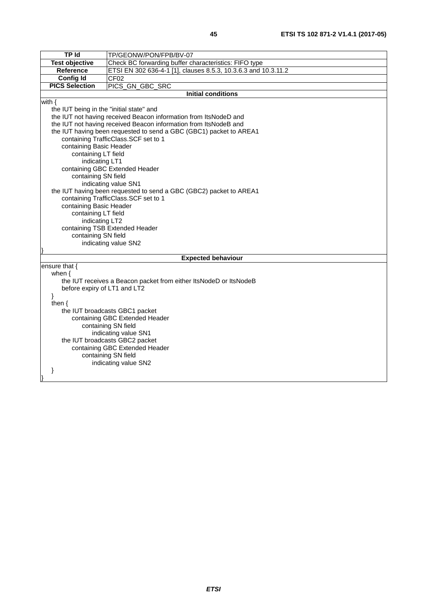| <b>TP Id</b>                                                                   | TP/GEONW/PON/FPB/BV-07                                             |  |  |  |  |
|--------------------------------------------------------------------------------|--------------------------------------------------------------------|--|--|--|--|
| <b>Test objective</b><br>Check BC forwarding buffer characteristics: FIFO type |                                                                    |  |  |  |  |
| Reference                                                                      | ETSI EN 302 636-4-1 [1], clauses 8.5.3, 10.3.6.3 and 10.3.11.2     |  |  |  |  |
| <b>Config Id</b>                                                               | CF02                                                               |  |  |  |  |
| <b>PICS Selection</b><br>PICS_GN_GBC_SRC                                       |                                                                    |  |  |  |  |
|                                                                                | <b>Initial conditions</b>                                          |  |  |  |  |
| with $\{$                                                                      |                                                                    |  |  |  |  |
| the IUT being in the "initial state" and                                       |                                                                    |  |  |  |  |
|                                                                                | the IUT not having received Beacon information from ItsNodeD and   |  |  |  |  |
|                                                                                | the IUT not having received Beacon information from ItsNodeB and   |  |  |  |  |
|                                                                                | the IUT having been requested to send a GBC (GBC1) packet to AREA1 |  |  |  |  |
|                                                                                | containing TrafficClass.SCF set to 1                               |  |  |  |  |
| containing Basic Header                                                        |                                                                    |  |  |  |  |
| containing LT field                                                            |                                                                    |  |  |  |  |
| indicating LT1                                                                 |                                                                    |  |  |  |  |
|                                                                                | containing GBC Extended Header                                     |  |  |  |  |
| containing SN field                                                            |                                                                    |  |  |  |  |
|                                                                                | indicating value SN1                                               |  |  |  |  |
|                                                                                | the IUT having been requested to send a GBC (GBC2) packet to AREA1 |  |  |  |  |
|                                                                                | containing TrafficClass.SCF set to 1                               |  |  |  |  |
| containing Basic Header                                                        |                                                                    |  |  |  |  |
| containing LT field                                                            |                                                                    |  |  |  |  |
| indicating LT2                                                                 |                                                                    |  |  |  |  |
|                                                                                | containing TSB Extended Header                                     |  |  |  |  |
| containing SN field                                                            |                                                                    |  |  |  |  |
|                                                                                | indicating value SN2                                               |  |  |  |  |
|                                                                                | <b>Expected behaviour</b>                                          |  |  |  |  |
| ensure that {                                                                  |                                                                    |  |  |  |  |
| when $\{$                                                                      |                                                                    |  |  |  |  |
|                                                                                | the IUT receives a Beacon packet from either ItsNodeD or ItsNodeB  |  |  |  |  |
| before expiry of LT1 and LT2                                                   |                                                                    |  |  |  |  |
| }                                                                              |                                                                    |  |  |  |  |
| then $\{$                                                                      |                                                                    |  |  |  |  |
| the IUT broadcasts GBC1 packet                                                 |                                                                    |  |  |  |  |
| containing GBC Extended Header                                                 |                                                                    |  |  |  |  |
| containing SN field                                                            |                                                                    |  |  |  |  |
| indicating value SN1                                                           |                                                                    |  |  |  |  |
| the IUT broadcasts GBC2 packet                                                 |                                                                    |  |  |  |  |
| containing GBC Extended Header                                                 |                                                                    |  |  |  |  |
| containing SN field                                                            |                                                                    |  |  |  |  |
| indicating value SN2                                                           |                                                                    |  |  |  |  |
| ł                                                                              |                                                                    |  |  |  |  |
|                                                                                |                                                                    |  |  |  |  |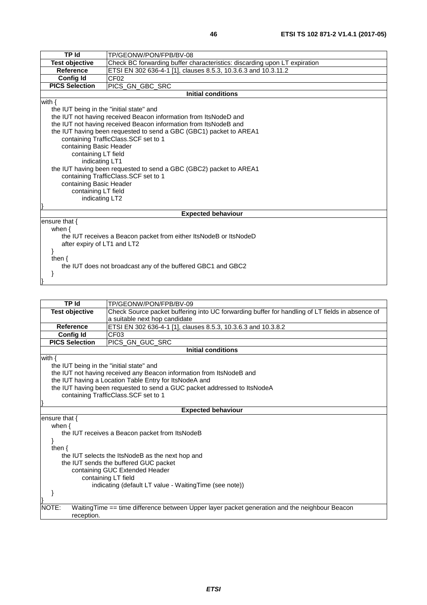| <b>TP Id</b>                             | TP/GEONW/PON/FPB/BV-08                                                    |  |  |  |  |  |
|------------------------------------------|---------------------------------------------------------------------------|--|--|--|--|--|
| <b>Test objective</b>                    | Check BC forwarding buffer characteristics: discarding upon LT expiration |  |  |  |  |  |
| <b>Reference</b>                         | ETSI EN 302 636-4-1 [1], clauses 8.5.3, 10.3.6.3 and 10.3.11.2            |  |  |  |  |  |
| <b>Config Id</b>                         | CF <sub>02</sub>                                                          |  |  |  |  |  |
| <b>PICS Selection</b>                    | PICS_GN_GBC_SRC                                                           |  |  |  |  |  |
|                                          | <b>Initial conditions</b>                                                 |  |  |  |  |  |
| with $\{$                                |                                                                           |  |  |  |  |  |
| the IUT being in the "initial state" and |                                                                           |  |  |  |  |  |
|                                          | the IUT not having received Beacon information from ItsNodeD and          |  |  |  |  |  |
|                                          | the IUT not having received Beacon information from ItsNodeB and          |  |  |  |  |  |
|                                          | the IUT having been requested to send a GBC (GBC1) packet to AREA1        |  |  |  |  |  |
|                                          | containing TrafficClass.SCF set to 1                                      |  |  |  |  |  |
| containing Basic Header                  |                                                                           |  |  |  |  |  |
| containing LT field                      |                                                                           |  |  |  |  |  |
|                                          | indicating LT1                                                            |  |  |  |  |  |
|                                          | the IUT having been requested to send a GBC (GBC2) packet to AREA1        |  |  |  |  |  |
|                                          | containing TrafficClass.SCF set to 1                                      |  |  |  |  |  |
| containing Basic Header                  |                                                                           |  |  |  |  |  |
| containing LT field                      |                                                                           |  |  |  |  |  |
| indicating LT2                           |                                                                           |  |  |  |  |  |
|                                          |                                                                           |  |  |  |  |  |
|                                          | <b>Expected behaviour</b>                                                 |  |  |  |  |  |
| ensure that {                            |                                                                           |  |  |  |  |  |
| when $\{$                                |                                                                           |  |  |  |  |  |
|                                          | the IUT receives a Beacon packet from either ItsNodeB or ItsNodeD         |  |  |  |  |  |
| after expiry of LT1 and LT2              |                                                                           |  |  |  |  |  |
| ł                                        |                                                                           |  |  |  |  |  |
| then $\{$                                |                                                                           |  |  |  |  |  |
|                                          | the IUT does not broadcast any of the buffered GBC1 and GBC2              |  |  |  |  |  |
|                                          |                                                                           |  |  |  |  |  |
|                                          |                                                                           |  |  |  |  |  |

| <b>TP Id</b>                             | TP/GEONW/PON/FPB/BV-09                                                                          |  |  |  |  |  |
|------------------------------------------|-------------------------------------------------------------------------------------------------|--|--|--|--|--|
| <b>Test objective</b>                    | Check Source packet buffering into UC forwarding buffer for handling of LT fields in absence of |  |  |  |  |  |
| a suitable next hop candidate            |                                                                                                 |  |  |  |  |  |
| Reference                                | ETSI EN 302 636-4-1 [1], clauses 8.5.3, 10.3.6.3 and 10.3.8.2                                   |  |  |  |  |  |
| Config Id                                | CF <sub>03</sub>                                                                                |  |  |  |  |  |
| <b>PICS Selection</b>                    | PICS_GN_GUC_SRC                                                                                 |  |  |  |  |  |
|                                          | <b>Initial conditions</b>                                                                       |  |  |  |  |  |
| with $\{$                                |                                                                                                 |  |  |  |  |  |
| the IUT being in the "initial state" and |                                                                                                 |  |  |  |  |  |
|                                          | the IUT not having received any Beacon information from ItsNodeB and                            |  |  |  |  |  |
|                                          | the IUT having a Location Table Entry for ItsNodeA and                                          |  |  |  |  |  |
|                                          | the IUT having been requested to send a GUC packet addressed to ItsNodeA                        |  |  |  |  |  |
|                                          | containing TrafficClass.SCF set to 1                                                            |  |  |  |  |  |
|                                          |                                                                                                 |  |  |  |  |  |
|                                          | <b>Expected behaviour</b>                                                                       |  |  |  |  |  |
| ensure that $\{$                         |                                                                                                 |  |  |  |  |  |
| when $\{$                                |                                                                                                 |  |  |  |  |  |
|                                          | the IUT receives a Beacon packet from ItsNodeB                                                  |  |  |  |  |  |
|                                          |                                                                                                 |  |  |  |  |  |
| then $\{$                                |                                                                                                 |  |  |  |  |  |
|                                          | the IUT selects the ItsNodeB as the next hop and                                                |  |  |  |  |  |
| the IUT sends the buffered GUC packet    |                                                                                                 |  |  |  |  |  |
| containing GUC Extended Header           |                                                                                                 |  |  |  |  |  |
| containing LT field                      |                                                                                                 |  |  |  |  |  |
|                                          | indicating (default LT value - Waiting Time (see note))                                         |  |  |  |  |  |
|                                          |                                                                                                 |  |  |  |  |  |
|                                          |                                                                                                 |  |  |  |  |  |
| NOTE:                                    | Waiting Time == time difference between Upper layer packet generation and the neighbour Beacon  |  |  |  |  |  |
| reception.                               |                                                                                                 |  |  |  |  |  |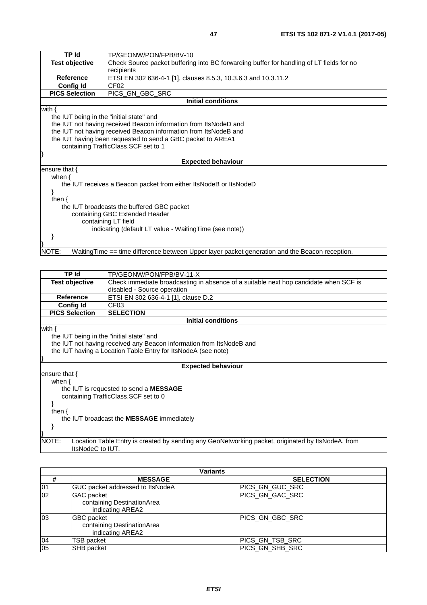| <b>TP Id</b>                                            | TP/GEONW/PON/FPB/BV-10                                                                         |  |  |  |  |
|---------------------------------------------------------|------------------------------------------------------------------------------------------------|--|--|--|--|
| <b>Test objective</b>                                   | Check Source packet buffering into BC forwarding buffer for handling of LT fields for no       |  |  |  |  |
|                                                         | recipients                                                                                     |  |  |  |  |
| <b>Reference</b>                                        | ETSI EN 302 636-4-1 [1], clauses 8.5.3, 10.3.6.3 and 10.3.11.2                                 |  |  |  |  |
| <b>Config Id</b>                                        | CF <sub>02</sub>                                                                               |  |  |  |  |
| <b>PICS Selection</b>                                   | PICS_GN_GBC_SRC                                                                                |  |  |  |  |
|                                                         | <b>Initial conditions</b>                                                                      |  |  |  |  |
| with $\{$                                               |                                                                                                |  |  |  |  |
| the IUT being in the "initial state" and                |                                                                                                |  |  |  |  |
|                                                         | the IUT not having received Beacon information from ItsNodeD and                               |  |  |  |  |
|                                                         | the IUT not having received Beacon information from ItsNodeB and                               |  |  |  |  |
|                                                         | the IUT having been requested to send a GBC packet to AREA1                                    |  |  |  |  |
| containing TrafficClass.SCF set to 1                    |                                                                                                |  |  |  |  |
|                                                         |                                                                                                |  |  |  |  |
| <b>Expected behaviour</b>                               |                                                                                                |  |  |  |  |
| ensure that $\{$                                        |                                                                                                |  |  |  |  |
| when $\{$                                               |                                                                                                |  |  |  |  |
|                                                         | the IUT receives a Beacon packet from either ItsNodeB or ItsNodeD                              |  |  |  |  |
|                                                         |                                                                                                |  |  |  |  |
| then $\{$                                               |                                                                                                |  |  |  |  |
|                                                         | the IUT broadcasts the buffered GBC packet                                                     |  |  |  |  |
| containing GBC Extended Header                          |                                                                                                |  |  |  |  |
| containing LT field                                     |                                                                                                |  |  |  |  |
| indicating (default LT value - Waiting Time (see note)) |                                                                                                |  |  |  |  |
|                                                         |                                                                                                |  |  |  |  |
|                                                         |                                                                                                |  |  |  |  |
| NOTE:                                                   | WaitingTime == time difference between Upper layer packet generation and the Beacon reception. |  |  |  |  |
|                                                         |                                                                                                |  |  |  |  |
|                                                         |                                                                                                |  |  |  |  |

| <b>TP Id</b>                             | TP/GEONW/PON/FPB/BV-11-X                                                                          |  |  |  |  |  |
|------------------------------------------|---------------------------------------------------------------------------------------------------|--|--|--|--|--|
| Test objective                           | Check immediate broadcasting in absence of a suitable next hop candidate when SCF is              |  |  |  |  |  |
|                                          | disabled - Source operation                                                                       |  |  |  |  |  |
| <b>Reference</b>                         | ETSI EN 302 636-4-1 [1], clause D.2                                                               |  |  |  |  |  |
| <b>Config Id</b>                         | CF <sub>03</sub>                                                                                  |  |  |  |  |  |
| <b>PICS Selection</b>                    | <b>SELECTION</b>                                                                                  |  |  |  |  |  |
|                                          | Initial conditions                                                                                |  |  |  |  |  |
| with $\{$                                |                                                                                                   |  |  |  |  |  |
| the IUT being in the "initial state" and |                                                                                                   |  |  |  |  |  |
|                                          | the IUT not having received any Beacon information from ItsNodeB and                              |  |  |  |  |  |
|                                          | the IUT having a Location Table Entry for ItsNodeA (see note)                                     |  |  |  |  |  |
|                                          |                                                                                                   |  |  |  |  |  |
| <b>Expected behaviour</b>                |                                                                                                   |  |  |  |  |  |
| ensure that $\{$                         |                                                                                                   |  |  |  |  |  |
| when $\{$                                |                                                                                                   |  |  |  |  |  |
|                                          | the IUT is requested to send a <b>MESSAGE</b>                                                     |  |  |  |  |  |
|                                          | containing TrafficClass. SCF set to 0                                                             |  |  |  |  |  |
|                                          |                                                                                                   |  |  |  |  |  |
| then $\{$                                |                                                                                                   |  |  |  |  |  |
|                                          | the IUT broadcast the <b>MESSAGE</b> immediately                                                  |  |  |  |  |  |
|                                          |                                                                                                   |  |  |  |  |  |
|                                          |                                                                                                   |  |  |  |  |  |
| NOTE:<br>ItsNodeC to IUT.                | Location Table Entry is created by sending any GeoNetworking packet, originated by ItsNodeA, from |  |  |  |  |  |
|                                          |                                                                                                   |  |  |  |  |  |

| Variants |                                                                     |                  |  |
|----------|---------------------------------------------------------------------|------------------|--|
| #        | <b>MESSAGE</b>                                                      | <b>SELECTION</b> |  |
| 01       | GUC packet addressed to ItsNodeA                                    | IPICS GN GUC SRC |  |
| 02       | <b>GAC</b> packet<br>containing DestinationArea<br>indicating AREA2 | PICS GN GAC SRC  |  |
| 03       | <b>GBC</b> packet<br>containing DestinationArea<br>indicating AREA2 | PICS GN GBC SRC  |  |
| 04       | <b>TSB packet</b>                                                   | PICS_GN_TSB_SRC  |  |
| 05       | <b>SHB</b> packet                                                   | PICS GN_SHB_SRC  |  |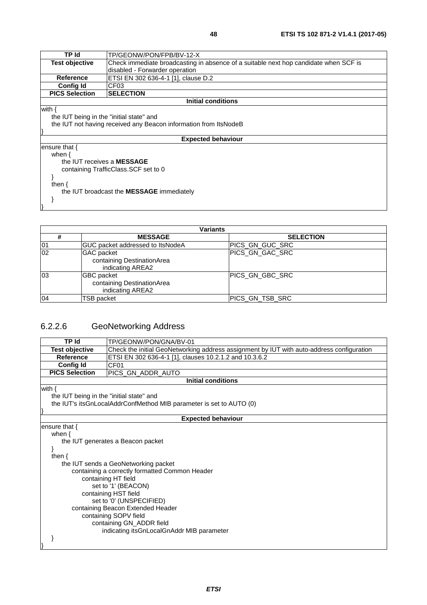| TP Id                                    | TP/GEONW/PON/FPB/BV-12-X                                                             |  |  |  |  |
|------------------------------------------|--------------------------------------------------------------------------------------|--|--|--|--|
| <b>Test objective</b>                    | Check immediate broadcasting in absence of a suitable next hop candidate when SCF is |  |  |  |  |
|                                          | disabled - Forwarder operation                                                       |  |  |  |  |
| <b>Reference</b>                         | ETSI EN 302 636-4-1 [1], clause D.2                                                  |  |  |  |  |
| <b>Config Id</b>                         | CF03                                                                                 |  |  |  |  |
| <b>PICS Selection</b>                    | <b>SELECTION</b>                                                                     |  |  |  |  |
|                                          | <b>Initial conditions</b>                                                            |  |  |  |  |
| with $\{$                                |                                                                                      |  |  |  |  |
| the IUT being in the "initial state" and |                                                                                      |  |  |  |  |
|                                          | the IUT not having received any Beacon information from ItsNodeB                     |  |  |  |  |
|                                          |                                                                                      |  |  |  |  |
|                                          | <b>Expected behaviour</b>                                                            |  |  |  |  |
| ensure that {                            |                                                                                      |  |  |  |  |
| when $\{$                                |                                                                                      |  |  |  |  |
| the IUT receives a MESSAGE               |                                                                                      |  |  |  |  |
|                                          | containing TrafficClass. SCF set to 0                                                |  |  |  |  |
|                                          |                                                                                      |  |  |  |  |
| then $\{$                                |                                                                                      |  |  |  |  |
|                                          | the IUT broadcast the <b>MESSAGE</b> immediately                                     |  |  |  |  |
|                                          |                                                                                      |  |  |  |  |
|                                          |                                                                                      |  |  |  |  |

| <b>Variants</b> |                                                                     |                        |  |
|-----------------|---------------------------------------------------------------------|------------------------|--|
| #               | <b>MESSAGE</b>                                                      | <b>SELECTION</b>       |  |
| 01              | GUC packet addressed to ItsNodeA                                    | <b>PICS GN GUC SRC</b> |  |
| 02              | <b>GAC</b> packet<br>containing DestinationArea<br>indicating AREA2 | PICS GN GAC SRC        |  |
| 03              | <b>GBC</b> packet<br>containing DestinationArea<br>indicating AREA2 | <b>PICS GN GBC SRC</b> |  |
| 04              | TSB packet                                                          | PICS_GN_TSB_SRC        |  |

# 6.2.2.6 GeoNetworking Address

| TP Id                                    | TP/GEONW/PON/GNA/BV-01                                                                    |  |  |  |
|------------------------------------------|-------------------------------------------------------------------------------------------|--|--|--|
| <b>Test objective</b>                    | Check the initial GeoNetworking address assignment by IUT with auto-address configuration |  |  |  |
| <b>Reference</b>                         | ETSI EN 302 636-4-1 [1], clauses 10.2.1.2 and 10.3.6.2                                    |  |  |  |
| <b>Config Id</b>                         | CF01                                                                                      |  |  |  |
| <b>PICS Selection</b>                    | PICS_GN_ADDR_AUTO                                                                         |  |  |  |
|                                          | <b>Initial conditions</b>                                                                 |  |  |  |
| with $\{$                                |                                                                                           |  |  |  |
| the IUT being in the "initial state" and |                                                                                           |  |  |  |
|                                          | the IUT's its GnLocal Addr Confl Method MIB parameter is set to AUTO (0)                  |  |  |  |
|                                          |                                                                                           |  |  |  |
|                                          | <b>Expected behaviour</b>                                                                 |  |  |  |
| ensure that {                            |                                                                                           |  |  |  |
| when $\{$                                |                                                                                           |  |  |  |
|                                          | the IUT generates a Beacon packet                                                         |  |  |  |
|                                          |                                                                                           |  |  |  |
| then $\{$                                |                                                                                           |  |  |  |
|                                          | the IUT sends a GeoNetworking packet                                                      |  |  |  |
|                                          | containing a correctly formatted Common Header                                            |  |  |  |
|                                          | containing HT field                                                                       |  |  |  |
|                                          | set to '1' (BEACON)                                                                       |  |  |  |
| containing HST field                     |                                                                                           |  |  |  |
| set to '0' (UNSPECIFIED)                 |                                                                                           |  |  |  |
| containing Beacon Extended Header        |                                                                                           |  |  |  |
| containing SOPV field                    |                                                                                           |  |  |  |
|                                          | containing GN_ADDR field                                                                  |  |  |  |
|                                          | indicating its GnLocal GnAddr MIB parameter                                               |  |  |  |
|                                          |                                                                                           |  |  |  |
|                                          |                                                                                           |  |  |  |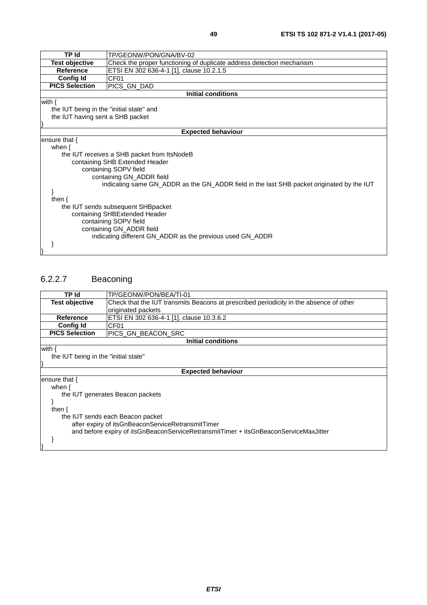| × | ۰.<br>۰. |  |
|---|----------|--|

| <b>TP Id</b>                             | TP/GEONW/PON/GNA/BV-02                                                                    |  |  |
|------------------------------------------|-------------------------------------------------------------------------------------------|--|--|
| <b>Test objective</b>                    | Check the proper functioning of duplicate address detection mechanism                     |  |  |
| <b>Reference</b>                         | ETSI EN 302 636-4-1 [1], clause 10.2.1.5                                                  |  |  |
| <b>Config Id</b>                         | CF01                                                                                      |  |  |
| <b>PICS Selection</b>                    | PICS_GN_DAD                                                                               |  |  |
|                                          | <b>Initial conditions</b>                                                                 |  |  |
| with $\{$                                |                                                                                           |  |  |
| the IUT being in the "initial state" and |                                                                                           |  |  |
| the IUT having sent a SHB packet         |                                                                                           |  |  |
|                                          |                                                                                           |  |  |
| <b>Expected behaviour</b>                |                                                                                           |  |  |
| ensure that $\{$                         |                                                                                           |  |  |
| when $\{$                                |                                                                                           |  |  |
|                                          | the IUT receives a SHB packet from ItsNodeB                                               |  |  |
|                                          | containing SHB Extended Header                                                            |  |  |
|                                          | containing SOPV field                                                                     |  |  |
|                                          | containing GN_ADDR field                                                                  |  |  |
|                                          | indicating same GN_ADDR as the GN_ADDR field in the last SHB packet originated by the IUT |  |  |
| then $\{$                                |                                                                                           |  |  |
|                                          |                                                                                           |  |  |
|                                          | the IUT sends subsequent SHBpacket<br>containing SHBExtended Header                       |  |  |
| containing SOPV field                    |                                                                                           |  |  |
| containing GN_ADDR field                 |                                                                                           |  |  |
|                                          | indicating different GN_ADDR as the previous used GN_ADDR                                 |  |  |
|                                          |                                                                                           |  |  |
|                                          |                                                                                           |  |  |

# 6.2.2.7 Beaconing

| TP Id                                                                                | TP/GEONW/PON/BEA/TI-01                                                                 |  |
|--------------------------------------------------------------------------------------|----------------------------------------------------------------------------------------|--|
| <b>Test objective</b>                                                                | Check that the IUT transmits Beacons at prescribed periodicity in the absence of other |  |
|                                                                                      | originated packets                                                                     |  |
| <b>Reference</b>                                                                     | ETSI EN 302 636-4-1 [1], clause 10.3.6.2                                               |  |
| <b>Config Id</b>                                                                     | CF01                                                                                   |  |
| <b>PICS Selection</b>                                                                | PICS GN BEACON SRC                                                                     |  |
|                                                                                      | <b>Initial conditions</b>                                                              |  |
| with $\{$                                                                            |                                                                                        |  |
| the IUT being in the "initial state"                                                 |                                                                                        |  |
|                                                                                      |                                                                                        |  |
|                                                                                      | <b>Expected behaviour</b>                                                              |  |
| ensure that $\{$                                                                     |                                                                                        |  |
| when $\{$                                                                            |                                                                                        |  |
|                                                                                      | the IUT generates Beacon packets                                                       |  |
|                                                                                      |                                                                                        |  |
| then $\{$                                                                            |                                                                                        |  |
| the IUT sends each Beacon packet                                                     |                                                                                        |  |
| after expiry of itsGnBeaconServiceRetransmitTimer                                    |                                                                                        |  |
| and before expiry of itsGnBeaconServiceRetransmitTimer + itsGnBeaconServiceMaxJitter |                                                                                        |  |
|                                                                                      |                                                                                        |  |
|                                                                                      |                                                                                        |  |
|                                                                                      |                                                                                        |  |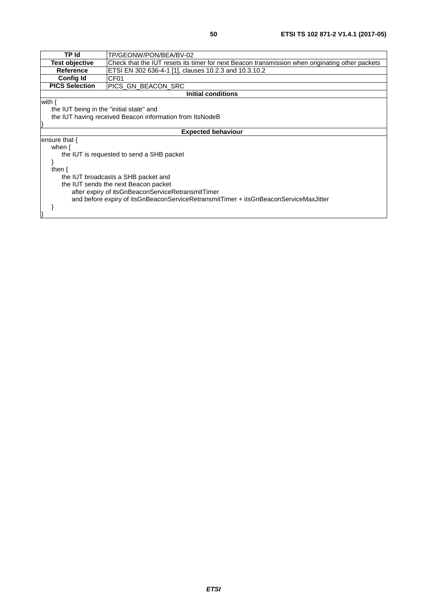|                                                                                      | TP Id<br>TP/GEONW/PON/BEA/BV-02                                                                 |  |  |
|--------------------------------------------------------------------------------------|-------------------------------------------------------------------------------------------------|--|--|
| <b>Test objective</b>                                                                | Check that the IUT resets its timer for next Beacon transmission when originating other packets |  |  |
| <b>Reference</b>                                                                     | ETSI EN 302 636-4-1 [1], clauses 10.2.3 and 10.3.10.2                                           |  |  |
| <b>Config Id</b>                                                                     | CF <sub>01</sub>                                                                                |  |  |
| <b>PICS Selection</b>                                                                | PICS GN BEACON SRC                                                                              |  |  |
|                                                                                      | Initial conditions                                                                              |  |  |
| with {                                                                               |                                                                                                 |  |  |
| the IUT being in the "initial state" and                                             |                                                                                                 |  |  |
| the IUT having received Beacon information from ItsNodeB                             |                                                                                                 |  |  |
|                                                                                      |                                                                                                 |  |  |
|                                                                                      | <b>Expected behaviour</b>                                                                       |  |  |
| ensure that $\{$                                                                     |                                                                                                 |  |  |
| when $\{$                                                                            |                                                                                                 |  |  |
|                                                                                      | the IUT is requested to send a SHB packet                                                       |  |  |
|                                                                                      |                                                                                                 |  |  |
| then $\{$                                                                            |                                                                                                 |  |  |
| the IUT broadcasts a SHB packet and                                                  |                                                                                                 |  |  |
| the IUT sends the next Beacon packet                                                 |                                                                                                 |  |  |
| after expiry of itsGnBeaconServiceRetransmitTimer                                    |                                                                                                 |  |  |
| and before expiry of itsGnBeaconServiceRetransmitTimer + itsGnBeaconServiceMaxJitter |                                                                                                 |  |  |
|                                                                                      |                                                                                                 |  |  |
|                                                                                      |                                                                                                 |  |  |
|                                                                                      |                                                                                                 |  |  |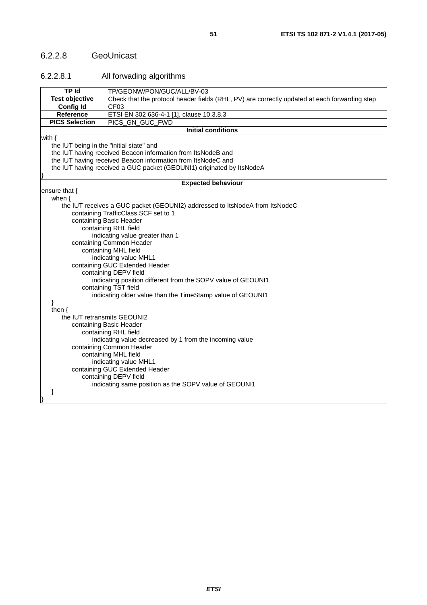## 6.2.2.8 GeoUnicast

### 6.2.2.8.1 All forwading algorithms

|                                                                                                                                                                        | <b>TP Id</b><br>TP/GEONW/PON/GUC/ALL/BV-03                                                    |  |  |
|------------------------------------------------------------------------------------------------------------------------------------------------------------------------|-----------------------------------------------------------------------------------------------|--|--|
| <b>Test objective</b>                                                                                                                                                  | Check that the protocol header fields (RHL, PV) are correctly updated at each forwarding step |  |  |
| Config Id                                                                                                                                                              | CF <sub>03</sub>                                                                              |  |  |
| Reference<br>ETSI EN 302 636-4-1 [1], clause 10.3.8.3                                                                                                                  |                                                                                               |  |  |
| <b>PICS Selection</b>                                                                                                                                                  | PICS_GN_GUC_FWD                                                                               |  |  |
|                                                                                                                                                                        | <b>Initial conditions</b>                                                                     |  |  |
| with $\{$                                                                                                                                                              |                                                                                               |  |  |
| the IUT being in the "initial state" and                                                                                                                               |                                                                                               |  |  |
|                                                                                                                                                                        | the IUT having received Beacon information from ItsNodeB and                                  |  |  |
|                                                                                                                                                                        | the IUT having received Beacon information from ItsNodeC and                                  |  |  |
|                                                                                                                                                                        | the IUT having received a GUC packet (GEOUNI1) originated by ItsNodeA                         |  |  |
|                                                                                                                                                                        |                                                                                               |  |  |
|                                                                                                                                                                        | <b>Expected behaviour</b>                                                                     |  |  |
| ensure that {                                                                                                                                                          |                                                                                               |  |  |
| when $\{$                                                                                                                                                              |                                                                                               |  |  |
|                                                                                                                                                                        | the IUT receives a GUC packet (GEOUNI2) addressed to ItsNodeA from ItsNodeC                   |  |  |
| containing Basic Header                                                                                                                                                | containing TrafficClass.SCF set to 1                                                          |  |  |
|                                                                                                                                                                        | containing RHL field                                                                          |  |  |
|                                                                                                                                                                        |                                                                                               |  |  |
|                                                                                                                                                                        | indicating value greater than 1                                                               |  |  |
|                                                                                                                                                                        | containing Common Header                                                                      |  |  |
|                                                                                                                                                                        | containing MHL field                                                                          |  |  |
| indicating value MHL1                                                                                                                                                  |                                                                                               |  |  |
| containing GUC Extended Header                                                                                                                                         |                                                                                               |  |  |
|                                                                                                                                                                        | containing DEPV field                                                                         |  |  |
| indicating position different from the SOPV value of GEOUNI1                                                                                                           |                                                                                               |  |  |
| containing TST field                                                                                                                                                   |                                                                                               |  |  |
| indicating older value than the TimeStamp value of GEOUNI1                                                                                                             |                                                                                               |  |  |
| then $\{$                                                                                                                                                              |                                                                                               |  |  |
|                                                                                                                                                                        |                                                                                               |  |  |
|                                                                                                                                                                        | the IUT retransmits GEOUNI2<br>containing Basic Header                                        |  |  |
| containing RHL field                                                                                                                                                   |                                                                                               |  |  |
| indicating value decreased by 1 from the incoming value                                                                                                                |                                                                                               |  |  |
| containing Common Header                                                                                                                                               |                                                                                               |  |  |
|                                                                                                                                                                        |                                                                                               |  |  |
|                                                                                                                                                                        |                                                                                               |  |  |
|                                                                                                                                                                        |                                                                                               |  |  |
|                                                                                                                                                                        |                                                                                               |  |  |
|                                                                                                                                                                        |                                                                                               |  |  |
|                                                                                                                                                                        |                                                                                               |  |  |
|                                                                                                                                                                        |                                                                                               |  |  |
| containing MHL field<br>indicating value MHL1<br>containing GUC Extended Header<br>containing DEPV field<br>indicating same position as the SOPV value of GEOUNI1<br>ł |                                                                                               |  |  |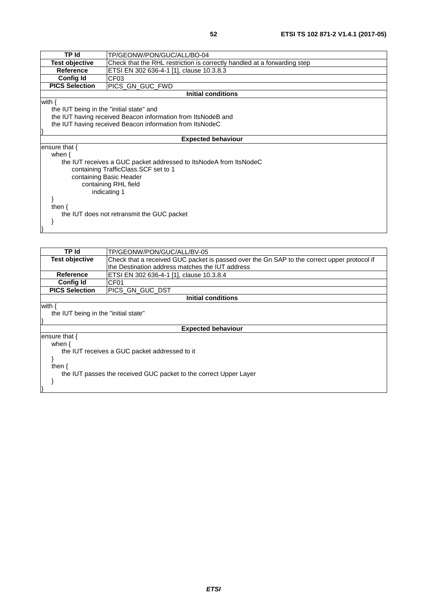| TP Id                                    | TP/GEONW/PON/GUC/ALL/BO-04                                               |  |  |
|------------------------------------------|--------------------------------------------------------------------------|--|--|
| <b>Test objective</b>                    | Check that the RHL restriction is correctly handled at a forwarding step |  |  |
| <b>Reference</b>                         | ETSI EN 302 636-4-1 [1], clause 10.3.8.3                                 |  |  |
| <b>Config Id</b>                         | CF <sub>03</sub>                                                         |  |  |
| <b>PICS Selection</b>                    | PICS GN GUC FWD                                                          |  |  |
|                                          | <b>Initial conditions</b>                                                |  |  |
| with {                                   |                                                                          |  |  |
| the IUT being in the "initial state" and |                                                                          |  |  |
|                                          | the IUT having received Beacon information from ItsNodeB and             |  |  |
|                                          | the IUT having received Beacon information from ItsNodeC                 |  |  |
|                                          |                                                                          |  |  |
|                                          | <b>Expected behaviour</b>                                                |  |  |
| ensure that {                            |                                                                          |  |  |
| when $\{$                                |                                                                          |  |  |
|                                          | the IUT receives a GUC packet addressed to ItsNodeA from ItsNodeC        |  |  |
|                                          | containing TrafficClass. SCF set to 1                                    |  |  |
| containing Basic Header                  |                                                                          |  |  |
| containing RHL field                     |                                                                          |  |  |
| indicating 1                             |                                                                          |  |  |
|                                          |                                                                          |  |  |
| then $\{$                                |                                                                          |  |  |
|                                          | the IUT does not retransmit the GUC packet                               |  |  |
|                                          |                                                                          |  |  |
|                                          |                                                                          |  |  |

| TP Id                                                             | TP/GEONW/PON/GUC/ALL/BV-05                                                                  |  |
|-------------------------------------------------------------------|---------------------------------------------------------------------------------------------|--|
| <b>Test objective</b>                                             | Check that a received GUC packet is passed over the Gn SAP to the correct upper protocol if |  |
|                                                                   | the Destination address matches the IUT address                                             |  |
| Reference                                                         | ETSI EN 302 636-4-1 [1], clause 10.3.8.4                                                    |  |
| <b>Config Id</b>                                                  | CF01                                                                                        |  |
| <b>PICS Selection</b>                                             | IPICS GN GUC DST                                                                            |  |
|                                                                   | <b>Initial conditions</b>                                                                   |  |
| with $\{$                                                         |                                                                                             |  |
| the IUT being in the "initial state"                              |                                                                                             |  |
|                                                                   |                                                                                             |  |
| <b>Expected behaviour</b>                                         |                                                                                             |  |
| lensure that {                                                    |                                                                                             |  |
| when {                                                            |                                                                                             |  |
| the IUT receives a GUC packet addressed to it                     |                                                                                             |  |
|                                                                   |                                                                                             |  |
| then $\{$                                                         |                                                                                             |  |
| the IUT passes the received GUC packet to the correct Upper Layer |                                                                                             |  |
|                                                                   |                                                                                             |  |
|                                                                   |                                                                                             |  |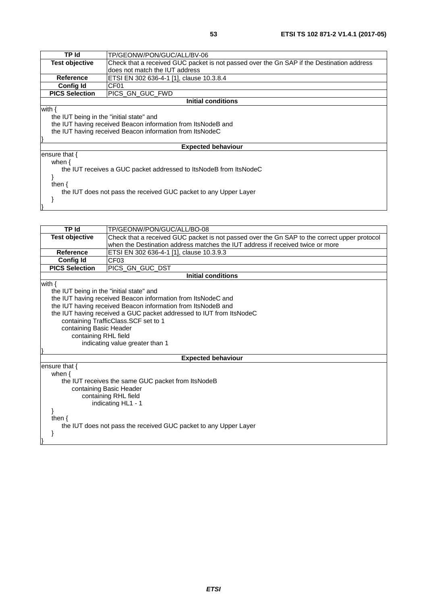| TP Id                                                            | TP/GEONW/PON/GUC/ALL/BV-06                                                                |  |
|------------------------------------------------------------------|-------------------------------------------------------------------------------------------|--|
| Test objective                                                   | Check that a received GUC packet is not passed over the Gn SAP if the Destination address |  |
|                                                                  | does not match the IUT address                                                            |  |
| Reference                                                        | ETSI EN 302 636-4-1 [1], clause 10.3.8.4                                                  |  |
| Config Id                                                        | CF <sub>01</sub>                                                                          |  |
| <b>PICS Selection</b>                                            | PICS GN GUC FWD                                                                           |  |
|                                                                  | Initial conditions                                                                        |  |
| with {                                                           |                                                                                           |  |
| the IUT being in the "initial state" and                         |                                                                                           |  |
|                                                                  | the IUT having received Beacon information from ItsNodeB and                              |  |
| the IUT having received Beacon information from ItsNodeC         |                                                                                           |  |
|                                                                  |                                                                                           |  |
| <b>Expected behaviour</b>                                        |                                                                                           |  |
| ensure that $\{$                                                 |                                                                                           |  |
| when $\{$                                                        |                                                                                           |  |
|                                                                  | the IUT receives a GUC packet addressed to ItsNodeB from ItsNodeC                         |  |
|                                                                  |                                                                                           |  |
| then $\{$                                                        |                                                                                           |  |
| the IUT does not pass the received GUC packet to any Upper Layer |                                                                                           |  |
|                                                                  |                                                                                           |  |
|                                                                  |                                                                                           |  |
|                                                                  |                                                                                           |  |

| <b>TP Id</b>                                                     | TP/GEONW/PON/GUC/ALL/BO-08                                                                   |  |  |
|------------------------------------------------------------------|----------------------------------------------------------------------------------------------|--|--|
| <b>Test objective</b>                                            | Check that a received GUC packet is not passed over the Gn SAP to the correct upper protocol |  |  |
|                                                                  | when the Destination address matches the IUT address if received twice or more               |  |  |
| <b>Reference</b>                                                 | ETSI EN 302 636-4-1 [1], clause 10.3.9.3                                                     |  |  |
| <b>Config Id</b>                                                 | CF <sub>03</sub>                                                                             |  |  |
| <b>PICS Selection</b>                                            | PICS_GN_GUC_DST                                                                              |  |  |
|                                                                  | <b>Initial conditions</b>                                                                    |  |  |
| with $\{$                                                        |                                                                                              |  |  |
| the IUT being in the "initial state" and                         |                                                                                              |  |  |
|                                                                  | the IUT having received Beacon information from ItsNodeC and                                 |  |  |
|                                                                  | the IUT having received Beacon information from ItsNodeB and                                 |  |  |
|                                                                  | the IUT having received a GUC packet addressed to IUT from ItsNodeC                          |  |  |
|                                                                  | containing TrafficClass.SCF set to 1                                                         |  |  |
| containing Basic Header                                          |                                                                                              |  |  |
|                                                                  | containing RHL field                                                                         |  |  |
|                                                                  | indicating value greater than 1                                                              |  |  |
|                                                                  | <b>Expected behaviour</b>                                                                    |  |  |
| ensure that $\{$                                                 |                                                                                              |  |  |
| when $\{$                                                        |                                                                                              |  |  |
| the IUT receives the same GUC packet from ItsNodeB               |                                                                                              |  |  |
| containing Basic Header                                          |                                                                                              |  |  |
| containing RHL field                                             |                                                                                              |  |  |
| indicating HL1 - 1                                               |                                                                                              |  |  |
|                                                                  |                                                                                              |  |  |
| then $\{$                                                        |                                                                                              |  |  |
|                                                                  |                                                                                              |  |  |
|                                                                  |                                                                                              |  |  |
|                                                                  |                                                                                              |  |  |
| the IUT does not pass the received GUC packet to any Upper Layer |                                                                                              |  |  |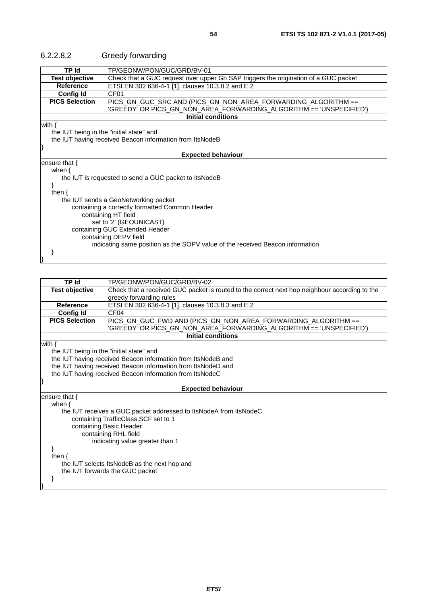| <b>TP Id</b>                                             | TP/GEONW/PON/GUC/GRD/BV-01                                                                       |  |  |
|----------------------------------------------------------|--------------------------------------------------------------------------------------------------|--|--|
| Test objective                                           | Check that a GUC request over upper Gn SAP triggers the origination of a GUC packet              |  |  |
| Reference                                                | ETSI EN 302 636-4-1 [1], clauses 10.3.8.2 and E.2                                                |  |  |
| <b>Config Id</b>                                         | CF01                                                                                             |  |  |
| <b>PICS Selection</b>                                    | PICS_GN_GUC_SRC AND (PICS_GN_NON_AREA_FORWARDING_ALGORITHM ==                                    |  |  |
|                                                          | 'GREEDY' OR PICS_GN_NON_AREA_FORWARDING_ALGORITHM == 'UNSPECIFIED')<br><b>Initial conditions</b> |  |  |
|                                                          |                                                                                                  |  |  |
| with $\{$                                                |                                                                                                  |  |  |
|                                                          | the IUT being in the "initial state" and                                                         |  |  |
| the IUT having received Beacon information from ItsNodeB |                                                                                                  |  |  |
| <b>Expected behaviour</b>                                |                                                                                                  |  |  |
| ensure that {                                            |                                                                                                  |  |  |
| when $\{$                                                |                                                                                                  |  |  |
| the IUT is requested to send a GUC packet to ItsNodeB    |                                                                                                  |  |  |
|                                                          |                                                                                                  |  |  |
| then $\{$                                                |                                                                                                  |  |  |
|                                                          | the IUT sends a GeoNetworking packet                                                             |  |  |
|                                                          | containing a correctly formatted Common Header                                                   |  |  |
| containing HT field                                      |                                                                                                  |  |  |
| set to '2' (GEOUNICAST)                                  |                                                                                                  |  |  |
| containing GUC Extended Header                           |                                                                                                  |  |  |
|                                                          | containing DEPV field                                                                            |  |  |
|                                                          | indicating same position as the SOPV value of the received Beacon information                    |  |  |
|                                                          |                                                                                                  |  |  |

# 6.2.2.8.2 Greedy forwarding

| <b>TP Id</b>                                 | TP/GEONW/PON/GUC/GRD/BV-02                                                                    |  |  |
|----------------------------------------------|-----------------------------------------------------------------------------------------------|--|--|
| <b>Test objective</b>                        | Check that a received GUC packet is routed to the correct next hop neighbour according to the |  |  |
|                                              | greedy forwarding rules                                                                       |  |  |
| Reference                                    | ETSI EN 302 636-4-1 [1], clauses 10.3.8.3 and E.2                                             |  |  |
| <b>Config Id</b>                             | CF <sub>04</sub>                                                                              |  |  |
| <b>PICS Selection</b>                        | PICS_GN_GUC_FWD AND (PICS_GN_NON_AREA_FORWARDING_ALGORITHM ==                                 |  |  |
|                                              | 'GREEDY' OR PICS_GN_NON_AREA_FORWARDING_ALGORITHM == 'UNSPECIFIED')                           |  |  |
|                                              | <b>Initial conditions</b>                                                                     |  |  |
| with $\{$                                    |                                                                                               |  |  |
| the IUT being in the "initial state" and     |                                                                                               |  |  |
|                                              | the IUT having received Beacon information from ItsNodeB and                                  |  |  |
|                                              | the IUT having received Beacon information from ItsNodeD and                                  |  |  |
|                                              | the IUT having received Beacon information from ItsNodeC                                      |  |  |
|                                              |                                                                                               |  |  |
|                                              | <b>Expected behaviour</b>                                                                     |  |  |
| ensure that {                                |                                                                                               |  |  |
| when $\{$                                    |                                                                                               |  |  |
|                                              | the IUT receives a GUC packet addressed to ItsNodeA from ItsNodeC                             |  |  |
| containing TrafficClass.SCF set to 1         |                                                                                               |  |  |
|                                              | containing Basic Header                                                                       |  |  |
| containing RHL field                         |                                                                                               |  |  |
|                                              | indicating value greater than 1                                                               |  |  |
|                                              |                                                                                               |  |  |
| then $\{$                                    |                                                                                               |  |  |
| the IUT selects ItsNodeB as the next hop and |                                                                                               |  |  |
|                                              | the IUT forwards the GUC packet                                                               |  |  |
|                                              |                                                                                               |  |  |
|                                              |                                                                                               |  |  |
|                                              |                                                                                               |  |  |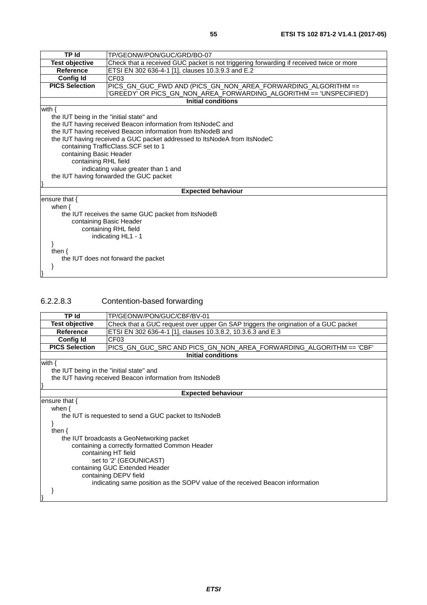| ۰.<br>v | ı<br>۰.<br>×<br>×<br>۰. |  |
|---------|-------------------------|--|

| <b>TP Id</b>                             | TP/GEONW/PON/GUC/GRD/BO-07                                                                                                           |  |  |
|------------------------------------------|--------------------------------------------------------------------------------------------------------------------------------------|--|--|
| <b>Test objective</b>                    | Check that a received GUC packet is not triggering forwarding if received twice or more                                              |  |  |
| <b>Reference</b>                         | ETSI EN 302 636-4-1 [1], clauses 10.3.9.3 and E.2                                                                                    |  |  |
| <b>Config Id</b>                         | CF <sub>03</sub>                                                                                                                     |  |  |
| <b>PICS Selection</b>                    | PICS_GN_GUC_FWD AND (PICS_GN_NON_AREA_FORWARDING_ALGORITHM ==<br>'GREEDY' OR PICS_GN_NON_AREA_FORWARDING_ALGORITHM == 'UNSPECIFIED') |  |  |
|                                          | <b>Initial conditions</b>                                                                                                            |  |  |
| with $\{$                                |                                                                                                                                      |  |  |
| the IUT being in the "initial state" and |                                                                                                                                      |  |  |
|                                          | the IUT having received Beacon information from ItsNodeC and                                                                         |  |  |
|                                          | the IUT having received Beacon information from ItsNodeB and                                                                         |  |  |
|                                          | the IUT having received a GUC packet addressed to ItsNodeA from ItsNodeC                                                             |  |  |
|                                          | containing TrafficClass.SCF set to 1                                                                                                 |  |  |
| containing Basic Header                  |                                                                                                                                      |  |  |
|                                          | containing RHL field                                                                                                                 |  |  |
|                                          | indicating value greater than 1 and                                                                                                  |  |  |
| the IUT having forwarded the GUC packet  |                                                                                                                                      |  |  |
|                                          |                                                                                                                                      |  |  |
|                                          | <b>Expected behaviour</b>                                                                                                            |  |  |
| ensure that $\{$                         |                                                                                                                                      |  |  |
| when $\{$                                |                                                                                                                                      |  |  |
|                                          | the IUT receives the same GUC packet from ItsNodeB                                                                                   |  |  |
| containing Basic Header                  |                                                                                                                                      |  |  |
| containing RHL field                     |                                                                                                                                      |  |  |
| indicating HL1 - 1                       |                                                                                                                                      |  |  |
|                                          |                                                                                                                                      |  |  |
| then $\{$                                |                                                                                                                                      |  |  |
| the IUT does not forward the packet      |                                                                                                                                      |  |  |
|                                          |                                                                                                                                      |  |  |
|                                          |                                                                                                                                      |  |  |

# 6.2.2.8.3 Contention-based forwarding

| <b>TP Id</b>                                          | TP/GEONW/PON/GUC/CBF/BV-01                                                          |  |
|-------------------------------------------------------|-------------------------------------------------------------------------------------|--|
| <b>Test objective</b>                                 | Check that a GUC request over upper Gn SAP triggers the origination of a GUC packet |  |
| <b>Reference</b>                                      | ETSI EN 302 636-4-1 [1], clauses 10.3.8.2, 10.3.6.3 and E.3                         |  |
| <b>Config Id</b>                                      | CF <sub>03</sub>                                                                    |  |
| <b>PICS Selection</b>                                 |                                                                                     |  |
|                                                       | <b>Initial conditions</b>                                                           |  |
| with $\{$                                             |                                                                                     |  |
| the IUT being in the "initial state" and              |                                                                                     |  |
|                                                       | the IUT having received Beacon information from ItsNodeB                            |  |
|                                                       |                                                                                     |  |
|                                                       | <b>Expected behaviour</b>                                                           |  |
| ensure that {                                         |                                                                                     |  |
| when $\{$                                             |                                                                                     |  |
| the IUT is requested to send a GUC packet to ItsNodeB |                                                                                     |  |
|                                                       |                                                                                     |  |
| then $\{$                                             |                                                                                     |  |
|                                                       | the IUT broadcasts a GeoNetworking packet                                           |  |
|                                                       | containing a correctly formatted Common Header                                      |  |
|                                                       | containing HT field                                                                 |  |
|                                                       | set to '2' (GEOUNICAST)                                                             |  |
| containing GUC Extended Header                        |                                                                                     |  |
| containing DEPV field                                 |                                                                                     |  |
|                                                       | indicating same position as the SOPV value of the received Beacon information       |  |
|                                                       |                                                                                     |  |
|                                                       |                                                                                     |  |
|                                                       |                                                                                     |  |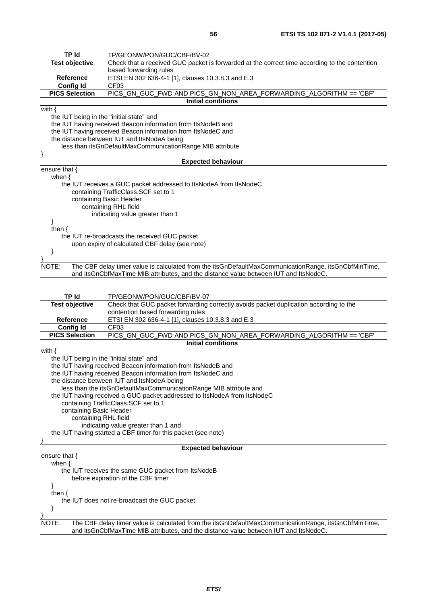| <b>TP Id</b>                                                 | TP/GEONW/PON/GUC/CBF/BV-02                                                                           |
|--------------------------------------------------------------|------------------------------------------------------------------------------------------------------|
| <b>Test objective</b>                                        | Check that a received GUC packet is forwarded at the correct time according to the contention        |
|                                                              | based forwarding rules                                                                               |
| <b>Reference</b>                                             | ETSI EN 302 636-4-1 [1], clauses 10.3.8.3 and E.3                                                    |
| <b>Config Id</b>                                             | CF03                                                                                                 |
| <b>PICS Selection</b>                                        | PICS_GN_GUC_FWD AND PICS_GN_NON_AREA_FORWARDING_ALGORITHM == 'CBF'                                   |
|                                                              | <b>Initial conditions</b>                                                                            |
| with $\{$                                                    |                                                                                                      |
| the IUT being in the "initial state" and                     |                                                                                                      |
|                                                              | the IUT having received Beacon information from ItsNodeB and                                         |
| the IUT having received Beacon information from ItsNodeC and |                                                                                                      |
|                                                              | the distance between IUT and ItsNodeA being                                                          |
|                                                              | less than itsGnDefaultMaxCommunicationRange MIB attribute                                            |
|                                                              |                                                                                                      |
|                                                              | <b>Expected behaviour</b>                                                                            |
| ensure that $\{$                                             |                                                                                                      |
| when $\{$                                                    |                                                                                                      |
|                                                              | the IUT receives a GUC packet addressed to ItsNodeA from ItsNodeC                                    |
|                                                              | containing TrafficClass.SCF set to 1                                                                 |
| containing Basic Header                                      |                                                                                                      |
|                                                              | containing RHL field                                                                                 |
|                                                              | indicating value greater than 1                                                                      |
|                                                              |                                                                                                      |
| then $\{$                                                    |                                                                                                      |
| the IUT re-broadcasts the received GUC packet                |                                                                                                      |
|                                                              | upon expiry of calculated CBF delay (see note)                                                       |
|                                                              |                                                                                                      |
|                                                              |                                                                                                      |
| NOTE:                                                        | The CBF delay timer value is calculated from the itsGnDefaultMaxCommunicationRange, itsGnCbfMinTime, |
|                                                              | and itsGnCbfMaxTime MIB attributes, and the distance value between IUT and ItsNodeC.                 |
|                                                              |                                                                                                      |

| <b>TP Id</b>                                                  | TP/GEONW/PON/GUC/CBF/BV-07                                                                           |  |
|---------------------------------------------------------------|------------------------------------------------------------------------------------------------------|--|
| <b>Test objective</b>                                         | Check that GUC packet forwarding correctly avoids packet duplication according to the                |  |
|                                                               | contention based forwarding rules                                                                    |  |
| <b>Reference</b>                                              | ETSI EN 302 636-4-1 [1], clauses 10.3.8.3 and E.3                                                    |  |
| <b>Config Id</b>                                              | CF03                                                                                                 |  |
| <b>PICS Selection</b>                                         | PICS_GN_GUC_FWD AND PICS_GN_NON_AREA_FORWARDING_ALGORITHM == 'CBF'                                   |  |
|                                                               | <b>Initial conditions</b>                                                                            |  |
| with $\{$                                                     |                                                                                                      |  |
| the IUT being in the "initial state" and                      |                                                                                                      |  |
|                                                               | the IUT having received Beacon information from ItsNodeB and                                         |  |
|                                                               | the IUT having received Beacon information from ItsNodeC and                                         |  |
|                                                               | the distance between IUT and ItsNodeA being                                                          |  |
|                                                               | less than the itsGnDefaultMaxCommunicationRange MIB attribute and                                    |  |
|                                                               | the IUT having received a GUC packet addressed to ItsNodeA from ItsNodeC                             |  |
|                                                               | containing TrafficClass. SCF set to 1                                                                |  |
| containing Basic Header                                       |                                                                                                      |  |
|                                                               | containing RHL field                                                                                 |  |
|                                                               | indicating value greater than 1 and                                                                  |  |
| the IUT having started a CBF timer for this packet (see note) |                                                                                                      |  |
|                                                               |                                                                                                      |  |
|                                                               | <b>Expected behaviour</b>                                                                            |  |
| ensure that $\{$                                              |                                                                                                      |  |
| when $\{$                                                     |                                                                                                      |  |
|                                                               | the IUT receives the same GUC packet from ItsNodeB                                                   |  |
|                                                               | before expiration of the CBF timer                                                                   |  |
|                                                               |                                                                                                      |  |
| then $\{$                                                     |                                                                                                      |  |
| the IUT does not re-broadcast the GUC packet                  |                                                                                                      |  |
|                                                               |                                                                                                      |  |
|                                                               |                                                                                                      |  |
| NOTE:                                                         | The CBF delay timer value is calculated from the itsGnDefaultMaxCommunicationRange, itsGnCbfMinTime, |  |
|                                                               | and itsGnCbfMaxTime MIB attributes, and the distance value between IUT and ItsNodeC.                 |  |
|                                                               |                                                                                                      |  |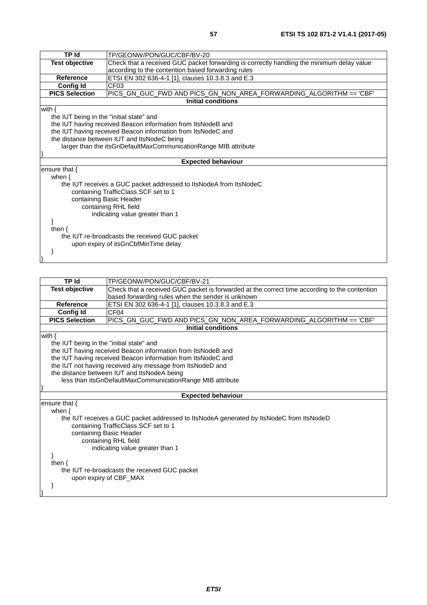| <b>TP Id</b>                                                    | TP/GEONW/PON/GUC/CBF/BV-20                                                                |  |
|-----------------------------------------------------------------|-------------------------------------------------------------------------------------------|--|
| <b>Test objective</b>                                           | Check that a received GUC packet forwarding is correctly handling the minimum delay value |  |
|                                                                 | according to the contention based forwarding rules                                        |  |
| <b>Reference</b>                                                | ETSI EN 302 636-4-1 [1], clauses 10.3.8.3 and E.3                                         |  |
| <b>Config Id</b>                                                | CF <sub>03</sub>                                                                          |  |
| <b>PICS Selection</b>                                           | PICS_GN_GUC_FWD AND PICS_GN_NON_AREA_FORWARDING_ALGORITHM == 'CBF'                        |  |
|                                                                 | <b>Initial conditions</b>                                                                 |  |
| with $\{$                                                       |                                                                                           |  |
| the IUT being in the "initial state" and                        |                                                                                           |  |
| the IUT having received Beacon information from ItsNodeB and    |                                                                                           |  |
|                                                                 | the IUT having received Beacon information from ItsNodeC and                              |  |
|                                                                 | the distance between IUT and ItsNodeC being                                               |  |
| larger than the itsGnDefaultMaxCommunicationRange MIB attribute |                                                                                           |  |
|                                                                 |                                                                                           |  |
|                                                                 | <b>Expected behaviour</b>                                                                 |  |
| ensure that {                                                   |                                                                                           |  |
| when $\{$                                                       |                                                                                           |  |
|                                                                 | the IUT receives a GUC packet addressed to ItsNodeA from ItsNodeC                         |  |
|                                                                 | containing TrafficClass.SCF set to 1                                                      |  |
|                                                                 | containing Basic Header                                                                   |  |
|                                                                 | containing RHL field                                                                      |  |
|                                                                 | indicating value greater than 1                                                           |  |
|                                                                 |                                                                                           |  |
| then $\{$                                                       |                                                                                           |  |
| the IUT re-broadcasts the received GUC packet                   |                                                                                           |  |
| upon expiry of itsGnCbfMinTime delay                            |                                                                                           |  |
|                                                                 |                                                                                           |  |
|                                                                 |                                                                                           |  |
|                                                                 |                                                                                           |  |

| TP Id                                       | TP/GEONW/PON/GUC/CBF/BV-21                                                                    |  |
|---------------------------------------------|-----------------------------------------------------------------------------------------------|--|
| <b>Test objective</b>                       | Check that a received GUC packet is forwarded at the correct time according to the contention |  |
|                                             | based forwarding rules when the sender is unknown                                             |  |
| Reference                                   | ETSI EN 302 636-4-1 [1], clauses 10.3.8.3 and E.3                                             |  |
| <b>Config Id</b>                            | CF <sub>04</sub>                                                                              |  |
| <b>PICS Selection</b>                       | PICS_GN_GUC_FWD AND PICS_GN_NON_AREA_FORWARDING_ALGORITHM == 'CBF'                            |  |
|                                             | <b>Initial conditions</b>                                                                     |  |
| with $\{$                                   |                                                                                               |  |
| the IUT being in the "initial state" and    |                                                                                               |  |
|                                             | the IUT having received Beacon information from ItsNodeB and                                  |  |
|                                             | the IUT having received Beacon information from ItsNodeC and                                  |  |
|                                             | the IUT not having received any message from ItsNodeD and                                     |  |
| the distance between IUT and ItsNodeA being |                                                                                               |  |
|                                             | less than itsGnDefaultMaxCommunicationRange MIB attribute                                     |  |
|                                             |                                                                                               |  |
| <b>Expected behaviour</b>                   |                                                                                               |  |
| ensure that {                               |                                                                                               |  |
| when $\{$                                   |                                                                                               |  |
|                                             | the IUT receives a GUC packet addressed to ItsNodeA generated by ItsNodeC from ItsNodeD       |  |
|                                             | containing TrafficClass.SCF set to 1                                                          |  |
|                                             | containing Basic Header                                                                       |  |
|                                             | containing RHL field                                                                          |  |
|                                             | indicating value greater than 1                                                               |  |
|                                             |                                                                                               |  |
| then $\{$                                   |                                                                                               |  |
|                                             | the IUT re-broadcasts the received GUC packet                                                 |  |
|                                             | upon expiry of CBF_MAX                                                                        |  |
|                                             |                                                                                               |  |
|                                             |                                                                                               |  |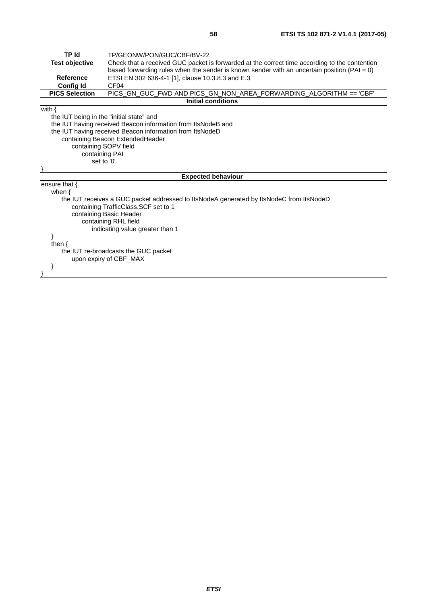| <b>TP Id</b>                             | TP/GEONW/PON/GUC/CBF/BV-22                                                                      |  |
|------------------------------------------|-------------------------------------------------------------------------------------------------|--|
| <b>Test objective</b>                    | Check that a received GUC packet is forwarded at the correct time according to the contention   |  |
|                                          | based forwarding rules when the sender is known sender with an uncertain position ( $PAI = 0$ ) |  |
| <b>Reference</b>                         | ETSI EN 302 636-4-1 [1], clause 10.3.8.3 and E.3                                                |  |
| <b>Config Id</b>                         | CF <sub>04</sub>                                                                                |  |
| <b>PICS Selection</b>                    | PICS_GN_GUC_FWD AND PICS_GN_NON_AREA_FORWARDING_ALGORITHM == 'CBF'                              |  |
|                                          | <b>Initial conditions</b>                                                                       |  |
| with $\{$                                |                                                                                                 |  |
| the IUT being in the "initial state" and |                                                                                                 |  |
|                                          | the IUT having received Beacon information from ItsNodeB and                                    |  |
|                                          | the IUT having received Beacon information from ItsNodeD                                        |  |
|                                          | containing Beacon ExtendedHeader                                                                |  |
|                                          | containing SOPV field                                                                           |  |
|                                          | containing PAI                                                                                  |  |
|                                          | set to '0'                                                                                      |  |
|                                          |                                                                                                 |  |
|                                          | <b>Expected behaviour</b>                                                                       |  |
| ensure that $\{$                         |                                                                                                 |  |
| when $\{$                                |                                                                                                 |  |
|                                          | the IUT receives a GUC packet addressed to ItsNodeA generated by ItsNodeC from ItsNodeD         |  |
|                                          | containing TrafficClass.SCF set to 1                                                            |  |
| containing Basic Header                  |                                                                                                 |  |
| containing RHL field                     |                                                                                                 |  |
| indicating value greater than 1          |                                                                                                 |  |
|                                          |                                                                                                 |  |
| then $\{$                                |                                                                                                 |  |
| the IUT re-broadcasts the GUC packet     |                                                                                                 |  |
| upon expiry of CBF_MAX                   |                                                                                                 |  |
|                                          |                                                                                                 |  |
|                                          |                                                                                                 |  |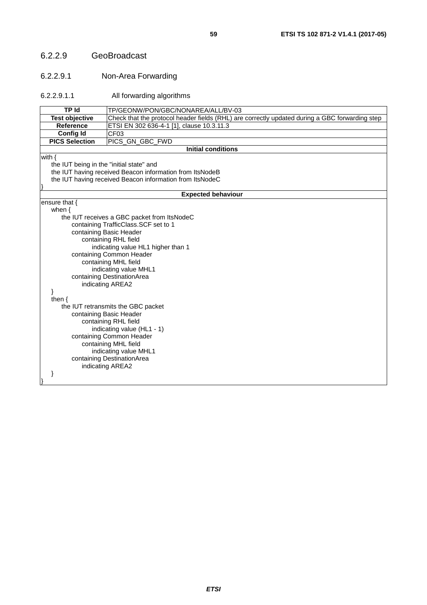#### 6.2.2.9 GeoBroadcast

#### 6.2.2.9.1 Non-Area Forwarding

6.2.2.9.1.1 All forwarding algorithms

| <b>TP Id</b>                                                   | TP/GEONW/PON/GBC/NONAREA/ALL/BV-03                                                             |  |
|----------------------------------------------------------------|------------------------------------------------------------------------------------------------|--|
| <b>Test objective</b>                                          | Check that the protocol header fields (RHL) are correctly updated during a GBC forwarding step |  |
| Reference                                                      | ETSI EN 302 636-4-1 [1], clause 10.3.11.3                                                      |  |
| <b>Config Id</b>                                               | CF <sub>03</sub>                                                                               |  |
| <b>PICS Selection</b>                                          | PICS_GN_GBC_FWD                                                                                |  |
|                                                                | <b>Initial conditions</b>                                                                      |  |
| with $\{$                                                      |                                                                                                |  |
| the IUT being in the "initial state" and                       |                                                                                                |  |
|                                                                | the IUT having received Beacon information from ItsNodeB                                       |  |
|                                                                | the IUT having received Beacon information from ItsNodeC                                       |  |
|                                                                |                                                                                                |  |
|                                                                | <b>Expected behaviour</b>                                                                      |  |
| ensure that {                                                  |                                                                                                |  |
| when $\{$                                                      |                                                                                                |  |
|                                                                | the IUT receives a GBC packet from ItsNodeC<br>containing TrafficClass.SCF set to 1            |  |
|                                                                | containing Basic Header                                                                        |  |
|                                                                |                                                                                                |  |
|                                                                | containing RHL field                                                                           |  |
| indicating value HL1 higher than 1<br>containing Common Header |                                                                                                |  |
| containing MHL field                                           |                                                                                                |  |
| indicating value MHL1                                          |                                                                                                |  |
|                                                                | containing DestinationArea                                                                     |  |
| indicating AREA2                                               |                                                                                                |  |
| ł                                                              |                                                                                                |  |
| then $\{$                                                      |                                                                                                |  |
|                                                                | the IUT retransmits the GBC packet                                                             |  |
|                                                                | containing Basic Header                                                                        |  |
| containing RHL field                                           |                                                                                                |  |
| indicating value (HL1 - 1)                                     |                                                                                                |  |
| containing Common Header                                       |                                                                                                |  |
| containing MHL field                                           |                                                                                                |  |
| indicating value MHL1                                          |                                                                                                |  |
| containing DestinationArea                                     |                                                                                                |  |
|                                                                | indicating AREA2                                                                               |  |
|                                                                |                                                                                                |  |
|                                                                |                                                                                                |  |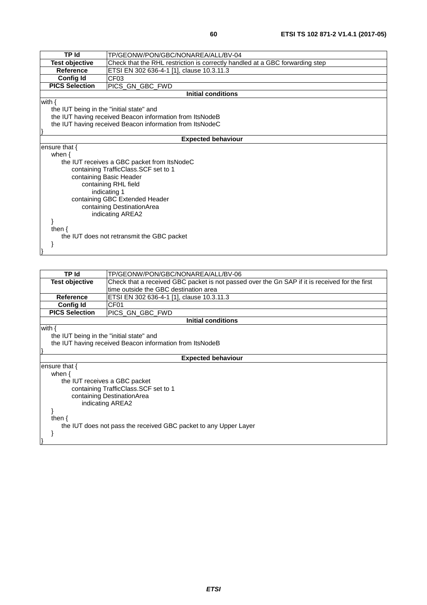| TP/GEONW/PON/GBC/NONAREA/ALL/BV-04                                           |  |
|------------------------------------------------------------------------------|--|
| Check that the RHL restriction is correctly handled at a GBC forwarding step |  |
| ETSI EN 302 636-4-1 [1], clause 10.3.11.3                                    |  |
| CF <sub>03</sub>                                                             |  |
| PICS_GN_GBC_FWD                                                              |  |
| <b>Initial conditions</b>                                                    |  |
|                                                                              |  |
| the IUT being in the "initial state" and                                     |  |
| the IUT having received Beacon information from ItsNodeB                     |  |
| the IUT having received Beacon information from ItsNodeC                     |  |
|                                                                              |  |
| <b>Expected behaviour</b>                                                    |  |
|                                                                              |  |
|                                                                              |  |
| when $\{$<br>the IUT receives a GBC packet from ItsNodeC                     |  |
| containing TrafficClass.SCF set to 1                                         |  |
|                                                                              |  |
| containing Basic Header<br>containing RHL field                              |  |
| indicating 1                                                                 |  |
|                                                                              |  |
| containing GBC Extended Header                                               |  |
| containing DestinationArea                                                   |  |
| indicating AREA2                                                             |  |
|                                                                              |  |
|                                                                              |  |
| the IUT does not retransmit the GBC packet                                   |  |
|                                                                              |  |
|                                                                              |  |
|                                                                              |  |

| TP Id                                                            | TP/GEONW/PON/GBC/NONAREA/ALL/BV-06                                                             |  |  |
|------------------------------------------------------------------|------------------------------------------------------------------------------------------------|--|--|
| <b>Test objective</b>                                            | Check that a received GBC packet is not passed over the Gn SAP if it is received for the first |  |  |
|                                                                  | time outside the GBC destination area                                                          |  |  |
| <b>Reference</b>                                                 | ETSI EN 302 636-4-1 [1], clause 10.3.11.3                                                      |  |  |
| Config Id                                                        | CF <sub>01</sub>                                                                               |  |  |
| <b>PICS Selection</b>                                            | PICS GN GBC FWD                                                                                |  |  |
|                                                                  | Initial conditions                                                                             |  |  |
| with {                                                           |                                                                                                |  |  |
|                                                                  | the IUT being in the "initial state" and                                                       |  |  |
|                                                                  | the IUT having received Beacon information from ItsNodeB                                       |  |  |
|                                                                  |                                                                                                |  |  |
|                                                                  | <b>Expected behaviour</b>                                                                      |  |  |
| ensure that $\{$                                                 |                                                                                                |  |  |
| when $\{$                                                        |                                                                                                |  |  |
|                                                                  | the IUT receives a GBC packet                                                                  |  |  |
|                                                                  | containing TrafficClass. SCF set to 1                                                          |  |  |
|                                                                  | containing DestinationArea                                                                     |  |  |
|                                                                  | indicating AREA2                                                                               |  |  |
|                                                                  |                                                                                                |  |  |
| then $\{$                                                        |                                                                                                |  |  |
| the IUT does not pass the received GBC packet to any Upper Layer |                                                                                                |  |  |
|                                                                  |                                                                                                |  |  |
|                                                                  |                                                                                                |  |  |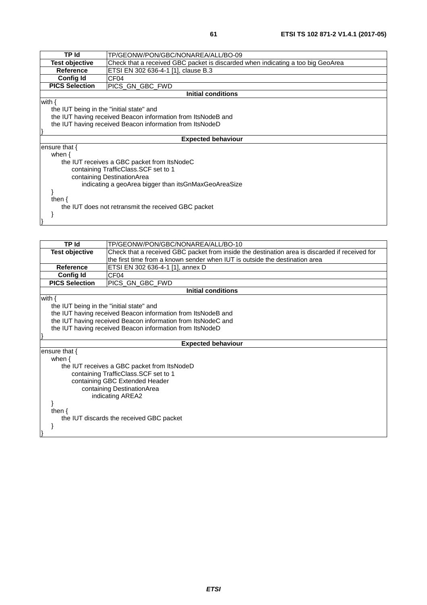| TP Id                                    | TP/GEONW/PON/GBC/NONAREA/ALL/BO-09                                              |  |
|------------------------------------------|---------------------------------------------------------------------------------|--|
| <b>Test objective</b>                    | Check that a received GBC packet is discarded when indicating a too big GeoArea |  |
| <b>Reference</b>                         | ETSI EN 302 636-4-1 [1], clause B.3                                             |  |
| Config Id                                | CF <sub>04</sub>                                                                |  |
| <b>PICS Selection</b>                    | PICS GN GBC FWD                                                                 |  |
|                                          | <b>Initial conditions</b>                                                       |  |
| with {                                   |                                                                                 |  |
| the IUT being in the "initial state" and |                                                                                 |  |
|                                          | the IUT having received Beacon information from ItsNodeB and                    |  |
|                                          | the IUT having received Beacon information from ItsNodeD                        |  |
|                                          |                                                                                 |  |
|                                          | <b>Expected behaviour</b>                                                       |  |
| ensure that {                            |                                                                                 |  |
| when $\{$                                |                                                                                 |  |
|                                          | the IUT receives a GBC packet from ItsNodeC                                     |  |
| containing TrafficClass. SCF set to 1    |                                                                                 |  |
| containing DestinationArea               |                                                                                 |  |
|                                          | indicating a geoArea bigger than itsGnMaxGeoAreaSize                            |  |
|                                          |                                                                                 |  |
| then $\{$                                |                                                                                 |  |
|                                          | the IUT does not retransmit the received GBC packet                             |  |
|                                          |                                                                                 |  |
|                                          |                                                                                 |  |

| <b>TP</b> Id                             | TP/GEONW/PON/GBC/NONAREA/ALL/BO-10                                                             |  |
|------------------------------------------|------------------------------------------------------------------------------------------------|--|
| <b>Test objective</b>                    | Check that a received GBC packet from inside the destination area is discarded if received for |  |
|                                          | the first time from a known sender when IUT is outside the destination area                    |  |
| Reference                                | ETSI EN 302 636-4-1 [1], annex D                                                               |  |
| <b>Config Id</b>                         | CF <sub>04</sub>                                                                               |  |
| <b>PICS Selection</b>                    | PICS_GN_GBC_FWD                                                                                |  |
|                                          | <b>Initial conditions</b>                                                                      |  |
| with $\{$                                |                                                                                                |  |
| the IUT being in the "initial state" and |                                                                                                |  |
|                                          | the IUT having received Beacon information from ItsNodeB and                                   |  |
|                                          | the IUT having received Beacon information from ItsNodeC and                                   |  |
|                                          | the IUT having received Beacon information from ItsNodeD                                       |  |
|                                          |                                                                                                |  |
|                                          | <b>Expected behaviour</b>                                                                      |  |
| ensure that {                            |                                                                                                |  |
| when $\{$                                |                                                                                                |  |
|                                          | the IUT receives a GBC packet from ItsNodeD                                                    |  |
| containing TrafficClass. SCF set to 1    |                                                                                                |  |
|                                          | containing GBC Extended Header                                                                 |  |
| containing DestinationArea               |                                                                                                |  |
| indicating AREA2                         |                                                                                                |  |
|                                          |                                                                                                |  |
| then $\{$                                |                                                                                                |  |
| the IUT discards the received GBC packet |                                                                                                |  |
|                                          |                                                                                                |  |
|                                          |                                                                                                |  |
|                                          |                                                                                                |  |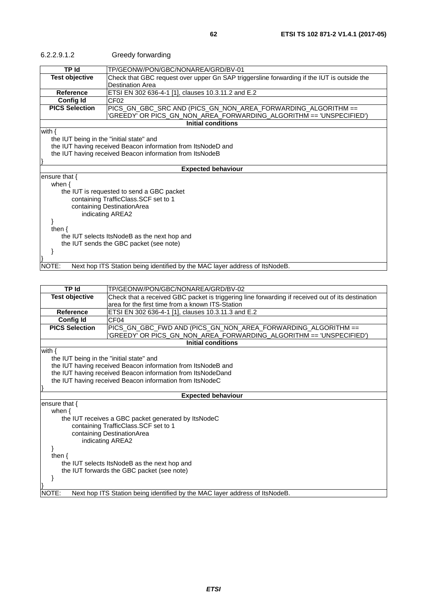6.2.2.9.1.2 Greedy forwarding

| TP Id                                                        | TP/GEONW/PON/GBC/NONAREA/GRD/BV-01                                                         |
|--------------------------------------------------------------|--------------------------------------------------------------------------------------------|
| <b>Test objective</b>                                        | Check that GBC request over upper Gn SAP triggersline forwarding if the IUT is outside the |
|                                                              | <b>Destination Area</b>                                                                    |
| <b>Reference</b>                                             | ETSI EN 302 636-4-1 [1], clauses 10.3.11.2 and E.2                                         |
| <b>Config Id</b>                                             | CF <sub>02</sub>                                                                           |
| <b>PICS Selection</b>                                        | PICS_GN_GBC_SRC AND (PICS_GN_NON_AREA_FORWARDING_ALGORITHM ==                              |
|                                                              | 'GREEDY' OR PICS_GN_NON_AREA_FORWARDING_ALGORITHM == 'UNSPECIFIED')                        |
|                                                              | <b>Initial conditions</b>                                                                  |
| with $\{$                                                    |                                                                                            |
| the IUT being in the "initial state" and                     |                                                                                            |
| the IUT having received Beacon information from ItsNodeD and |                                                                                            |
| the IUT having received Beacon information from ItsNodeB     |                                                                                            |
|                                                              |                                                                                            |
|                                                              | <b>Expected behaviour</b>                                                                  |
| ensure that $\{$                                             |                                                                                            |
| when $\{$                                                    |                                                                                            |
|                                                              | the IUT is requested to send a GBC packet                                                  |
|                                                              | containing TrafficClass.SCF set to 1                                                       |
|                                                              | containing DestinationArea                                                                 |
|                                                              | indicating AREA2                                                                           |
|                                                              |                                                                                            |
| then $\{$                                                    |                                                                                            |
| the IUT selects ItsNodeB as the next hop and                 |                                                                                            |
|                                                              | the IUT sends the GBC packet (see note)                                                    |
|                                                              |                                                                                            |
|                                                              |                                                                                            |
| NOTE:                                                        | Next hop ITS Station being identified by the MAC layer address of ItsNodeB.                |
|                                                              |                                                                                            |

| <b>TP Id</b>                             | TP/GEONW/PON/GBC/NONAREA/GRD/BV-02                                                                |  |
|------------------------------------------|---------------------------------------------------------------------------------------------------|--|
| <b>Test objective</b>                    | Check that a received GBC packet is triggering line forwarding if received out of its destination |  |
|                                          | area for the first time from a known ITS-Station                                                  |  |
| <b>Reference</b>                         | ETSI EN 302 636-4-1 [1], clauses 10.3.11.3 and E.2                                                |  |
| <b>Config Id</b>                         | CF <sub>04</sub>                                                                                  |  |
| <b>PICS Selection</b>                    | PICS_GN_GBC_FWD AND (PICS_GN_NON_AREA_FORWARDING_ALGORITHM ==                                     |  |
|                                          | 'GREEDY' OR PICS_GN_NON_AREA_FORWARDING_ALGORITHM == 'UNSPECIFIED')                               |  |
|                                          | <b>Initial conditions</b>                                                                         |  |
| with $\{$                                |                                                                                                   |  |
| the IUT being in the "initial state" and |                                                                                                   |  |
|                                          | the IUT having received Beacon information from ItsNodeB and                                      |  |
|                                          | the IUT having received Beacon information from ItsNodeDand                                       |  |
|                                          | the IUT having received Beacon information from ItsNodeC                                          |  |
|                                          |                                                                                                   |  |
|                                          | <b>Expected behaviour</b>                                                                         |  |
| ensure that $\{$                         |                                                                                                   |  |
| when $\{$                                |                                                                                                   |  |
|                                          | the IUT receives a GBC packet generated by ItsNodeC                                               |  |
|                                          | containing TrafficClass. SCF set to 1                                                             |  |
|                                          | containing DestinationArea                                                                        |  |
|                                          | indicating AREA2                                                                                  |  |
|                                          |                                                                                                   |  |
| then $\{$                                |                                                                                                   |  |
|                                          | the IUT selects ItsNodeB as the next hop and                                                      |  |
|                                          | the IUT forwards the GBC packet (see note)                                                        |  |
|                                          |                                                                                                   |  |
|                                          |                                                                                                   |  |
| NOTE:                                    | Next hop ITS Station being identified by the MAC layer address of ItsNodeB.                       |  |
|                                          |                                                                                                   |  |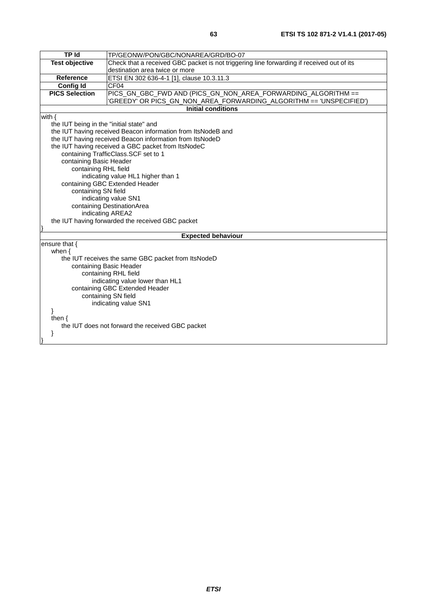| <b>TP Id</b>                             | TP/GEONW/PON/GBC/NONAREA/GRD/BO-07                                                        |  |
|------------------------------------------|-------------------------------------------------------------------------------------------|--|
| <b>Test objective</b>                    | Check that a received GBC packet is not triggering line forwarding if received out of its |  |
|                                          | destination area twice or more                                                            |  |
| <b>Reference</b>                         | ETSI EN 302 636-4-1 [1], clause 10.3.11.3                                                 |  |
| <b>Config Id</b>                         | CF <sub>04</sub>                                                                          |  |
| <b>PICS Selection</b>                    | PICS_GN_GBC_FWD AND (PICS_GN_NON_AREA_FORWARDING_ALGORITHM ==                             |  |
|                                          | 'GREEDY' OR PICS_GN_NON_AREA_FORWARDING_ALGORITHM == 'UNSPECIFIED')                       |  |
|                                          | <b>Initial conditions</b>                                                                 |  |
| with $\{$                                |                                                                                           |  |
| the IUT being in the "initial state" and |                                                                                           |  |
|                                          | the IUT having received Beacon information from ItsNodeB and                              |  |
|                                          | the IUT having received Beacon information from ItsNodeD                                  |  |
|                                          | the IUT having received a GBC packet from ItsNodeC                                        |  |
|                                          | containing TrafficClass.SCF set to 1                                                      |  |
| containing Basic Header                  |                                                                                           |  |
| containing RHL field                     |                                                                                           |  |
|                                          | indicating value HL1 higher than 1                                                        |  |
|                                          | containing GBC Extended Header                                                            |  |
|                                          | containing SN field                                                                       |  |
|                                          | indicating value SN1                                                                      |  |
|                                          | containing DestinationArea                                                                |  |
|                                          | indicating AREA2                                                                          |  |
|                                          | the IUT having forwarded the received GBC packet                                          |  |
|                                          |                                                                                           |  |
|                                          | <b>Expected behaviour</b>                                                                 |  |
| ensure that {                            |                                                                                           |  |
| when $\{$                                |                                                                                           |  |
|                                          | the IUT receives the same GBC packet from ItsNodeD                                        |  |
|                                          | containing Basic Header                                                                   |  |
| containing RHL field                     |                                                                                           |  |
| indicating value lower than HL1          |                                                                                           |  |
|                                          | containing GBC Extended Header                                                            |  |
|                                          | containing SN field                                                                       |  |
|                                          | indicating value SN1                                                                      |  |
| $\}$                                     |                                                                                           |  |
| then $\{$                                |                                                                                           |  |
|                                          | the IUT does not forward the received GBC packet                                          |  |
| ł                                        |                                                                                           |  |
|                                          |                                                                                           |  |
|                                          |                                                                                           |  |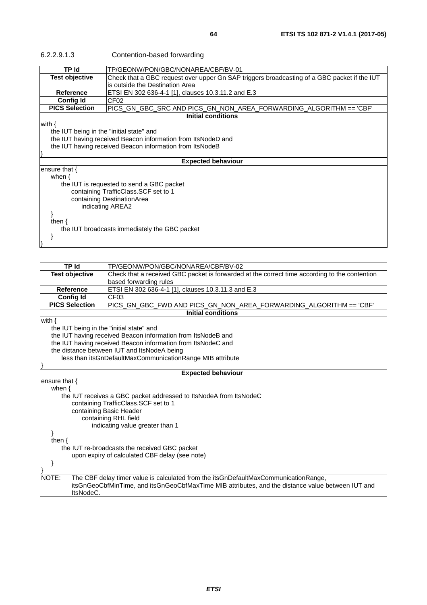| 6.2.2.9.1.3 | Co |
|-------------|----|
|-------------|----|

| 6.2.2.9.1.3 | Contention-based forwarding |
|-------------|-----------------------------|
|-------------|-----------------------------|

|                                                              | <u>ontontion</u> babba formarang                                                            |  |
|--------------------------------------------------------------|---------------------------------------------------------------------------------------------|--|
| <b>TP Id</b>                                                 | TP/GEONW/PON/GBC/NONAREA/CBF/BV-01                                                          |  |
| <b>Test objective</b>                                        | Check that a GBC request over upper Gn SAP triggers broadcasting of a GBC packet if the IUT |  |
|                                                              | is outside the Destination Area                                                             |  |
| <b>Reference</b>                                             | ETSI EN 302 636-4-1 [1], clauses 10.3.11.2 and E.3                                          |  |
| <b>Config Id</b>                                             | CF02                                                                                        |  |
| <b>PICS Selection</b>                                        | PICS_GN_GBC_SRC        AND        PICS_GN_NON_AREA_FORWARDING_ALGORITHM == 'CBF'            |  |
|                                                              | <b>Initial conditions</b>                                                                   |  |
| with {                                                       |                                                                                             |  |
|                                                              | the IUT being in the "initial state" and                                                    |  |
| the IUT having received Beacon information from ItsNodeD and |                                                                                             |  |
| the IUT having received Beacon information from ItsNodeB     |                                                                                             |  |
|                                                              |                                                                                             |  |
|                                                              | <b>Expected behaviour</b>                                                                   |  |
| ensure that {                                                |                                                                                             |  |
| when $\{$                                                    |                                                                                             |  |
|                                                              | the IUT is requested to send a GBC packet                                                   |  |
| containing TrafficClass. SCF set to 1                        |                                                                                             |  |
| containing DestinationArea                                   |                                                                                             |  |
|                                                              | indicating AREA2                                                                            |  |
|                                                              |                                                                                             |  |
| then $\{$                                                    |                                                                                             |  |
|                                                              | the IUT broadcasts immediately the GBC packet                                               |  |
|                                                              |                                                                                             |  |

| TP Id                                    | TP/GEONW/PON/GBC/NONAREA/CBF/BV-02                                                                |
|------------------------------------------|---------------------------------------------------------------------------------------------------|
| <b>Test objective</b>                    | Check that a received GBC packet is forwarded at the correct time according to the contention     |
|                                          | based forwarding rules                                                                            |
| <b>Reference</b>                         | ETSI EN 302 636-4-1 [1], clauses 10.3.11.3 and E.3                                                |
| <b>Config Id</b>                         | CF <sub>03</sub>                                                                                  |
| <b>PICS Selection</b>                    | PICS_GN_GBC_FWD AND PICS_GN_NON_AREA_FORWARDING_ALGORITHM == 'CBF'                                |
|                                          | <b>Initial conditions</b>                                                                         |
| with $\{$                                |                                                                                                   |
| the IUT being in the "initial state" and |                                                                                                   |
|                                          | the IUT having received Beacon information from ItsNodeB and                                      |
|                                          | the IUT having received Beacon information from ItsNodeC and                                      |
|                                          | the distance between IUT and ItsNodeA being                                                       |
|                                          | less than itsGnDefaultMaxCommunicationRange MIB attribute                                         |
|                                          |                                                                                                   |
|                                          | <b>Expected behaviour</b>                                                                         |
| ensure that {                            |                                                                                                   |
| when $\{$                                |                                                                                                   |
|                                          | the IUT receives a GBC packet addressed to ItsNodeA from ItsNodeC                                 |
|                                          | containing TrafficClass.SCF set to 1                                                              |
| containing Basic Header                  |                                                                                                   |
|                                          | containing RHL field                                                                              |
|                                          | indicating value greater than 1                                                                   |
|                                          |                                                                                                   |
| then $\{$                                |                                                                                                   |
|                                          | the IUT re-broadcasts the received GBC packet                                                     |
|                                          | upon expiry of calculated CBF delay (see note)                                                    |
|                                          |                                                                                                   |
|                                          |                                                                                                   |
| NOTE:                                    | The CBF delay timer value is calculated from the itsGnDefaultMaxCommunicationRange,               |
| ItsNodeC.                                | itsGnGeoCbfMinTime, and itsGnGeoCbfMaxTime MIB attributes, and the distance value between IUT and |
|                                          |                                                                                                   |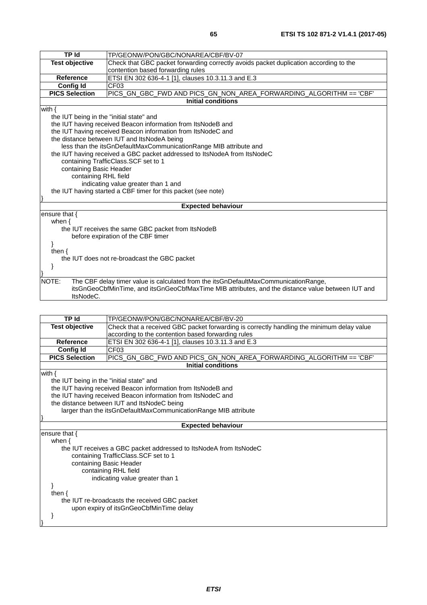| TP Id                                    | TP/GEONW/PON/GBC/NONAREA/CBF/BV-07                                                                |
|------------------------------------------|---------------------------------------------------------------------------------------------------|
| <b>Test objective</b>                    | Check that GBC packet forwarding correctly avoids packet duplication according to the             |
|                                          | contention based forwarding rules                                                                 |
| <b>Reference</b>                         | ETSI EN 302 636-4-1 [1], clauses 10.3.11.3 and E.3                                                |
| <b>Config Id</b>                         | CF <sub>03</sub>                                                                                  |
| <b>PICS Selection</b>                    | PICS_GN_GBC_FWD AND PICS_GN_NON_AREA_FORWARDING_ALGORITHM == 'CBF'                                |
|                                          | <b>Initial conditions</b>                                                                         |
| with $\{$                                |                                                                                                   |
| the IUT being in the "initial state" and |                                                                                                   |
|                                          | the IUT having received Beacon information from ItsNodeB and                                      |
|                                          | the IUT having received Beacon information from ItsNodeC and                                      |
|                                          | the distance between IUT and ItsNodeA being                                                       |
|                                          | less than the itsGnDefaultMaxCommunicationRange MIB attribute and                                 |
|                                          | the IUT having received a GBC packet addressed to ItsNodeA from ItsNodeC                          |
|                                          | containing TrafficClass.SCF set to 1                                                              |
| containing Basic Header                  |                                                                                                   |
| containing RHL field                     |                                                                                                   |
|                                          | indicating value greater than 1 and                                                               |
|                                          | the IUT having started a CBF timer for this packet (see note)                                     |
|                                          |                                                                                                   |
|                                          | <b>Expected behaviour</b>                                                                         |
| ensure that $\{$                         |                                                                                                   |
| when $\{$                                |                                                                                                   |
|                                          | the IUT receives the same GBC packet from ItsNodeB                                                |
|                                          | before expiration of the CBF timer                                                                |
|                                          |                                                                                                   |
| then $\{$                                |                                                                                                   |
|                                          | the IUT does not re-broadcast the GBC packet                                                      |
|                                          |                                                                                                   |
|                                          |                                                                                                   |
| NOTE:                                    | The CBF delay timer value is calculated from the itsGnDefaultMaxCommunicationRange,               |
|                                          | itsGnGeoCbfMinTime, and itsGnGeoCbfMaxTime MIB attributes, and the distance value between IUT and |
| ItsNodeC.                                |                                                                                                   |

| TP Id                                    | TP/GEONW/PON/GBC/NONAREA/CBF/BV-20                                                        |  |
|------------------------------------------|-------------------------------------------------------------------------------------------|--|
| <b>Test objective</b>                    | Check that a received GBC packet forwarding is correctly handling the minimum delay value |  |
|                                          | according to the contention based forwarding rules                                        |  |
| <b>Reference</b>                         | ETSI EN 302 636-4-1 [1], clauses 10.3.11.3 and E.3                                        |  |
| <b>Config Id</b>                         | CF <sub>03</sub>                                                                          |  |
| <b>PICS Selection</b>                    | PICS_GN_GBC_FWD AND PICS_GN_NON_AREA_FORWARDING_ALGORITHM == 'CBF'                        |  |
|                                          | <b>Initial conditions</b>                                                                 |  |
| with $\{$                                |                                                                                           |  |
| the IUT being in the "initial state" and |                                                                                           |  |
|                                          | the IUT having received Beacon information from ItsNodeB and                              |  |
|                                          | the IUT having received Beacon information from ItsNodeC and                              |  |
|                                          | the distance between IUT and ItsNodeC being                                               |  |
|                                          | larger than the itsGnDefaultMaxCommunicationRange MIB attribute                           |  |
|                                          |                                                                                           |  |
|                                          | <b>Expected behaviour</b>                                                                 |  |
| ensure that $\{$                         |                                                                                           |  |
| when $\{$                                |                                                                                           |  |
|                                          | the IUT receives a GBC packet addressed to ItsNodeA from ItsNodeC                         |  |
|                                          | containing TrafficClass.SCF set to 1                                                      |  |
|                                          | containing Basic Header                                                                   |  |
|                                          | containing RHL field                                                                      |  |
|                                          | indicating value greater than 1                                                           |  |
|                                          |                                                                                           |  |
| then $\{$                                |                                                                                           |  |
|                                          | the IUT re-broadcasts the received GBC packet                                             |  |
|                                          | upon expiry of itsGnGeoCbfMinTime delay                                                   |  |
|                                          |                                                                                           |  |
|                                          |                                                                                           |  |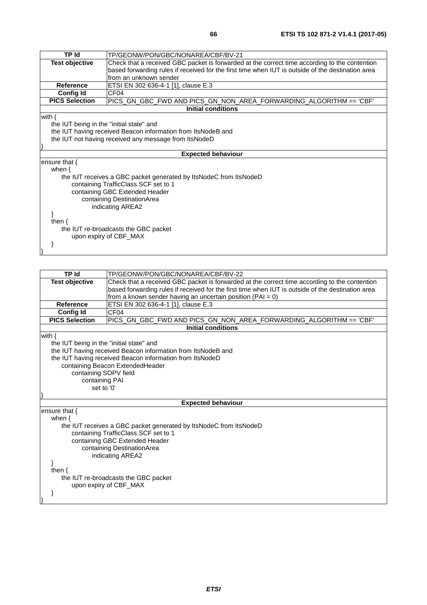| <b>TP Id</b>                             | TP/GEONW/PON/GBC/NONAREA/CBF/BV-21                                                                |  |
|------------------------------------------|---------------------------------------------------------------------------------------------------|--|
| <b>Test objective</b>                    | Check that a received GBC packet is forwarded at the correct time according to the contention     |  |
|                                          | based forwarding rules if received for the first time when IUT is outside of the destination area |  |
|                                          | from an unknown sender                                                                            |  |
| <b>Reference</b>                         | ETSI EN 302 636-4-1 [1], clause E.3                                                               |  |
| <b>Config Id</b>                         | CF <sub>04</sub>                                                                                  |  |
| <b>PICS Selection</b>                    | PICS_GN_GBC_FWD AND PICS_GN_NON_AREA_FORWARDING_ALGORITHM == 'CBF'                                |  |
|                                          | Initial conditions                                                                                |  |
| with $\{$                                |                                                                                                   |  |
| the IUT being in the "initial state" and |                                                                                                   |  |
|                                          | the IUT having received Beacon information from ItsNodeB and                                      |  |
|                                          | the IUT not having received any message from ItsNodeD                                             |  |
|                                          |                                                                                                   |  |
|                                          | <b>Expected behaviour</b>                                                                         |  |
| ensure that $\{$                         |                                                                                                   |  |
| when $\{$                                |                                                                                                   |  |
|                                          | the IUT receives a GBC packet generated by ItsNodeC from ItsNodeD                                 |  |
|                                          | containing TrafficClass.SCF set to 1                                                              |  |
|                                          | containing GBC Extended Header                                                                    |  |
|                                          | containing DestinationArea                                                                        |  |
|                                          | indicating AREA2                                                                                  |  |
|                                          |                                                                                                   |  |
| then $\{$                                |                                                                                                   |  |
|                                          | the IUT re-broadcasts the GBC packet                                                              |  |
|                                          | upon expiry of CBF_MAX                                                                            |  |
|                                          |                                                                                                   |  |
|                                          |                                                                                                   |  |

| <b>TP</b> Id                             | TP/GEONW/PON/GBC/NONAREA/CBF/BV-22                                                                |
|------------------------------------------|---------------------------------------------------------------------------------------------------|
| <b>Test objective</b>                    | Check that a received GBC packet is forwarded at the correct time according to the contention     |
|                                          | based forwarding rules if received for the first time when IUT is outside of the destination area |
|                                          | from a known sender having an uncertain position ( $PAI = 0$ )                                    |
| <b>Reference</b>                         | ETSI EN 302 636-4-1 [1], clause E.3                                                               |
| <b>Config Id</b>                         | CF <sub>04</sub>                                                                                  |
| <b>PICS Selection</b>                    | PICS_GN_GBC_FWD AND PICS_GN_NON_AREA_FORWARDING_ALGORITHM == 'CBF'                                |
|                                          | <b>Initial conditions</b>                                                                         |
| with $\{$                                |                                                                                                   |
| the IUT being in the "initial state" and |                                                                                                   |
|                                          | the IUT having received Beacon information from ItsNodeB and                                      |
|                                          | the IUT having received Beacon information from ItsNodeD                                          |
|                                          | containing Beacon ExtendedHeader                                                                  |
| containing SOPV field                    |                                                                                                   |
| containing PAI                           |                                                                                                   |
| set to '0'                               |                                                                                                   |
|                                          |                                                                                                   |
|                                          | <b>Expected behaviour</b>                                                                         |
| ensure that $\{$                         |                                                                                                   |
| when $\{$                                |                                                                                                   |
|                                          | the IUT receives a GBC packet generated by ItsNodeC from ItsNodeD                                 |
|                                          | containing TrafficClass.SCF set to 1                                                              |
|                                          | containing GBC Extended Header                                                                    |
| containing DestinationArea               |                                                                                                   |
|                                          | indicating AREA2                                                                                  |
|                                          |                                                                                                   |
| then $\{$                                |                                                                                                   |
|                                          | the IUT re-broadcasts the GBC packet                                                              |
|                                          | upon expiry of CBF_MAX                                                                            |
|                                          |                                                                                                   |
|                                          |                                                                                                   |
|                                          |                                                                                                   |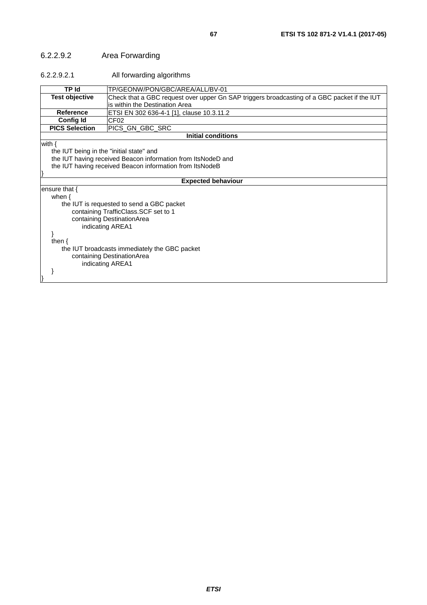# 6.2.2.9.2 Area Forwarding

#### 6.2.2.9.2.1 All forwarding algorithms

| TP Id                                    | TP/GEONW/PON/GBC/AREA/ALL/BV-01                                                             |
|------------------------------------------|---------------------------------------------------------------------------------------------|
| <b>Test objective</b>                    | Check that a GBC request over upper Gn SAP triggers broadcasting of a GBC packet if the IUT |
|                                          | is within the Destination Area                                                              |
| <b>Reference</b>                         | ETSI EN 302 636-4-1 [1], clause 10.3.11.2                                                   |
| <b>Config Id</b>                         | CF <sub>02</sub>                                                                            |
| <b>PICS Selection</b>                    | PICS_GN_GBC_SRC                                                                             |
|                                          | <b>Initial conditions</b>                                                                   |
| with $\{$                                |                                                                                             |
| the IUT being in the "initial state" and |                                                                                             |
|                                          | the IUT having received Beacon information from ItsNodeD and                                |
|                                          | the IUT having received Beacon information from ItsNodeB                                    |
|                                          |                                                                                             |
|                                          | <b>Expected behaviour</b>                                                                   |
| ensure that $\{$                         |                                                                                             |
| when $\{$                                |                                                                                             |
|                                          | the IUT is requested to send a GBC packet                                                   |
|                                          | containing TrafficClass.SCF set to 1                                                        |
|                                          | containing DestinationArea                                                                  |
|                                          | indicating AREA1                                                                            |
|                                          |                                                                                             |
| then $\{$                                |                                                                                             |
|                                          | the IUT broadcasts immediately the GBC packet                                               |
|                                          | containing DestinationArea                                                                  |
|                                          | indicating AREA1                                                                            |
|                                          |                                                                                             |
|                                          |                                                                                             |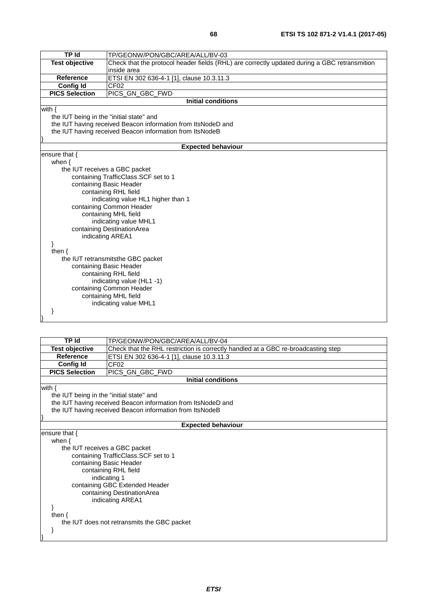| TP Id                                    | TP/GEONW/PON/GBC/AREA/ALL/BV-03                                                              |  |
|------------------------------------------|----------------------------------------------------------------------------------------------|--|
| <b>Test objective</b>                    | Check that the protocol header fields (RHL) are correctly updated during a GBC retransmition |  |
|                                          | inside area                                                                                  |  |
| <b>Reference</b>                         | ETSI EN 302 636-4-1 [1], clause 10.3.11.3                                                    |  |
| <b>Config Id</b>                         | CF <sub>02</sub>                                                                             |  |
| <b>PICS Selection</b>                    | PICS_GN_GBC_FWD                                                                              |  |
|                                          | <b>Initial conditions</b>                                                                    |  |
| with $\{$                                |                                                                                              |  |
| the IUT being in the "initial state" and |                                                                                              |  |
|                                          | the IUT having received Beacon information from ItsNodeD and                                 |  |
|                                          | the IUT having received Beacon information from ItsNodeB                                     |  |
|                                          |                                                                                              |  |
|                                          | <b>Expected behaviour</b>                                                                    |  |
| ensure that {                            |                                                                                              |  |
| when $\{$                                |                                                                                              |  |
| the IUT receives a GBC packet            |                                                                                              |  |
|                                          | containing TrafficClass.SCF set to 1                                                         |  |
|                                          | containing Basic Header                                                                      |  |
| containing RHL field                     |                                                                                              |  |
|                                          | indicating value HL1 higher than 1                                                           |  |
|                                          | containing Common Header                                                                     |  |
|                                          | containing MHL field                                                                         |  |
| indicating value MHL1                    |                                                                                              |  |
| containing DestinationArea               |                                                                                              |  |
|                                          | indicating AREA1                                                                             |  |
|                                          |                                                                                              |  |
| then $\{$                                |                                                                                              |  |
|                                          | the IUT retransmitsthe GBC packet<br>containing Basic Header                                 |  |
|                                          |                                                                                              |  |
|                                          | containing RHL field                                                                         |  |
|                                          | indicating value (HL1-1)<br>containing Common Header                                         |  |
|                                          |                                                                                              |  |
|                                          | containing MHL field                                                                         |  |
|                                          | indicating value MHL1                                                                        |  |
|                                          |                                                                                              |  |
|                                          |                                                                                              |  |

| TP Id                                                        | TP/GEONW/PON/GBC/AREA/ALL/BV-04                                                   |  |
|--------------------------------------------------------------|-----------------------------------------------------------------------------------|--|
| <b>Test objective</b>                                        | Check that the RHL restriction is correctly handled at a GBC re-broadcasting step |  |
| <b>Reference</b>                                             | ETSI EN 302 636-4-1 [1], clause 10.3.11.3                                         |  |
| <b>Config Id</b>                                             | CF <sub>02</sub>                                                                  |  |
| <b>PICS Selection</b>                                        | PICS GN GBC FWD                                                                   |  |
|                                                              | <b>Initial conditions</b>                                                         |  |
| with $\{$                                                    |                                                                                   |  |
| the IUT being in the "initial state" and                     |                                                                                   |  |
| the IUT having received Beacon information from ItsNodeD and |                                                                                   |  |
| the IUT having received Beacon information from ItsNodeB     |                                                                                   |  |
|                                                              |                                                                                   |  |
|                                                              | <b>Expected behaviour</b>                                                         |  |
| ensure that {                                                |                                                                                   |  |
| when $\{$                                                    |                                                                                   |  |
| the IUT receives a GBC packet                                |                                                                                   |  |
|                                                              | containing TrafficClass. SCF set to 1                                             |  |
| containing Basic Header                                      |                                                                                   |  |
|                                                              | containing RHL field                                                              |  |
| indicating 1                                                 |                                                                                   |  |
| containing GBC Extended Header                               |                                                                                   |  |
| containing DestinationArea                                   |                                                                                   |  |
|                                                              | indicating AREA1                                                                  |  |
|                                                              |                                                                                   |  |
| then $\{$                                                    |                                                                                   |  |
| the IUT does not retransmits the GBC packet                  |                                                                                   |  |
|                                                              |                                                                                   |  |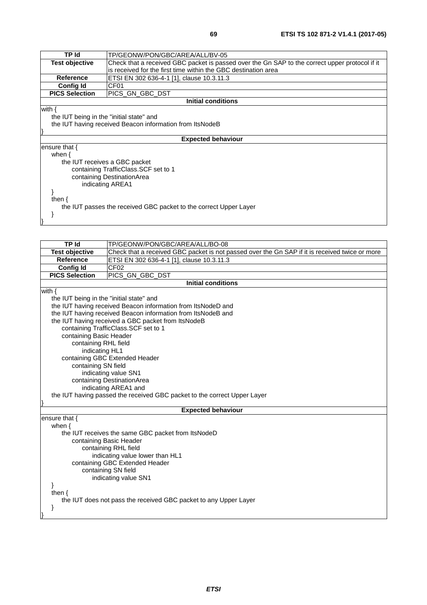| TP Id                                                             | TP/GEONW/PON/GBC/AREA/ALL/BV-05                                                                |  |
|-------------------------------------------------------------------|------------------------------------------------------------------------------------------------|--|
| <b>Test objective</b>                                             | Check that a received GBC packet is passed over the Gn SAP to the correct upper protocol if it |  |
|                                                                   | is received for the first time within the GBC destination area                                 |  |
| <b>Reference</b>                                                  | ETSI EN 302 636-4-1 [1], clause 10.3.11.3                                                      |  |
| <b>Config Id</b>                                                  | CF <sub>01</sub>                                                                               |  |
| <b>PICS Selection</b>                                             | PICS GN GBC DST                                                                                |  |
| <b>Initial conditions</b>                                         |                                                                                                |  |
| with $\{$                                                         |                                                                                                |  |
| the IUT being in the "initial state" and                          |                                                                                                |  |
|                                                                   | the IUT having received Beacon information from ItsNodeB                                       |  |
|                                                                   |                                                                                                |  |
|                                                                   | <b>Expected behaviour</b>                                                                      |  |
| ensure that $\{$                                                  |                                                                                                |  |
| when $\{$                                                         |                                                                                                |  |
| the IUT receives a GBC packet                                     |                                                                                                |  |
|                                                                   | containing TrafficClass. SCF set to 1                                                          |  |
|                                                                   | containing DestinationArea                                                                     |  |
|                                                                   | indicating AREA1                                                                               |  |
|                                                                   |                                                                                                |  |
| then $\{$                                                         |                                                                                                |  |
| the IUT passes the received GBC packet to the correct Upper Layer |                                                                                                |  |
|                                                                   |                                                                                                |  |
|                                                                   |                                                                                                |  |
|                                                                   |                                                                                                |  |

| TP Id                                    | TP/GEONW/PON/GBC/AREA/ALL/BO-08                                                                |  |
|------------------------------------------|------------------------------------------------------------------------------------------------|--|
| <b>Test objective</b>                    | Check that a received GBC packet is not passed over the Gn SAP if it is received twice or more |  |
| <b>Reference</b>                         | ETSI EN 302 636-4-1 [1], clause 10.3.11.3                                                      |  |
| <b>Config Id</b>                         | CF <sub>02</sub>                                                                               |  |
| <b>PICS Selection</b>                    | PICS_GN_GBC_DST                                                                                |  |
|                                          | <b>Initial conditions</b>                                                                      |  |
| with $\{$                                |                                                                                                |  |
| the IUT being in the "initial state" and |                                                                                                |  |
|                                          | the IUT having received Beacon information from ItsNodeD and                                   |  |
|                                          | the IUT having received Beacon information from ItsNodeB and                                   |  |
|                                          | the IUT having received a GBC packet from ItsNodeB                                             |  |
|                                          | containing TrafficClass.SCF set to 1                                                           |  |
| containing Basic Header                  |                                                                                                |  |
| containing RHL field                     |                                                                                                |  |
| indicating HL1                           |                                                                                                |  |
|                                          | containing GBC Extended Header                                                                 |  |
| containing SN field                      |                                                                                                |  |
|                                          | indicating value SN1                                                                           |  |
|                                          | containing DestinationArea                                                                     |  |
|                                          | indicating AREA1 and                                                                           |  |
|                                          | the IUT having passed the received GBC packet to the correct Upper Layer                       |  |
|                                          | <b>Expected behaviour</b>                                                                      |  |
| ensure that {                            |                                                                                                |  |
| when $\{$                                |                                                                                                |  |
|                                          | the IUT receives the same GBC packet from ItsNodeD                                             |  |
| containing Basic Header                  |                                                                                                |  |
|                                          | containing RHL field                                                                           |  |
|                                          | indicating value lower than HL1                                                                |  |
|                                          | containing GBC Extended Header                                                                 |  |
|                                          | containing SN field                                                                            |  |
|                                          | indicating value SN1                                                                           |  |
| <sup>}</sup>                             |                                                                                                |  |
| then $\{$                                |                                                                                                |  |
|                                          | the IUT does not pass the received GBC packet to any Upper Layer                               |  |
| }                                        |                                                                                                |  |
|                                          |                                                                                                |  |
|                                          |                                                                                                |  |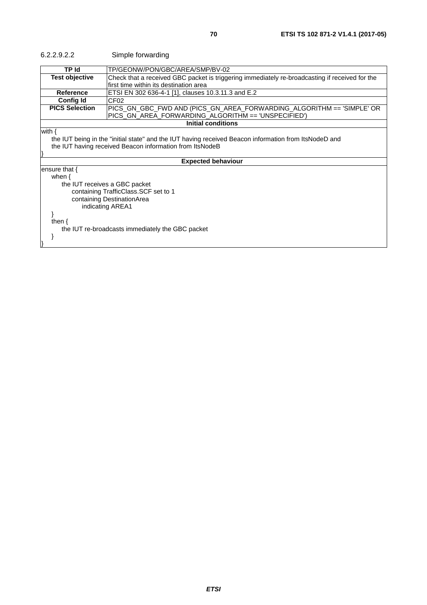| 6.2.2.9.2.2                                                                                                                                                                                                                | Simple forwarding                                                                                                                         |
|----------------------------------------------------------------------------------------------------------------------------------------------------------------------------------------------------------------------------|-------------------------------------------------------------------------------------------------------------------------------------------|
| <b>TP</b> Id                                                                                                                                                                                                               | TP/GEONW/PON/GBC/AREA/SMP/BV-02                                                                                                           |
| <b>Test objective</b>                                                                                                                                                                                                      | Check that a received GBC packet is triggering immediately re-broadcasting if received for the<br>lfirst time within its destination area |
| Reference                                                                                                                                                                                                                  | ETSI EN 302 636-4-1 [1], clauses 10.3.11.3 and E.2                                                                                        |
| Config Id                                                                                                                                                                                                                  | CF <sub>02</sub>                                                                                                                          |
| <b>PICS Selection</b>                                                                                                                                                                                                      | PICS_GN_GBC_FWD        AND (PICS_GN_AREA_FORWARDING_ALGORITHM == 'SIMPLE' OR<br>PICS_GN_AREA_FORWARDING_ALGORITHM == 'UNSPECIFIED')       |
|                                                                                                                                                                                                                            | <b>Initial conditions</b>                                                                                                                 |
| with {<br>the IUT being in the "initial state" and the IUT having received Beacon information from ItsNodeD and<br>the IUT having received Beacon information from ItsNodeB                                                |                                                                                                                                           |
|                                                                                                                                                                                                                            | <b>Expected behaviour</b>                                                                                                                 |
| ensure that $\{$<br>when $\{$<br>the IUT receives a GBC packet<br>containing TrafficClass. SCF set to 1<br>containing DestinationArea<br>indicating AREA1<br>then $\{$<br>the IUT re-broadcasts immediately the GBC packet |                                                                                                                                           |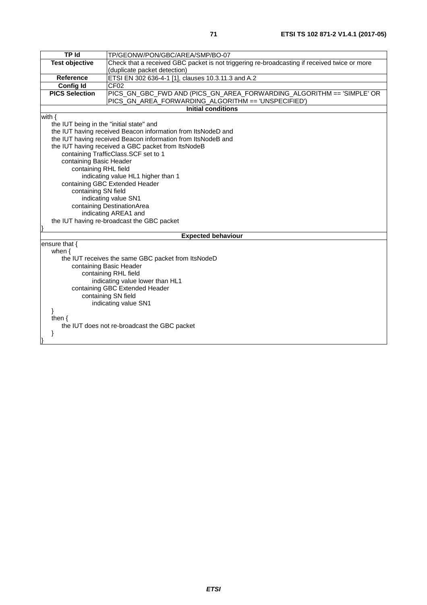| <b>TP Id</b>                                                 | TP/GEONW/PON/GBC/AREA/SMP/BO-07                                                              |  |
|--------------------------------------------------------------|----------------------------------------------------------------------------------------------|--|
| <b>Test objective</b>                                        | Check that a received GBC packet is not triggering re-broadcasting if received twice or more |  |
|                                                              | (duplicate packet detection)                                                                 |  |
| <b>Reference</b>                                             | ETSI EN 302 636-4-1 [1], clauses 10.3.11.3 and A.2                                           |  |
| <b>Config Id</b>                                             | CF <sub>02</sub>                                                                             |  |
| <b>PICS Selection</b>                                        | PICS_GN_GBC_FWD AND (PICS_GN_AREA_FORWARDING_ALGORITHM == 'SIMPLE' OR                        |  |
|                                                              | PICS_GN_AREA_FORWARDING_ALGORITHM == 'UNSPECIFIED')                                          |  |
|                                                              | <b>Initial conditions</b>                                                                    |  |
| with $\{$                                                    |                                                                                              |  |
| the IUT being in the "initial state" and                     |                                                                                              |  |
|                                                              | the IUT having received Beacon information from ItsNodeD and                                 |  |
| the IUT having received Beacon information from ItsNodeB and |                                                                                              |  |
|                                                              | the IUT having received a GBC packet from ItsNodeB                                           |  |
| containing TrafficClass.SCF set to 1                         |                                                                                              |  |
| containing Basic Header                                      |                                                                                              |  |
| containing RHL field                                         |                                                                                              |  |
|                                                              | indicating value HL1 higher than 1                                                           |  |
|                                                              | containing GBC Extended Header                                                               |  |
| containing SN field                                          |                                                                                              |  |
|                                                              | indicating value SN1                                                                         |  |
|                                                              | containing DestinationArea                                                                   |  |
|                                                              | indicating AREA1 and                                                                         |  |
|                                                              | the IUT having re-broadcast the GBC packet                                                   |  |
|                                                              |                                                                                              |  |
|                                                              | <b>Expected behaviour</b>                                                                    |  |
| ensure that {                                                |                                                                                              |  |
| when $\{$                                                    |                                                                                              |  |
|                                                              | the IUT receives the same GBC packet from ItsNodeD                                           |  |
|                                                              | containing Basic Header                                                                      |  |
|                                                              | containing RHL field                                                                         |  |
|                                                              | indicating value lower than HL1                                                              |  |
| containing GBC Extended Header                               |                                                                                              |  |
| containing SN field                                          |                                                                                              |  |
| indicating value SN1                                         |                                                                                              |  |
| ł                                                            |                                                                                              |  |
| then $\{$                                                    |                                                                                              |  |
| the IUT does not re-broadcast the GBC packet                 |                                                                                              |  |
| ł                                                            |                                                                                              |  |
|                                                              |                                                                                              |  |
|                                                              |                                                                                              |  |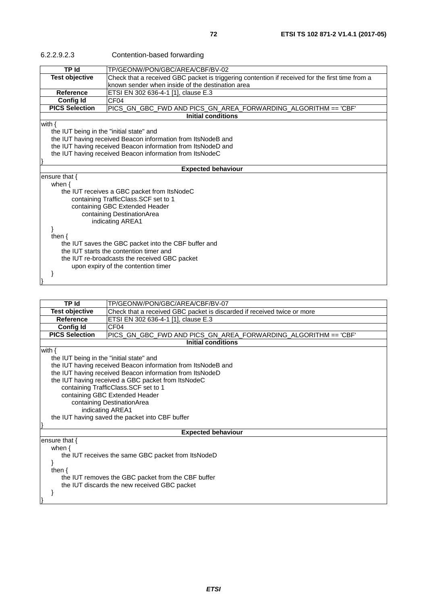| 6.2.2.9.2.3                                                  | Contention-based forwarding                                                                                                                         |  |
|--------------------------------------------------------------|-----------------------------------------------------------------------------------------------------------------------------------------------------|--|
| <b>TP Id</b>                                                 | TP/GEONW/PON/GBC/AREA/CBF/BV-02                                                                                                                     |  |
| <b>Test objective</b>                                        | Check that a received GBC packet is triggering contention if received for the first time from a<br>known sender when inside of the destination area |  |
| Reference                                                    | ETSI EN 302 636-4-1 [1], clause E.3                                                                                                                 |  |
| <b>Config Id</b>                                             | CF <sub>04</sub>                                                                                                                                    |  |
| <b>PICS Selection</b>                                        | PICS_GN_GBC_FWD AND PICS_GN_AREA_FORWARDING_ALGORITHM == 'CBF'                                                                                      |  |
|                                                              | <b>Initial conditions</b>                                                                                                                           |  |
| with $\{$                                                    |                                                                                                                                                     |  |
| the IUT being in the "initial state" and                     |                                                                                                                                                     |  |
| the IUT having received Beacon information from ItsNodeB and |                                                                                                                                                     |  |
|                                                              | the IUT having received Beacon information from ItsNodeD and                                                                                        |  |
|                                                              | the IUT having received Beacon information from ItsNodeC                                                                                            |  |
|                                                              |                                                                                                                                                     |  |
|                                                              | <b>Expected behaviour</b>                                                                                                                           |  |
| ensure that $\{$                                             |                                                                                                                                                     |  |
| when $\{$                                                    |                                                                                                                                                     |  |
|                                                              | the IUT receives a GBC packet from ItsNodeC                                                                                                         |  |
|                                                              | containing TrafficClass.SCF set to 1                                                                                                                |  |
|                                                              | containing GBC Extended Header                                                                                                                      |  |
|                                                              | containing DestinationArea                                                                                                                          |  |
|                                                              | indicating AREA1                                                                                                                                    |  |
| then $\{$                                                    |                                                                                                                                                     |  |
|                                                              | the IUT saves the GBC packet into the CBF buffer and                                                                                                |  |
|                                                              |                                                                                                                                                     |  |
| the IUT starts the contention timer and                      |                                                                                                                                                     |  |
|                                                              | the IUT re-broadcasts the received GBC packet<br>upon expiry of the contention timer                                                                |  |
|                                                              |                                                                                                                                                     |  |
|                                                              |                                                                                                                                                     |  |

| <b>TP Id</b>                                       | TP/GEONW/PON/GBC/AREA/CBF/BV-07                                         |  |
|----------------------------------------------------|-------------------------------------------------------------------------|--|
| <b>Test objective</b>                              | Check that a received GBC packet is discarded if received twice or more |  |
| <b>Reference</b>                                   | ETSI EN 302 636-4-1 [1], clause E.3                                     |  |
| <b>Config Id</b>                                   | CF <sub>04</sub>                                                        |  |
| <b>PICS Selection</b>                              | PICS_GN_GBC_FWD AND PICS_GN_AREA_FORWARDING_ALGORITHM == 'CBF'          |  |
|                                                    | <b>Initial conditions</b>                                               |  |
| with $\{$                                          |                                                                         |  |
|                                                    | the IUT being in the "initial state" and                                |  |
|                                                    | the IUT having received Beacon information from ItsNodeB and            |  |
|                                                    | the IUT having received Beacon information from ItsNodeD                |  |
|                                                    | the IUT having received a GBC packet from ItsNodeC                      |  |
|                                                    | containing TrafficClass.SCF set to 1                                    |  |
|                                                    | containing GBC Extended Header                                          |  |
|                                                    | containing DestinationArea                                              |  |
|                                                    | indicating AREA1                                                        |  |
|                                                    | the IUT having saved the packet into CBF buffer                         |  |
|                                                    |                                                                         |  |
|                                                    | <b>Expected behaviour</b>                                               |  |
| ensure that $\{$                                   |                                                                         |  |
| when $\{$                                          |                                                                         |  |
|                                                    | the IUT receives the same GBC packet from ItsNodeD                      |  |
|                                                    |                                                                         |  |
| then $\{$                                          |                                                                         |  |
| the IUT removes the GBC packet from the CBF buffer |                                                                         |  |
| the IUT discards the new received GBC packet       |                                                                         |  |
|                                                    |                                                                         |  |
|                                                    |                                                                         |  |
|                                                    |                                                                         |  |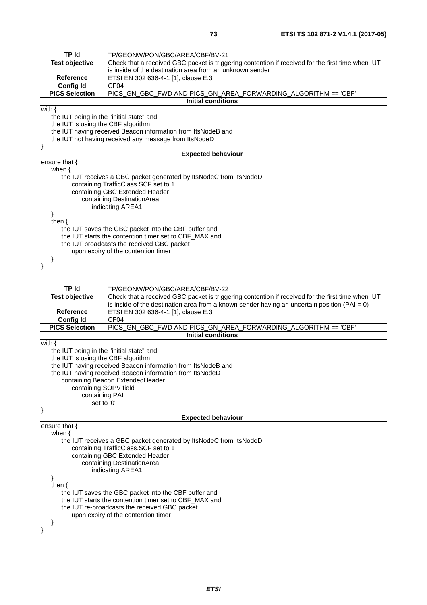| <b>TP Id</b>                                           | TP/GEONW/PON/GBC/AREA/CBF/BV-21                                                                   |  |
|--------------------------------------------------------|---------------------------------------------------------------------------------------------------|--|
| <b>Test objective</b>                                  | Check that a received GBC packet is triggering contention if received for the first time when IUT |  |
|                                                        | is inside of the destination area from an unknown sender                                          |  |
| <b>Reference</b>                                       | ETSI EN 302 636-4-1 [1], clause E.3                                                               |  |
| <b>Config Id</b>                                       | CF04                                                                                              |  |
| <b>PICS Selection</b>                                  | PICS_GN_GBC_FWD AND PICS_GN_AREA_FORWARDING_ALGORITHM == 'CBF'                                    |  |
|                                                        | <b>Initial conditions</b>                                                                         |  |
| with $\{$                                              |                                                                                                   |  |
| the IUT being in the "initial state" and               |                                                                                                   |  |
| the IUT is using the CBF algorithm                     |                                                                                                   |  |
|                                                        | the IUT having received Beacon information from ItsNodeB and                                      |  |
|                                                        | the IUT not having received any message from ItsNodeD                                             |  |
|                                                        |                                                                                                   |  |
|                                                        | <b>Expected behaviour</b>                                                                         |  |
| ensure that $\{$                                       |                                                                                                   |  |
| when $\{$                                              |                                                                                                   |  |
|                                                        | the IUT receives a GBC packet generated by ItsNodeC from ItsNodeD                                 |  |
|                                                        | containing TrafficClass.SCF set to 1                                                              |  |
|                                                        | containing GBC Extended Header                                                                    |  |
| containing DestinationArea                             |                                                                                                   |  |
|                                                        | indicating AREA1                                                                                  |  |
|                                                        |                                                                                                   |  |
| then $\{$                                              |                                                                                                   |  |
| the IUT saves the GBC packet into the CBF buffer and   |                                                                                                   |  |
| the IUT starts the contention timer set to CBF_MAX and |                                                                                                   |  |
| the IUT broadcasts the received GBC packet             |                                                                                                   |  |
| upon expiry of the contention timer                    |                                                                                                   |  |
|                                                        |                                                                                                   |  |
|                                                        |                                                                                                   |  |

| TP Id                                                  | TP/GEONW/PON/GBC/AREA/CBF/BV-22                                                                   |  |
|--------------------------------------------------------|---------------------------------------------------------------------------------------------------|--|
| <b>Test objective</b>                                  | Check that a received GBC packet is triggering contention if received for the first time when IUT |  |
|                                                        | is inside of the destination area from a known sender having an uncertain position $(PAI = 0)$    |  |
| <b>Reference</b>                                       | ETSI EN 302 636-4-1 [1], clause E.3                                                               |  |
| <b>Config Id</b>                                       | CF <sub>04</sub>                                                                                  |  |
| <b>PICS Selection</b>                                  | PICS_GN_GBC_FWD AND PICS_GN_AREA_FORWARDING_ALGORITHM == 'CBF'                                    |  |
|                                                        | <b>Initial conditions</b>                                                                         |  |
| with $\{$                                              |                                                                                                   |  |
| the IUT being in the "initial state" and               |                                                                                                   |  |
| the IUT is using the CBF algorithm                     |                                                                                                   |  |
|                                                        | the IUT having received Beacon information from ItsNodeB and                                      |  |
|                                                        | the IUT having received Beacon information from ItsNodeD                                          |  |
|                                                        | containing Beacon ExtendedHeader                                                                  |  |
| containing SOPV field                                  |                                                                                                   |  |
|                                                        | containing PAI                                                                                    |  |
| set to '0'                                             |                                                                                                   |  |
|                                                        | <b>Expected behaviour</b>                                                                         |  |
| ensure that $\{$                                       |                                                                                                   |  |
| when $\{$                                              |                                                                                                   |  |
|                                                        | the IUT receives a GBC packet generated by ItsNodeC from ItsNodeD                                 |  |
| containing TrafficClass.SCF set to 1                   |                                                                                                   |  |
| containing GBC Extended Header                         |                                                                                                   |  |
| containing DestinationArea                             |                                                                                                   |  |
| indicating AREA1                                       |                                                                                                   |  |
|                                                        |                                                                                                   |  |
| then $\{$                                              |                                                                                                   |  |
| the IUT saves the GBC packet into the CBF buffer and   |                                                                                                   |  |
| the IUT starts the contention timer set to CBF MAX and |                                                                                                   |  |
| the IUT re-broadcasts the received GBC packet          |                                                                                                   |  |
|                                                        | upon expiry of the contention timer                                                               |  |
|                                                        |                                                                                                   |  |
|                                                        |                                                                                                   |  |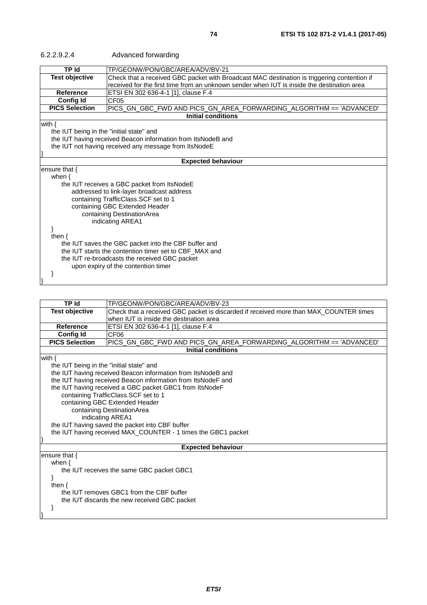| 6.2.2.9.2.4                                            | Advanced forwarding                                                                         |  |
|--------------------------------------------------------|---------------------------------------------------------------------------------------------|--|
| <b>TP Id</b>                                           | TP/GEONW/PON/GBC/AREA/ADV/BV-21                                                             |  |
| <b>Test objective</b>                                  | Check that a received GBC packet with Broadcast MAC destination is triggering contention if |  |
|                                                        | received for the first time from an unknown sender when IUT is inside the destination area  |  |
| <b>Reference</b>                                       | ETSI EN 302 636-4-1 [1], clause F.4                                                         |  |
| <b>Config Id</b>                                       | CF05                                                                                        |  |
| <b>PICS Selection</b>                                  | PICS_GN_GBC_FWD AND PICS_GN_AREA_FORWARDING_ALGORITHM == 'ADVANCED'                         |  |
|                                                        | <b>Initial conditions</b>                                                                   |  |
| with $\{$                                              |                                                                                             |  |
| the IUT being in the "initial state" and               |                                                                                             |  |
|                                                        | the IUT having received Beacon information from ItsNodeB and                                |  |
|                                                        | the IUT not having received any message from ItsNodeE                                       |  |
|                                                        |                                                                                             |  |
|                                                        | <b>Expected behaviour</b>                                                                   |  |
| ensure that $\{$                                       |                                                                                             |  |
| when $\{$                                              |                                                                                             |  |
|                                                        | the IUT receives a GBC packet from ItsNodeE                                                 |  |
|                                                        | addressed to link-layer broadcast address                                                   |  |
|                                                        | containing TrafficClass.SCF set to 1                                                        |  |
|                                                        | containing GBC Extended Header                                                              |  |
| containing DestinationArea                             |                                                                                             |  |
|                                                        | indicating AREA1                                                                            |  |
|                                                        |                                                                                             |  |
| then $\{$                                              |                                                                                             |  |
| the IUT saves the GBC packet into the CBF buffer and   |                                                                                             |  |
| the IUT starts the contention timer set to CBF MAX and |                                                                                             |  |
| the IUT re-broadcasts the received GBC packet          |                                                                                             |  |
| upon expiry of the contention timer                    |                                                                                             |  |
|                                                        |                                                                                             |  |
|                                                        |                                                                                             |  |

| TP Id                                        | TP/GEONW/PON/GBC/AREA/ADV/BV-23                                                       |  |  |
|----------------------------------------------|---------------------------------------------------------------------------------------|--|--|
| <b>Test objective</b>                        | Check that a received GBC packet is discarded if received more than MAX_COUNTER times |  |  |
|                                              | when IUT is inside the destination area                                               |  |  |
| <b>Reference</b>                             | ETSI EN 302 636-4-1 [1], clause F.4                                                   |  |  |
| <b>Config Id</b>                             | CF <sub>06</sub>                                                                      |  |  |
| <b>PICS Selection</b>                        | PICS_GN_GBC_FWD AND PICS_GN_AREA_FORWARDING_ALGORITHM == 'ADVANCED'                   |  |  |
|                                              | <b>Initial conditions</b>                                                             |  |  |
| with $\{$                                    |                                                                                       |  |  |
| the IUT being in the "initial state" and     |                                                                                       |  |  |
|                                              | the IUT having received Beacon information from ItsNodeB and                          |  |  |
|                                              | the IUT having received Beacon information from ItsNodeF and                          |  |  |
|                                              | the IUT having received a GBC packet GBC1 from ItsNodeF                               |  |  |
|                                              | containing TrafficClass.SCF set to 1                                                  |  |  |
|                                              | containing GBC Extended Header                                                        |  |  |
| containing DestinationArea                   |                                                                                       |  |  |
|                                              | indicating AREA1                                                                      |  |  |
|                                              | the IUT having saved the packet into CBF buffer                                       |  |  |
|                                              | the IUT having received MAX_COUNTER - 1 times the GBC1 packet                         |  |  |
|                                              |                                                                                       |  |  |
|                                              | <b>Expected behaviour</b>                                                             |  |  |
| ensure that {                                |                                                                                       |  |  |
| when $\{$                                    |                                                                                       |  |  |
|                                              | the IUT receives the same GBC packet GBC1                                             |  |  |
|                                              |                                                                                       |  |  |
| then $\{$                                    |                                                                                       |  |  |
|                                              | the IUT removes GBC1 from the CBF buffer                                              |  |  |
| the IUT discards the new received GBC packet |                                                                                       |  |  |
|                                              |                                                                                       |  |  |
|                                              |                                                                                       |  |  |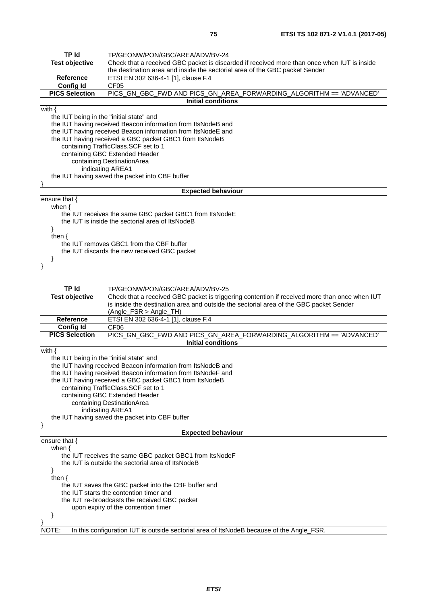| <b>TP Id</b>                                                                                                                                                                                                                                                                                                                                                                                                                    | TP/GEONW/PON/GBC/AREA/ADV/BV-24                                                             |  |
|---------------------------------------------------------------------------------------------------------------------------------------------------------------------------------------------------------------------------------------------------------------------------------------------------------------------------------------------------------------------------------------------------------------------------------|---------------------------------------------------------------------------------------------|--|
| <b>Test objective</b>                                                                                                                                                                                                                                                                                                                                                                                                           | Check that a received GBC packet is discarded if received more than once when IUT is inside |  |
|                                                                                                                                                                                                                                                                                                                                                                                                                                 | the destination area and inside the sectorial area of the GBC packet Sender                 |  |
| <b>Reference</b>                                                                                                                                                                                                                                                                                                                                                                                                                | ETSI EN 302 636-4-1 [1], clause F.4                                                         |  |
| <b>Config Id</b>                                                                                                                                                                                                                                                                                                                                                                                                                | CF05                                                                                        |  |
| <b>PICS Selection</b>                                                                                                                                                                                                                                                                                                                                                                                                           | PICS_GN_GBC_FWD AND PICS_GN_AREA_FORWARDING_ALGORITHM == 'ADVANCED'                         |  |
|                                                                                                                                                                                                                                                                                                                                                                                                                                 | <b>Initial conditions</b>                                                                   |  |
| with $\{$<br>the IUT being in the "initial state" and<br>the IUT having received Beacon information from ItsNodeB and<br>the IUT having received Beacon information from ItsNodeE and<br>the IUT having received a GBC packet GBC1 from ItsNodeB<br>containing TrafficClass.SCF set to 1<br>containing GBC Extended Header<br>containing DestinationArea<br>indicating AREA1<br>the IUT having saved the packet into CBF buffer |                                                                                             |  |
|                                                                                                                                                                                                                                                                                                                                                                                                                                 | <b>Expected behaviour</b>                                                                   |  |
| ensure that $\{$<br>when $\{$<br>the IUT receives the same GBC packet GBC1 from ItsNodeE<br>the IUT is inside the sectorial area of ItsNodeB<br>ł<br>then $\{$<br>the IUT removes GBC1 from the CBF buffer<br>the IUT discards the new received GBC packet                                                                                                                                                                      |                                                                                             |  |

| <b>Test objective</b><br>is inside the destination area and outside the sectorial area of the GBC packet Sender<br>(Angle_FSR > Angle_TH)<br>ETSI EN 302 636-4-1 [1], clause F.4<br><b>Reference</b><br><b>Config Id</b><br>CF <sub>06</sub><br><b>PICS Selection</b><br>PICS_GN_GBC_FWD AND PICS_GN_AREA_FORWARDING_ALGORITHM == 'ADVANCED'<br><b>Initial conditions</b><br>with $\{$<br>the IUT being in the "initial state" and<br>the IUT having received Beacon information from ItsNodeB and<br>the IUT having received Beacon information from ItsNodeF and<br>the IUT having received a GBC packet GBC1 from ItsNodeB<br>containing TrafficClass.SCF set to 1<br>containing GBC Extended Header<br>containing DestinationArea<br>indicating AREA1<br>the IUT having saved the packet into CBF buffer<br><b>Expected behaviour</b><br>ensure that {<br>when $\{$<br>the IUT receives the same GBC packet GBC1 from ItsNodeF<br>the IUT is outside the sectorial area of ItsNodeB<br>ł<br>then $\{$<br>the IUT saves the GBC packet into the CBF buffer and | <b>TP Id</b> | TP/GEONW/PON/GBC/AREA/ADV/BV-25                                                               |  |
|-------------------------------------------------------------------------------------------------------------------------------------------------------------------------------------------------------------------------------------------------------------------------------------------------------------------------------------------------------------------------------------------------------------------------------------------------------------------------------------------------------------------------------------------------------------------------------------------------------------------------------------------------------------------------------------------------------------------------------------------------------------------------------------------------------------------------------------------------------------------------------------------------------------------------------------------------------------------------------------------------------------------------------------------------------------------|--------------|-----------------------------------------------------------------------------------------------|--|
|                                                                                                                                                                                                                                                                                                                                                                                                                                                                                                                                                                                                                                                                                                                                                                                                                                                                                                                                                                                                                                                                   |              | Check that a received GBC packet is triggering contention if received more than once when IUT |  |
|                                                                                                                                                                                                                                                                                                                                                                                                                                                                                                                                                                                                                                                                                                                                                                                                                                                                                                                                                                                                                                                                   |              |                                                                                               |  |
|                                                                                                                                                                                                                                                                                                                                                                                                                                                                                                                                                                                                                                                                                                                                                                                                                                                                                                                                                                                                                                                                   |              |                                                                                               |  |
|                                                                                                                                                                                                                                                                                                                                                                                                                                                                                                                                                                                                                                                                                                                                                                                                                                                                                                                                                                                                                                                                   |              |                                                                                               |  |
|                                                                                                                                                                                                                                                                                                                                                                                                                                                                                                                                                                                                                                                                                                                                                                                                                                                                                                                                                                                                                                                                   |              |                                                                                               |  |
|                                                                                                                                                                                                                                                                                                                                                                                                                                                                                                                                                                                                                                                                                                                                                                                                                                                                                                                                                                                                                                                                   |              |                                                                                               |  |
|                                                                                                                                                                                                                                                                                                                                                                                                                                                                                                                                                                                                                                                                                                                                                                                                                                                                                                                                                                                                                                                                   |              |                                                                                               |  |
|                                                                                                                                                                                                                                                                                                                                                                                                                                                                                                                                                                                                                                                                                                                                                                                                                                                                                                                                                                                                                                                                   |              |                                                                                               |  |
|                                                                                                                                                                                                                                                                                                                                                                                                                                                                                                                                                                                                                                                                                                                                                                                                                                                                                                                                                                                                                                                                   |              |                                                                                               |  |
|                                                                                                                                                                                                                                                                                                                                                                                                                                                                                                                                                                                                                                                                                                                                                                                                                                                                                                                                                                                                                                                                   |              |                                                                                               |  |
|                                                                                                                                                                                                                                                                                                                                                                                                                                                                                                                                                                                                                                                                                                                                                                                                                                                                                                                                                                                                                                                                   |              |                                                                                               |  |
|                                                                                                                                                                                                                                                                                                                                                                                                                                                                                                                                                                                                                                                                                                                                                                                                                                                                                                                                                                                                                                                                   |              |                                                                                               |  |
|                                                                                                                                                                                                                                                                                                                                                                                                                                                                                                                                                                                                                                                                                                                                                                                                                                                                                                                                                                                                                                                                   |              |                                                                                               |  |
|                                                                                                                                                                                                                                                                                                                                                                                                                                                                                                                                                                                                                                                                                                                                                                                                                                                                                                                                                                                                                                                                   |              |                                                                                               |  |
|                                                                                                                                                                                                                                                                                                                                                                                                                                                                                                                                                                                                                                                                                                                                                                                                                                                                                                                                                                                                                                                                   |              |                                                                                               |  |
|                                                                                                                                                                                                                                                                                                                                                                                                                                                                                                                                                                                                                                                                                                                                                                                                                                                                                                                                                                                                                                                                   |              |                                                                                               |  |
|                                                                                                                                                                                                                                                                                                                                                                                                                                                                                                                                                                                                                                                                                                                                                                                                                                                                                                                                                                                                                                                                   |              |                                                                                               |  |
|                                                                                                                                                                                                                                                                                                                                                                                                                                                                                                                                                                                                                                                                                                                                                                                                                                                                                                                                                                                                                                                                   |              |                                                                                               |  |
|                                                                                                                                                                                                                                                                                                                                                                                                                                                                                                                                                                                                                                                                                                                                                                                                                                                                                                                                                                                                                                                                   |              |                                                                                               |  |
|                                                                                                                                                                                                                                                                                                                                                                                                                                                                                                                                                                                                                                                                                                                                                                                                                                                                                                                                                                                                                                                                   |              |                                                                                               |  |
|                                                                                                                                                                                                                                                                                                                                                                                                                                                                                                                                                                                                                                                                                                                                                                                                                                                                                                                                                                                                                                                                   |              |                                                                                               |  |
|                                                                                                                                                                                                                                                                                                                                                                                                                                                                                                                                                                                                                                                                                                                                                                                                                                                                                                                                                                                                                                                                   |              |                                                                                               |  |
|                                                                                                                                                                                                                                                                                                                                                                                                                                                                                                                                                                                                                                                                                                                                                                                                                                                                                                                                                                                                                                                                   |              |                                                                                               |  |
|                                                                                                                                                                                                                                                                                                                                                                                                                                                                                                                                                                                                                                                                                                                                                                                                                                                                                                                                                                                                                                                                   |              |                                                                                               |  |
|                                                                                                                                                                                                                                                                                                                                                                                                                                                                                                                                                                                                                                                                                                                                                                                                                                                                                                                                                                                                                                                                   |              |                                                                                               |  |
| the IUT starts the contention timer and                                                                                                                                                                                                                                                                                                                                                                                                                                                                                                                                                                                                                                                                                                                                                                                                                                                                                                                                                                                                                           |              |                                                                                               |  |
| the IUT re-broadcasts the received GBC packet                                                                                                                                                                                                                                                                                                                                                                                                                                                                                                                                                                                                                                                                                                                                                                                                                                                                                                                                                                                                                     |              |                                                                                               |  |
| upon expiry of the contention timer                                                                                                                                                                                                                                                                                                                                                                                                                                                                                                                                                                                                                                                                                                                                                                                                                                                                                                                                                                                                                               |              |                                                                                               |  |
|                                                                                                                                                                                                                                                                                                                                                                                                                                                                                                                                                                                                                                                                                                                                                                                                                                                                                                                                                                                                                                                                   |              |                                                                                               |  |
|                                                                                                                                                                                                                                                                                                                                                                                                                                                                                                                                                                                                                                                                                                                                                                                                                                                                                                                                                                                                                                                                   |              |                                                                                               |  |
| In this configuration IUT is outside sectorial area of ItsNodeB because of the Angle_FSR.<br>NOTE:                                                                                                                                                                                                                                                                                                                                                                                                                                                                                                                                                                                                                                                                                                                                                                                                                                                                                                                                                                |              |                                                                                               |  |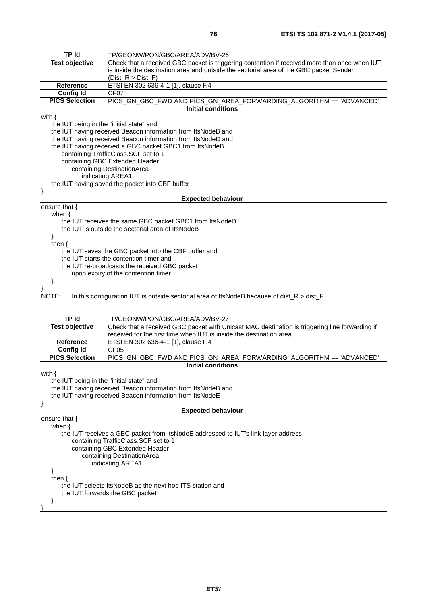| TP Id                                                | TP/GEONW/PON/GBC/AREA/ADV/BV-26                                                                  |  |
|------------------------------------------------------|--------------------------------------------------------------------------------------------------|--|
| <b>Test objective</b>                                | Check that a received GBC packet is triggering contention if received more than once when IUT    |  |
|                                                      | is inside the destination area and outside the sectorial area of the GBC packet Sender           |  |
|                                                      | (Dist $R > Dist F$ )                                                                             |  |
| <b>Reference</b>                                     | ETSI EN 302 636-4-1 [1], clause F.4                                                              |  |
| <b>Config Id</b>                                     | CF <sub>07</sub>                                                                                 |  |
| <b>PICS Selection</b>                                | PICS_GN_GBC_FWD AND PICS_GN_AREA_FORWARDING_ALGORITHM == 'ADVANCED'                              |  |
|                                                      | <b>Initial conditions</b>                                                                        |  |
| with $\{$                                            |                                                                                                  |  |
| the IUT being in the "initial state" and             |                                                                                                  |  |
|                                                      | the IUT having received Beacon information from ItsNodeB and                                     |  |
|                                                      | the IUT having received Beacon information from ItsNodeD and                                     |  |
|                                                      | the IUT having received a GBC packet GBC1 from ItsNodeB                                          |  |
|                                                      | containing TrafficClass.SCF set to 1                                                             |  |
| containing GBC Extended Header                       |                                                                                                  |  |
|                                                      | containing DestinationArea                                                                       |  |
|                                                      | indicating AREA1                                                                                 |  |
|                                                      | the IUT having saved the packet into CBF buffer                                                  |  |
|                                                      |                                                                                                  |  |
|                                                      | <b>Expected behaviour</b>                                                                        |  |
| ensure that $\{$                                     |                                                                                                  |  |
| when $\{$                                            |                                                                                                  |  |
|                                                      | the IUT receives the same GBC packet GBC1 from ItsNodeD                                          |  |
|                                                      | the IUT is outside the sectorial area of ItsNodeB                                                |  |
| ł                                                    |                                                                                                  |  |
| then $\{$                                            |                                                                                                  |  |
| the IUT saves the GBC packet into the CBF buffer and |                                                                                                  |  |
| the IUT starts the contention timer and              |                                                                                                  |  |
| the IUT re-broadcasts the received GBC packet        |                                                                                                  |  |
|                                                      | upon expiry of the contention timer                                                              |  |
|                                                      |                                                                                                  |  |
|                                                      |                                                                                                  |  |
| NOTE:                                                | In this configuration IUT is outside sectorial area of ItsNodeB because of dist $R >$ dist $F$ . |  |

| <b>TP Id</b>                                             | TP/GEONW/PON/GBC/AREA/ADV/BV-27                                                                |
|----------------------------------------------------------|------------------------------------------------------------------------------------------------|
| <b>Test objective</b>                                    | Check that a received GBC packet with Unicast MAC destination is triggering line forwarding if |
|                                                          | received for the first time when IUT is inside the destination area                            |
| <b>Reference</b>                                         | ETSI EN 302 636-4-1 [1], clause F.4                                                            |
| Config Id                                                | CF <sub>05</sub>                                                                               |
| <b>PICS Selection</b>                                    | PICS_GN_GBC_FWD AND PICS_GN_AREA_FORWARDING_ALGORITHM == 'ADVANCED'                            |
|                                                          | Initial conditions                                                                             |
| with $\{$                                                |                                                                                                |
| the IUT being in the "initial state" and                 |                                                                                                |
|                                                          | the IUT having received Beacon information from ItsNodeB and                                   |
| the IUT having received Beacon information from ItsNodeE |                                                                                                |
|                                                          |                                                                                                |
|                                                          | <b>Expected behaviour</b>                                                                      |
| ensure that $\{$                                         |                                                                                                |
| when $\{$                                                |                                                                                                |
|                                                          | the IUT receives a GBC packet from ItsNodeE addressed to IUT's link-layer address              |
|                                                          | containing TrafficClass.SCF set to 1                                                           |
| containing GBC Extended Header                           |                                                                                                |
|                                                          | containing DestinationArea                                                                     |
|                                                          | indicating AREA1                                                                               |
|                                                          |                                                                                                |
| then $\{$                                                |                                                                                                |
| the IUT selects ItsNodeB as the next hop ITS station and |                                                                                                |
|                                                          | the IUT forwards the GBC packet                                                                |
|                                                          |                                                                                                |
|                                                          |                                                                                                |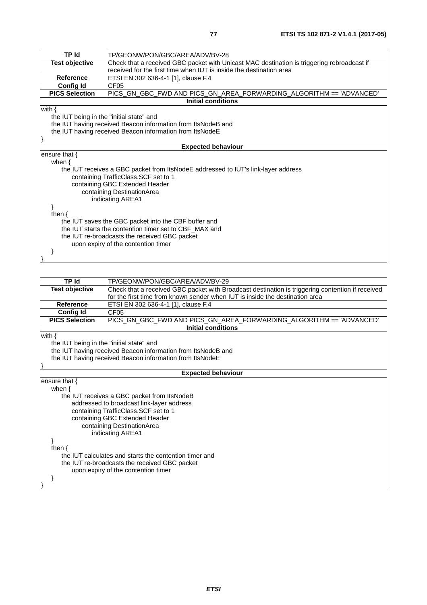| <b>TP Id</b>                                           | TP/GEONW/PON/GBC/AREA/ADV/BV-28                                                            |  |
|--------------------------------------------------------|--------------------------------------------------------------------------------------------|--|
| <b>Test objective</b>                                  | Check that a received GBC packet with Unicast MAC destination is triggering rebroadcast if |  |
|                                                        | received for the first time when IUT is inside the destination area                        |  |
| Reference                                              | ETSI EN 302 636-4-1 [1], clause F.4                                                        |  |
| <b>Config Id</b>                                       | CF <sub>05</sub>                                                                           |  |
| <b>PICS Selection</b>                                  | PICS_GN_GBC_FWD AND PICS_GN_AREA_FORWARDING_ALGORITHM == 'ADVANCED'                        |  |
|                                                        | <b>Initial conditions</b>                                                                  |  |
| with $\{$                                              |                                                                                            |  |
| the IUT being in the "initial state" and               |                                                                                            |  |
|                                                        | the IUT having received Beacon information from ItsNodeB and                               |  |
|                                                        | the IUT having received Beacon information from ItsNodeE                                   |  |
|                                                        |                                                                                            |  |
|                                                        | <b>Expected behaviour</b>                                                                  |  |
| ensure that {                                          |                                                                                            |  |
| when $\{$                                              |                                                                                            |  |
|                                                        | the IUT receives a GBC packet from ItsNodeE addressed to IUT's link-layer address          |  |
|                                                        | containing TrafficClass.SCF set to 1                                                       |  |
|                                                        | containing GBC Extended Header                                                             |  |
| containing DestinationArea                             |                                                                                            |  |
|                                                        | indicating AREA1                                                                           |  |
|                                                        |                                                                                            |  |
| then $\{$                                              |                                                                                            |  |
| the IUT saves the GBC packet into the CBF buffer and   |                                                                                            |  |
| the IUT starts the contention timer set to CBF_MAX and |                                                                                            |  |
| the IUT re-broadcasts the received GBC packet          |                                                                                            |  |
| upon expiry of the contention timer                    |                                                                                            |  |
|                                                        |                                                                                            |  |
|                                                        |                                                                                            |  |
|                                                        |                                                                                            |  |

| <b>TP</b> Id                                           | TP/GEONW/PON/GBC/AREA/ADV/BV-29                                                                  |  |
|--------------------------------------------------------|--------------------------------------------------------------------------------------------------|--|
| <b>Test objective</b>                                  | Check that a received GBC packet with Broadcast destination is triggering contention if received |  |
|                                                        | for the first time from known sender when IUT is inside the destination area                     |  |
| <b>Reference</b>                                       | ETSI EN 302 636-4-1 [1], clause F.4                                                              |  |
| <b>Config Id</b>                                       | CF <sub>05</sub>                                                                                 |  |
| <b>PICS Selection</b>                                  |                                                                                                  |  |
|                                                        | <b>Initial conditions</b>                                                                        |  |
| with $\{$                                              |                                                                                                  |  |
| the IUT being in the "initial state" and               |                                                                                                  |  |
|                                                        | the IUT having received Beacon information from ItsNodeB and                                     |  |
|                                                        | the IUT having received Beacon information from ItsNodeE                                         |  |
|                                                        |                                                                                                  |  |
|                                                        | <b>Expected behaviour</b>                                                                        |  |
| ensure that $\{$                                       |                                                                                                  |  |
| when $\{$                                              |                                                                                                  |  |
| the IUT receives a GBC packet from ItsNodeB            |                                                                                                  |  |
|                                                        | addressed to broadcast link-layer address                                                        |  |
| containing TrafficClass.SCF set to 1                   |                                                                                                  |  |
| containing GBC Extended Header                         |                                                                                                  |  |
| containing DestinationArea                             |                                                                                                  |  |
|                                                        | indicating AREA1                                                                                 |  |
|                                                        |                                                                                                  |  |
| then $\{$                                              |                                                                                                  |  |
| the IUT calculates and starts the contention timer and |                                                                                                  |  |
| the IUT re-broadcasts the received GBC packet          |                                                                                                  |  |
|                                                        | upon expiry of the contention timer                                                              |  |
|                                                        |                                                                                                  |  |
|                                                        |                                                                                                  |  |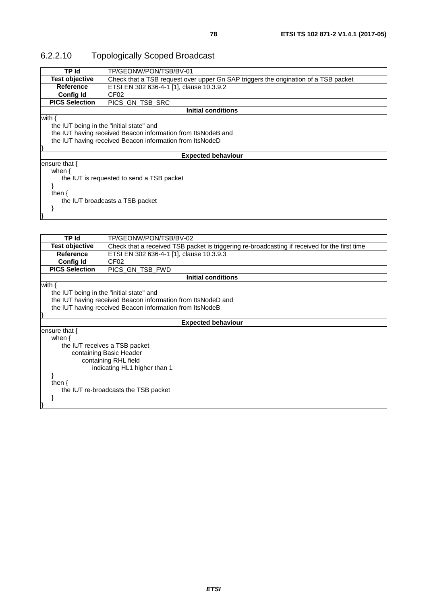## 6.2.2.10 Topologically Scoped Broadcast

| TP Id                                                    | TP/GEONW/PON/TSB/BV-01                                                              |  |
|----------------------------------------------------------|-------------------------------------------------------------------------------------|--|
| <b>Test objective</b>                                    | Check that a TSB request over upper Gn SAP triggers the origination of a TSB packet |  |
| Reference                                                | ETSI EN 302 636-4-1 [1], clause 10.3.9.2                                            |  |
| <b>Config Id</b>                                         | CF <sub>02</sub>                                                                    |  |
| <b>PICS Selection</b>                                    | PICS GN_TSB_SRC                                                                     |  |
|                                                          | Initial conditions                                                                  |  |
| with $\{$                                                |                                                                                     |  |
| the IUT being in the "initial state" and                 |                                                                                     |  |
|                                                          | the IUT having received Beacon information from ItsNodeB and                        |  |
| the IUT having received Beacon information from ItsNodeD |                                                                                     |  |
|                                                          |                                                                                     |  |
|                                                          | <b>Expected behaviour</b>                                                           |  |
| ensure that $\{$                                         |                                                                                     |  |
| when $\{$                                                |                                                                                     |  |
| the IUT is requested to send a TSB packet                |                                                                                     |  |
|                                                          |                                                                                     |  |
| then $\{$                                                |                                                                                     |  |
| the IUT broadcasts a TSB packet                          |                                                                                     |  |
|                                                          |                                                                                     |  |
|                                                          |                                                                                     |  |

| <b>TP Id</b>                                             | TP/GEONW/PON/TSB/BV-02                                                                        |  |  |
|----------------------------------------------------------|-----------------------------------------------------------------------------------------------|--|--|
| Test objective                                           | Check that a received TSB packet is triggering re-broadcasting if received for the first time |  |  |
| <b>Reference</b>                                         | ETSI EN 302 636-4-1 [1], clause 10.3.9.3                                                      |  |  |
| <b>Config Id</b>                                         | CF <sub>02</sub>                                                                              |  |  |
| <b>PICS Selection</b>                                    | PICS GN TSB FWD                                                                               |  |  |
|                                                          | <b>Initial conditions</b>                                                                     |  |  |
| with $\{$                                                |                                                                                               |  |  |
| the IUT being in the "initial state" and                 |                                                                                               |  |  |
|                                                          | the IUT having received Beacon information from ItsNodeD and                                  |  |  |
| the IUT having received Beacon information from ItsNodeB |                                                                                               |  |  |
|                                                          |                                                                                               |  |  |
|                                                          | <b>Expected behaviour</b>                                                                     |  |  |
| ensure that $\{$                                         |                                                                                               |  |  |
| when $\{$                                                |                                                                                               |  |  |
|                                                          | the IUT receives a TSB packet                                                                 |  |  |
|                                                          | containing Basic Header                                                                       |  |  |
| containing RHL field                                     |                                                                                               |  |  |
| indicating HL1 higher than 1                             |                                                                                               |  |  |
|                                                          |                                                                                               |  |  |
| then $\{$                                                |                                                                                               |  |  |
|                                                          | the IUT re-broadcasts the TSB packet                                                          |  |  |
|                                                          |                                                                                               |  |  |
|                                                          |                                                                                               |  |  |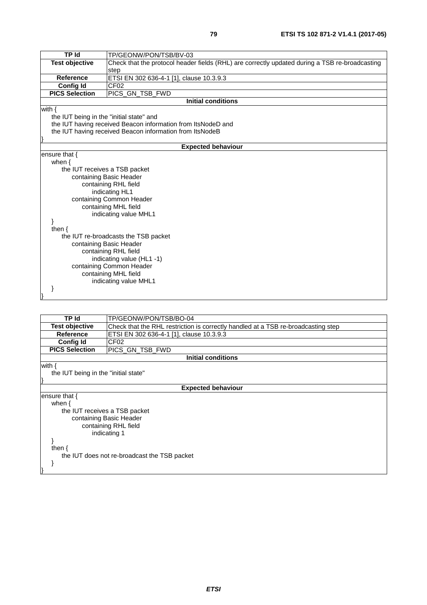| <b>TP Id</b>                             | TP/GEONW/PON/TSB/BV-03                                                                         |  |
|------------------------------------------|------------------------------------------------------------------------------------------------|--|
| <b>Test objective</b>                    | Check that the protocol header fields (RHL) are correctly updated during a TSB re-broadcasting |  |
|                                          | step                                                                                           |  |
| <b>Reference</b>                         | ETSI EN 302 636-4-1 [1], clause 10.3.9.3                                                       |  |
| <b>Config Id</b>                         | CF <sub>02</sub>                                                                               |  |
| <b>PICS Selection</b>                    | PICS_GN_TSB_FWD                                                                                |  |
|                                          | <b>Initial conditions</b>                                                                      |  |
| with $\{$                                |                                                                                                |  |
| the IUT being in the "initial state" and |                                                                                                |  |
|                                          | the IUT having received Beacon information from ItsNodeD and                                   |  |
|                                          | the IUT having received Beacon information from ItsNodeB                                       |  |
|                                          |                                                                                                |  |
|                                          | <b>Expected behaviour</b>                                                                      |  |
| ensure that {                            |                                                                                                |  |
| when $\{$                                |                                                                                                |  |
|                                          | the IUT receives a TSB packet                                                                  |  |
|                                          | containing Basic Header                                                                        |  |
|                                          | containing RHL field                                                                           |  |
|                                          | indicating HL1                                                                                 |  |
|                                          | containing Common Header                                                                       |  |
|                                          | containing MHL field                                                                           |  |
|                                          | indicating value MHL1                                                                          |  |
| ł                                        |                                                                                                |  |
| then $\{$                                |                                                                                                |  |
|                                          | the IUT re-broadcasts the TSB packet                                                           |  |
|                                          | containing Basic Header                                                                        |  |
|                                          | containing RHL field                                                                           |  |
| indicating value (HL1 -1)                |                                                                                                |  |
| containing Common Header                 |                                                                                                |  |
| containing MHL field                     |                                                                                                |  |
| indicating value MHL1                    |                                                                                                |  |
|                                          |                                                                                                |  |
|                                          |                                                                                                |  |
|                                          |                                                                                                |  |
|                                          |                                                                                                |  |
| TP Id                                    | TP/GEONW/PON/TSB/BO-04                                                                         |  |
| <b>Test objective</b>                    | Check that the RHL restriction is correctly handled at a TSB re-broadcasting step              |  |

|                                              | 11 / JL JI WI UN I JD/ DU-V <del>T</del>                                          |  |
|----------------------------------------------|-----------------------------------------------------------------------------------|--|
| <b>Test objective</b>                        | Check that the RHL restriction is correctly handled at a TSB re-broadcasting step |  |
| <b>Reference</b>                             | ETSI EN 302 636-4-1 [1], clause 10.3.9.3                                          |  |
| <b>Config Id</b>                             | CF <sub>02</sub>                                                                  |  |
| <b>PICS Selection</b>                        | PICS_GN_TSB_FWD                                                                   |  |
|                                              | <b>Initial conditions</b>                                                         |  |
| with $\{$                                    |                                                                                   |  |
| the IUT being in the "initial state"         |                                                                                   |  |
|                                              |                                                                                   |  |
|                                              | <b>Expected behaviour</b>                                                         |  |
| ensure that $\{$                             |                                                                                   |  |
| when $\{$                                    |                                                                                   |  |
| the IUT receives a TSB packet                |                                                                                   |  |
|                                              | containing Basic Header                                                           |  |
|                                              | containing RHL field                                                              |  |
| indicating 1                                 |                                                                                   |  |
|                                              |                                                                                   |  |
| then $\{$                                    |                                                                                   |  |
| the IUT does not re-broadcast the TSB packet |                                                                                   |  |
|                                              |                                                                                   |  |
|                                              |                                                                                   |  |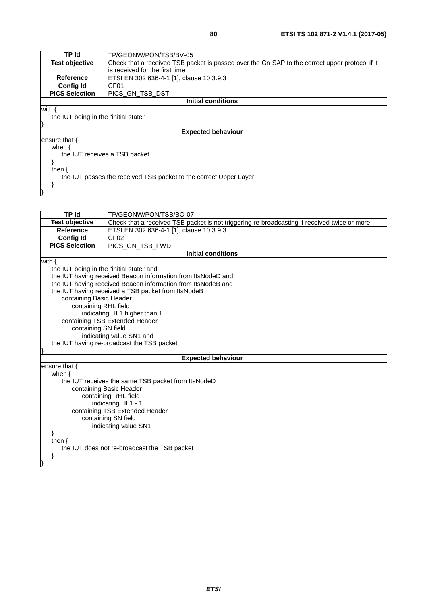| TP Id                                | TP/GEONW/PON/TSB/BV-05                                                                         |
|--------------------------------------|------------------------------------------------------------------------------------------------|
| <b>Test objective</b>                | Check that a received TSB packet is passed over the Gn SAP to the correct upper protocol if it |
|                                      | is received for the first time                                                                 |
| <b>Reference</b>                     | ETSI EN 302 636-4-1 [1], clause 10.3.9.3                                                       |
| <b>Config Id</b>                     | CF <sub>01</sub>                                                                               |
| <b>PICS Selection</b>                | IPICS GN TSB DST                                                                               |
|                                      | Initial conditions                                                                             |
| with {                               |                                                                                                |
| the IUT being in the "initial state" |                                                                                                |
|                                      |                                                                                                |
|                                      | <b>Expected behaviour</b>                                                                      |
| ensure that $\{$                     |                                                                                                |
| when $\{$                            |                                                                                                |
|                                      | the IUT receives a TSB packet                                                                  |
|                                      |                                                                                                |
| then $\{$                            |                                                                                                |
|                                      | the IUT passes the received TSB packet to the correct Upper Layer                              |
|                                      |                                                                                                |
|                                      |                                                                                                |

| <b>TPId</b>                              | TP/GEONW/PON/TSB/BO-07                                                                       |  |
|------------------------------------------|----------------------------------------------------------------------------------------------|--|
| <b>Test objective</b>                    | Check that a received TSB packet is not triggering re-broadcasting if received twice or more |  |
| <b>Reference</b>                         | ETSI EN 302 636-4-1 [1], clause 10.3.9.3                                                     |  |
| <b>Config Id</b>                         | CF <sub>02</sub>                                                                             |  |
| <b>PICS Selection</b>                    | PICS GN TSB FWD                                                                              |  |
|                                          | <b>Initial conditions</b>                                                                    |  |
| with $\{$                                |                                                                                              |  |
| the IUT being in the "initial state" and |                                                                                              |  |
|                                          | the IUT having received Beacon information from ItsNodeD and                                 |  |
|                                          | the IUT having received Beacon information from ItsNodeB and                                 |  |
|                                          | the IUT having received a TSB packet from ItsNodeB                                           |  |
| containing Basic Header                  |                                                                                              |  |
| containing RHL field                     |                                                                                              |  |
|                                          | indicating HL1 higher than 1                                                                 |  |
|                                          | containing TSB Extended Header                                                               |  |
|                                          | containing SN field                                                                          |  |
|                                          | indicating value SN1 and                                                                     |  |
|                                          | the IUT having re-broadcast the TSB packet                                                   |  |
|                                          |                                                                                              |  |
|                                          | <b>Expected behaviour</b>                                                                    |  |
| ensure that $\{$                         |                                                                                              |  |
| when $\{$                                |                                                                                              |  |
|                                          | the IUT receives the same TSB packet from ItsNodeD                                           |  |
|                                          | containing Basic Header                                                                      |  |
|                                          | containing RHL field                                                                         |  |
| indicating HL1 - 1                       |                                                                                              |  |
| containing TSB Extended Header           |                                                                                              |  |
| containing SN field                      |                                                                                              |  |
|                                          | indicating value SN1                                                                         |  |
| ł                                        |                                                                                              |  |
| then $\{$                                |                                                                                              |  |
|                                          | the IUT does not re-broadcast the TSB packet                                                 |  |
|                                          |                                                                                              |  |
|                                          |                                                                                              |  |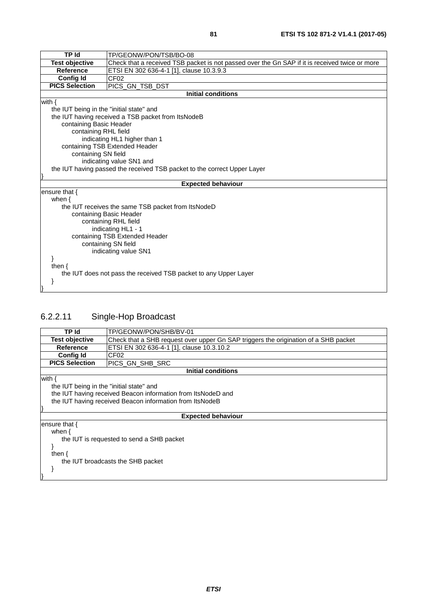| TP Id                                                                    | TP/GEONW/PON/TSB/BO-08                                                                         |  |
|--------------------------------------------------------------------------|------------------------------------------------------------------------------------------------|--|
| <b>Test objective</b>                                                    | Check that a received TSB packet is not passed over the Gn SAP if it is received twice or more |  |
| <b>Reference</b>                                                         | ETSI EN 302 636-4-1 [1], clause 10.3.9.3                                                       |  |
| <b>Config Id</b>                                                         | CF <sub>02</sub>                                                                               |  |
| <b>PICS Selection</b>                                                    | PICS_GN_TSB_DST                                                                                |  |
|                                                                          | <b>Initial conditions</b>                                                                      |  |
| with $\{$                                                                |                                                                                                |  |
| the IUT being in the "initial state" and                                 |                                                                                                |  |
|                                                                          | the IUT having received a TSB packet from ItsNodeB                                             |  |
| containing Basic Header                                                  |                                                                                                |  |
| containing RHL field                                                     |                                                                                                |  |
|                                                                          | indicating HL1 higher than 1                                                                   |  |
| containing TSB Extended Header                                           |                                                                                                |  |
|                                                                          | containing SN field                                                                            |  |
| indicating value SN1 and                                                 |                                                                                                |  |
| the IUT having passed the received TSB packet to the correct Upper Layer |                                                                                                |  |
|                                                                          | <b>Expected behaviour</b>                                                                      |  |
| ensure that {                                                            |                                                                                                |  |
| when $\{$                                                                |                                                                                                |  |
|                                                                          | the IUT receives the same TSB packet from ItsNodeD                                             |  |
|                                                                          | containing Basic Header                                                                        |  |
| containing RHL field                                                     |                                                                                                |  |
| indicating HL1 - 1                                                       |                                                                                                |  |
| containing TSB Extended Header                                           |                                                                                                |  |
| containing SN field                                                      |                                                                                                |  |
| indicating value SN1                                                     |                                                                                                |  |
|                                                                          |                                                                                                |  |
| then $\{$                                                                |                                                                                                |  |
|                                                                          | the IUT does not pass the received TSB packet to any Upper Layer                               |  |
|                                                                          |                                                                                                |  |
|                                                                          |                                                                                                |  |

## 6.2.2.11 Single-Hop Broadcast

| TP Id                                                        | TP/GEONW/PON/SHB/BV-01                                                              |  |  |
|--------------------------------------------------------------|-------------------------------------------------------------------------------------|--|--|
| <b>Test objective</b>                                        | Check that a SHB request over upper Gn SAP triggers the origination of a SHB packet |  |  |
| <b>Reference</b>                                             | ETSI EN 302 636-4-1 [1], clause 10.3.10.2                                           |  |  |
| <b>Config Id</b>                                             | CF <sub>02</sub>                                                                    |  |  |
| <b>PICS Selection</b>                                        | PICS GN SHB SRC                                                                     |  |  |
| Initial conditions                                           |                                                                                     |  |  |
| with $\{$                                                    |                                                                                     |  |  |
| the IUT being in the "initial state" and                     |                                                                                     |  |  |
| the IUT having received Beacon information from ItsNodeD and |                                                                                     |  |  |
| the IUT having received Beacon information from ItsNodeB     |                                                                                     |  |  |
|                                                              |                                                                                     |  |  |
|                                                              | <b>Expected behaviour</b>                                                           |  |  |
| ensure that {                                                |                                                                                     |  |  |
| when $\{$                                                    |                                                                                     |  |  |
| the IUT is requested to send a SHB packet                    |                                                                                     |  |  |
|                                                              |                                                                                     |  |  |
| then $\{$                                                    |                                                                                     |  |  |
| the IUT broadcasts the SHB packet                            |                                                                                     |  |  |
|                                                              |                                                                                     |  |  |
|                                                              |                                                                                     |  |  |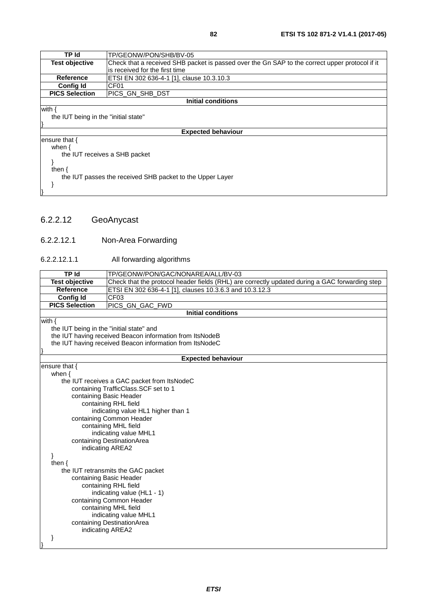| TP Id                                                     | TP/GEONW/PON/SHB/BV-05                                                                         |  |
|-----------------------------------------------------------|------------------------------------------------------------------------------------------------|--|
| <b>Test objective</b>                                     | Check that a received SHB packet is passed over the Gn SAP to the correct upper protocol if it |  |
|                                                           | is received for the first time                                                                 |  |
| <b>Reference</b>                                          | ETSI EN 302 636-4-1 [1], clause 10.3.10.3                                                      |  |
| <b>Config Id</b>                                          | CF <sub>01</sub>                                                                               |  |
| <b>PICS Selection</b>                                     | IPICS GN SHB DST                                                                               |  |
|                                                           | <b>Initial conditions</b>                                                                      |  |
| with {                                                    |                                                                                                |  |
| the IUT being in the "initial state"                      |                                                                                                |  |
|                                                           |                                                                                                |  |
| <b>Expected behaviour</b>                                 |                                                                                                |  |
| ensure that $\{$                                          |                                                                                                |  |
| when $\{$                                                 |                                                                                                |  |
|                                                           | the IUT receives a SHB packet                                                                  |  |
|                                                           |                                                                                                |  |
| then $\{$                                                 |                                                                                                |  |
| the IUT passes the received SHB packet to the Upper Layer |                                                                                                |  |
|                                                           |                                                                                                |  |
|                                                           |                                                                                                |  |

### 6.2.2.12 GeoAnycast

#### 6.2.2.12.1 Non-Area Forwarding

#### 6.2.2.12.1.1 All forwarding algorithms

| <b>TP Id</b>                                   | TP/GEONW/PON/GAC/NONAREA/ALL/BV-03                                                             |  |
|------------------------------------------------|------------------------------------------------------------------------------------------------|--|
| <b>Test objective</b>                          | Check that the protocol header fields (RHL) are correctly updated during a GAC forwarding step |  |
| Reference                                      | ETSI EN 302 636-4-1 [1], clauses 10.3.6.3 and 10.3.12.3                                        |  |
| <b>Config Id</b>                               | CF <sub>03</sub>                                                                               |  |
| <b>PICS Selection</b>                          | PICS_GN_GAC_FWD                                                                                |  |
|                                                | <b>Initial conditions</b>                                                                      |  |
| with $\{$                                      |                                                                                                |  |
|                                                | the IUT being in the "initial state" and                                                       |  |
|                                                | the IUT having received Beacon information from ItsNodeB                                       |  |
|                                                | the IUT having received Beacon information from ItsNodeC                                       |  |
|                                                | <b>Expected behaviour</b>                                                                      |  |
| ensure that $\{$                               |                                                                                                |  |
| when $\{$                                      |                                                                                                |  |
|                                                | the IUT receives a GAC packet from ItsNodeC                                                    |  |
|                                                | containing TrafficClass. SCF set to 1                                                          |  |
|                                                | containing Basic Header                                                                        |  |
|                                                | containing RHL field                                                                           |  |
| indicating value HL1 higher than 1             |                                                                                                |  |
| containing Common Header                       |                                                                                                |  |
| containing MHL field                           |                                                                                                |  |
| indicating value MHL1                          |                                                                                                |  |
|                                                | containing DestinationArea                                                                     |  |
| indicating AREA2                               |                                                                                                |  |
|                                                |                                                                                                |  |
| then $\{$                                      |                                                                                                |  |
|                                                | the IUT retransmits the GAC packet                                                             |  |
| containing Basic Header                        |                                                                                                |  |
| containing RHL field                           |                                                                                                |  |
| indicating value (HL1 - 1)                     |                                                                                                |  |
| containing Common Header                       |                                                                                                |  |
|                                                | containing MHL field                                                                           |  |
| indicating value MHL1                          |                                                                                                |  |
| containing DestinationArea<br>indicating AREA2 |                                                                                                |  |
|                                                |                                                                                                |  |
|                                                |                                                                                                |  |
|                                                |                                                                                                |  |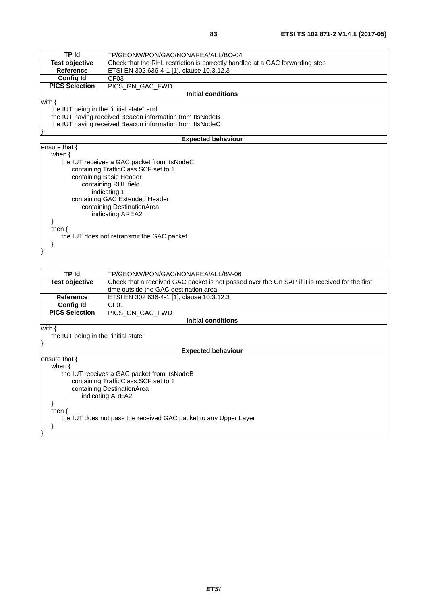| <b>TP Id</b>                                             | TP/GEONW/PON/GAC/NONAREA/ALL/BO-04                                           |
|----------------------------------------------------------|------------------------------------------------------------------------------|
| <b>Test objective</b>                                    | Check that the RHL restriction is correctly handled at a GAC forwarding step |
| <b>Reference</b>                                         | ETSI EN 302 636-4-1 [1], clause 10.3.12.3                                    |
| <b>Config Id</b>                                         | CF <sub>03</sub>                                                             |
| <b>PICS Selection</b>                                    | PICS_GN_GAC_FWD                                                              |
|                                                          | <b>Initial conditions</b>                                                    |
| with {                                                   |                                                                              |
| the IUT being in the "initial state" and                 |                                                                              |
|                                                          | the IUT having received Beacon information from ItsNodeB                     |
| the IUT having received Beacon information from ItsNodeC |                                                                              |
|                                                          |                                                                              |
|                                                          | <b>Expected behaviour</b>                                                    |
| ensure that {                                            |                                                                              |
| when $\{$                                                |                                                                              |
|                                                          | the IUT receives a GAC packet from ItsNodeC                                  |
|                                                          | containing TrafficClass.SCF set to 1                                         |
| containing Basic Header                                  |                                                                              |
|                                                          | containing RHL field                                                         |
|                                                          | indicating 1                                                                 |
|                                                          | containing GAC Extended Header                                               |
|                                                          | containing DestinationArea                                                   |
|                                                          | indicating AREA2                                                             |
|                                                          |                                                                              |
| then $\{$                                                |                                                                              |
|                                                          | the IUT does not retransmit the GAC packet                                   |
|                                                          |                                                                              |
|                                                          |                                                                              |

| TP Id                                                            | TP/GEONW/PON/GAC/NONAREA/ALL/BV-06                                                             |  |
|------------------------------------------------------------------|------------------------------------------------------------------------------------------------|--|
| Test objective                                                   | Check that a received GAC packet is not passed over the Gn SAP if it is received for the first |  |
|                                                                  | time outside the GAC destination area                                                          |  |
| Reference                                                        | ETSI EN 302 636-4-1 [1], clause 10.3.12.3                                                      |  |
| Config Id                                                        | CF <sub>01</sub>                                                                               |  |
| <b>PICS Selection</b>                                            | PICS GN GAC FWD                                                                                |  |
|                                                                  | <b>Initial conditions</b>                                                                      |  |
| with $\{$                                                        |                                                                                                |  |
| the IUT being in the "initial state"                             |                                                                                                |  |
|                                                                  |                                                                                                |  |
|                                                                  | <b>Expected behaviour</b>                                                                      |  |
| ensure that {                                                    |                                                                                                |  |
| when $\{$                                                        |                                                                                                |  |
|                                                                  | the IUT receives a GAC packet from ItsNodeB                                                    |  |
|                                                                  | containing TrafficClass. SCF set to 1                                                          |  |
|                                                                  | containing DestinationArea                                                                     |  |
| indicating AREA2                                                 |                                                                                                |  |
|                                                                  |                                                                                                |  |
| then $\{$                                                        |                                                                                                |  |
| the IUT does not pass the received GAC packet to any Upper Layer |                                                                                                |  |
|                                                                  |                                                                                                |  |
|                                                                  |                                                                                                |  |
|                                                                  |                                                                                                |  |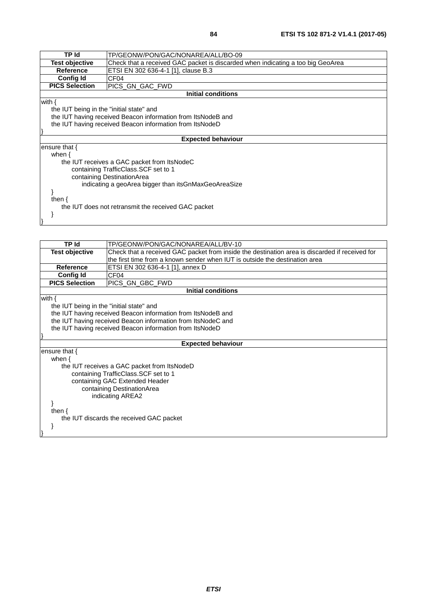| TP Id                                                | TP/GEONW/PON/GAC/NONAREA/ALL/BO-09                                              |  |
|------------------------------------------------------|---------------------------------------------------------------------------------|--|
| <b>Test objective</b>                                | Check that a received GAC packet is discarded when indicating a too big GeoArea |  |
| <b>Reference</b>                                     | ETSI EN 302 636-4-1 [1], clause B.3                                             |  |
| <b>Config Id</b>                                     | CF <sub>04</sub>                                                                |  |
| <b>PICS Selection</b>                                | IPICS GN GAC FWD                                                                |  |
|                                                      | Initial conditions                                                              |  |
| with $\{$                                            |                                                                                 |  |
| the IUT being in the "initial state" and             |                                                                                 |  |
|                                                      | the IUT having received Beacon information from ItsNodeB and                    |  |
|                                                      | the IUT having received Beacon information from ItsNodeD                        |  |
|                                                      |                                                                                 |  |
|                                                      | <b>Expected behaviour</b>                                                       |  |
| ensure that {                                        |                                                                                 |  |
| when $\{$                                            |                                                                                 |  |
|                                                      | the IUT receives a GAC packet from ItsNodeC                                     |  |
|                                                      | containing TrafficClass. SCF set to 1                                           |  |
| containing DestinationArea                           |                                                                                 |  |
| indicating a geoArea bigger than itsGnMaxGeoAreaSize |                                                                                 |  |
|                                                      |                                                                                 |  |
| then $\{$                                            |                                                                                 |  |
|                                                      | the IUT does not retransmit the received GAC packet                             |  |
|                                                      |                                                                                 |  |
|                                                      |                                                                                 |  |

| <b>TP</b> Id                             | TP/GEONW/PON/GAC/NONAREA/ALL/BV-10                                                             |  |
|------------------------------------------|------------------------------------------------------------------------------------------------|--|
| <b>Test objective</b>                    | Check that a received GAC packet from inside the destination area is discarded if received for |  |
|                                          | the first time from a known sender when IUT is outside the destination area                    |  |
| <b>Reference</b>                         | ETSI EN 302 636-4-1 [1], annex D                                                               |  |
| <b>Config Id</b>                         | CF <sub>04</sub>                                                                               |  |
| <b>PICS Selection</b>                    | PICS_GN_GBC_FWD                                                                                |  |
|                                          | <b>Initial conditions</b>                                                                      |  |
| with $\{$                                |                                                                                                |  |
| the IUT being in the "initial state" and |                                                                                                |  |
|                                          | the IUT having received Beacon information from ItsNodeB and                                   |  |
|                                          | the IUT having received Beacon information from ItsNodeC and                                   |  |
|                                          | the IUT having received Beacon information from ItsNodeD                                       |  |
|                                          |                                                                                                |  |
|                                          | <b>Expected behaviour</b>                                                                      |  |
| ensure that $\{$                         |                                                                                                |  |
| when $\{$                                |                                                                                                |  |
|                                          | the IUT receives a GAC packet from ItsNodeD                                                    |  |
| containing TrafficClass. SCF set to 1    |                                                                                                |  |
| containing GAC Extended Header           |                                                                                                |  |
| containing DestinationArea               |                                                                                                |  |
| indicating AREA2                         |                                                                                                |  |
|                                          |                                                                                                |  |
| then $\{$                                |                                                                                                |  |
| the IUT discards the received GAC packet |                                                                                                |  |
|                                          |                                                                                                |  |
|                                          |                                                                                                |  |
|                                          |                                                                                                |  |

*ETSI*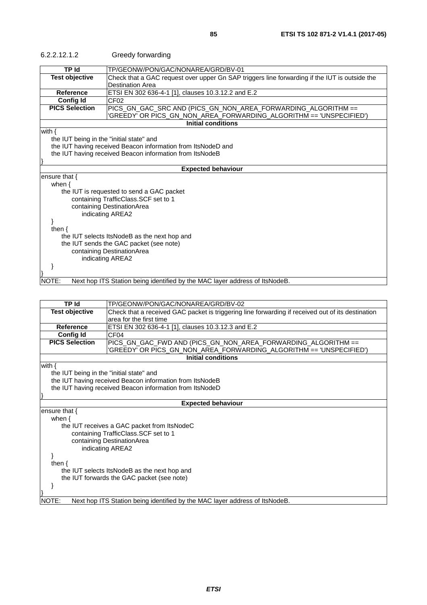| <b>TP Id</b><br>TP/GEONW/PON/GAC/NONAREA/GRD/BV-01<br><b>Test objective</b><br>Check that a GAC request over upper Gn SAP triggers line forwarding if the IUT is outside the<br><b>Destination Area</b><br>Reference<br>ETSI EN 302 636-4-1 [1], clauses 10.3.12.2 and E.2<br><b>Config Id</b><br>CF02<br><b>PICS Selection</b><br>PICS_GN_GAC_SRC AND (PICS_GN_NON_AREA_FORWARDING_ALGORITHM ==<br>'GREEDY' OR PICS_GN_NON_AREA_FORWARDING_ALGORITHM == 'UNSPECIFIED')<br><b>Initial conditions</b><br>with $\{$<br>the IUT being in the "initial state" and<br>the IUT having received Beacon information from ItsNodeD and<br>the IUT having received Beacon information from ItsNodeB<br><b>Expected behaviour</b><br>ensure that $\{$<br>when $\{$<br>the IUT is requested to send a GAC packet<br>containing TrafficClass.SCF set to 1<br>containing DestinationArea<br>indicating AREA2<br>then $\{$<br>the IUT selects ItsNodeB as the next hop and<br>the IUT sends the GAC packet (see note)<br>containing DestinationArea<br>indicating AREA2<br>NOTE:<br>Next hop ITS Station being identified by the MAC layer address of ItsNodeB. | 6.2.2.12.1.2 | Greedy forwarding |  |
|--------------------------------------------------------------------------------------------------------------------------------------------------------------------------------------------------------------------------------------------------------------------------------------------------------------------------------------------------------------------------------------------------------------------------------------------------------------------------------------------------------------------------------------------------------------------------------------------------------------------------------------------------------------------------------------------------------------------------------------------------------------------------------------------------------------------------------------------------------------------------------------------------------------------------------------------------------------------------------------------------------------------------------------------------------------------------------------------------------------------------------------------------|--------------|-------------------|--|
|                                                                                                                                                                                                                                                                                                                                                                                                                                                                                                                                                                                                                                                                                                                                                                                                                                                                                                                                                                                                                                                                                                                                                  |              |                   |  |
|                                                                                                                                                                                                                                                                                                                                                                                                                                                                                                                                                                                                                                                                                                                                                                                                                                                                                                                                                                                                                                                                                                                                                  |              |                   |  |
|                                                                                                                                                                                                                                                                                                                                                                                                                                                                                                                                                                                                                                                                                                                                                                                                                                                                                                                                                                                                                                                                                                                                                  |              |                   |  |
|                                                                                                                                                                                                                                                                                                                                                                                                                                                                                                                                                                                                                                                                                                                                                                                                                                                                                                                                                                                                                                                                                                                                                  |              |                   |  |
|                                                                                                                                                                                                                                                                                                                                                                                                                                                                                                                                                                                                                                                                                                                                                                                                                                                                                                                                                                                                                                                                                                                                                  |              |                   |  |
|                                                                                                                                                                                                                                                                                                                                                                                                                                                                                                                                                                                                                                                                                                                                                                                                                                                                                                                                                                                                                                                                                                                                                  |              |                   |  |
|                                                                                                                                                                                                                                                                                                                                                                                                                                                                                                                                                                                                                                                                                                                                                                                                                                                                                                                                                                                                                                                                                                                                                  |              |                   |  |
|                                                                                                                                                                                                                                                                                                                                                                                                                                                                                                                                                                                                                                                                                                                                                                                                                                                                                                                                                                                                                                                                                                                                                  |              |                   |  |
|                                                                                                                                                                                                                                                                                                                                                                                                                                                                                                                                                                                                                                                                                                                                                                                                                                                                                                                                                                                                                                                                                                                                                  |              |                   |  |
|                                                                                                                                                                                                                                                                                                                                                                                                                                                                                                                                                                                                                                                                                                                                                                                                                                                                                                                                                                                                                                                                                                                                                  |              |                   |  |

| <b>Test objective</b><br>Check that a received GAC packet is triggering line forwarding if received out of its destination<br>area for the first time<br><b>Reference</b><br>ETSI EN 302 636-4-1 [1], clauses 10.3.12.3 and E.2<br><b>Config Id</b><br>CF <sub>04</sub><br><b>PICS Selection</b><br>PICS_GN_GAC_FWD AND (PICS_GN_NON_AREA_FORWARDING_ALGORITHM ==<br>'GREEDY' OR PICS_GN_NON_AREA_FORWARDING_ALGORITHM == 'UNSPECIFIED')<br><b>Initial conditions</b><br>with $\{$<br>the IUT being in the "initial state" and<br>the IUT having received Beacon information from ItsNodeB<br>the IUT having received Beacon information from ItsNodeD<br><b>Expected behaviour</b> |  |
|-------------------------------------------------------------------------------------------------------------------------------------------------------------------------------------------------------------------------------------------------------------------------------------------------------------------------------------------------------------------------------------------------------------------------------------------------------------------------------------------------------------------------------------------------------------------------------------------------------------------------------------------------------------------------------------|--|
|                                                                                                                                                                                                                                                                                                                                                                                                                                                                                                                                                                                                                                                                                     |  |
|                                                                                                                                                                                                                                                                                                                                                                                                                                                                                                                                                                                                                                                                                     |  |
|                                                                                                                                                                                                                                                                                                                                                                                                                                                                                                                                                                                                                                                                                     |  |
|                                                                                                                                                                                                                                                                                                                                                                                                                                                                                                                                                                                                                                                                                     |  |
|                                                                                                                                                                                                                                                                                                                                                                                                                                                                                                                                                                                                                                                                                     |  |
|                                                                                                                                                                                                                                                                                                                                                                                                                                                                                                                                                                                                                                                                                     |  |
|                                                                                                                                                                                                                                                                                                                                                                                                                                                                                                                                                                                                                                                                                     |  |
|                                                                                                                                                                                                                                                                                                                                                                                                                                                                                                                                                                                                                                                                                     |  |
|                                                                                                                                                                                                                                                                                                                                                                                                                                                                                                                                                                                                                                                                                     |  |
|                                                                                                                                                                                                                                                                                                                                                                                                                                                                                                                                                                                                                                                                                     |  |
|                                                                                                                                                                                                                                                                                                                                                                                                                                                                                                                                                                                                                                                                                     |  |
|                                                                                                                                                                                                                                                                                                                                                                                                                                                                                                                                                                                                                                                                                     |  |
|                                                                                                                                                                                                                                                                                                                                                                                                                                                                                                                                                                                                                                                                                     |  |
| ensure that $\{$                                                                                                                                                                                                                                                                                                                                                                                                                                                                                                                                                                                                                                                                    |  |
| when $\{$                                                                                                                                                                                                                                                                                                                                                                                                                                                                                                                                                                                                                                                                           |  |
| the IUT receives a GAC packet from ItsNodeC                                                                                                                                                                                                                                                                                                                                                                                                                                                                                                                                                                                                                                         |  |
| containing TrafficClass.SCF set to 1                                                                                                                                                                                                                                                                                                                                                                                                                                                                                                                                                                                                                                                |  |
| containing DestinationArea                                                                                                                                                                                                                                                                                                                                                                                                                                                                                                                                                                                                                                                          |  |
| indicating AREA2                                                                                                                                                                                                                                                                                                                                                                                                                                                                                                                                                                                                                                                                    |  |
|                                                                                                                                                                                                                                                                                                                                                                                                                                                                                                                                                                                                                                                                                     |  |
| then $\{$                                                                                                                                                                                                                                                                                                                                                                                                                                                                                                                                                                                                                                                                           |  |
| the IUT selects ItsNodeB as the next hop and                                                                                                                                                                                                                                                                                                                                                                                                                                                                                                                                                                                                                                        |  |
| the IUT forwards the GAC packet (see note)                                                                                                                                                                                                                                                                                                                                                                                                                                                                                                                                                                                                                                          |  |
|                                                                                                                                                                                                                                                                                                                                                                                                                                                                                                                                                                                                                                                                                     |  |
|                                                                                                                                                                                                                                                                                                                                                                                                                                                                                                                                                                                                                                                                                     |  |
| Next hop ITS Station being identified by the MAC layer address of ItsNodeB.<br>NOTE:                                                                                                                                                                                                                                                                                                                                                                                                                                                                                                                                                                                                |  |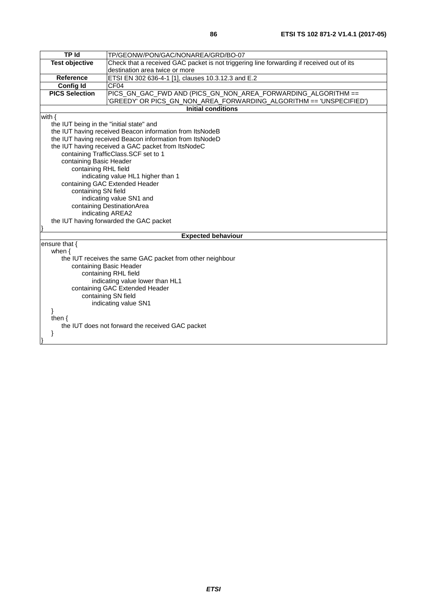| <b>TP Id</b>                                     | TP/GEONW/PON/GAC/NONAREA/GRD/BO-07                                                        |  |
|--------------------------------------------------|-------------------------------------------------------------------------------------------|--|
| <b>Test objective</b>                            | Check that a received GAC packet is not triggering line forwarding if received out of its |  |
|                                                  | destination area twice or more                                                            |  |
| <b>Reference</b>                                 | ETSI EN 302 636-4-1 [1], clauses 10.3.12.3 and E.2                                        |  |
| <b>Config Id</b>                                 | CF04                                                                                      |  |
| <b>PICS Selection</b>                            | PICS_GN_GAC_FWD AND (PICS_GN_NON_AREA_FORWARDING_ALGORITHM ==                             |  |
|                                                  | 'GREEDY' OR PICS_GN_NON_AREA_FORWARDING_ALGORITHM == 'UNSPECIFIED')                       |  |
|                                                  | <b>Initial conditions</b>                                                                 |  |
| with $\{$                                        |                                                                                           |  |
| the IUT being in the "initial state" and         |                                                                                           |  |
|                                                  | the IUT having received Beacon information from ItsNodeB                                  |  |
|                                                  | the IUT having received Beacon information from ItsNodeD                                  |  |
|                                                  | the IUT having received a GAC packet from ItsNodeC                                        |  |
|                                                  | containing TrafficClass.SCF set to 1                                                      |  |
| containing Basic Header                          |                                                                                           |  |
| containing RHL field                             |                                                                                           |  |
|                                                  | indicating value HL1 higher than 1                                                        |  |
|                                                  | containing GAC Extended Header                                                            |  |
| containing SN field                              |                                                                                           |  |
|                                                  | indicating value SN1 and                                                                  |  |
|                                                  | containing DestinationArea                                                                |  |
|                                                  | indicating AREA2                                                                          |  |
|                                                  | the IUT having forwarded the GAC packet                                                   |  |
|                                                  | <b>Expected behaviour</b>                                                                 |  |
| ensure that {                                    |                                                                                           |  |
| when $\{$                                        |                                                                                           |  |
|                                                  | the IUT receives the same GAC packet from other neighbour                                 |  |
|                                                  | containing Basic Header                                                                   |  |
| containing RHL field                             |                                                                                           |  |
| indicating value lower than HL1                  |                                                                                           |  |
| containing GAC Extended Header                   |                                                                                           |  |
| containing SN field                              |                                                                                           |  |
| indicating value SN1                             |                                                                                           |  |
| }                                                |                                                                                           |  |
| then $\{$                                        |                                                                                           |  |
| the IUT does not forward the received GAC packet |                                                                                           |  |
| }                                                |                                                                                           |  |
|                                                  |                                                                                           |  |
|                                                  |                                                                                           |  |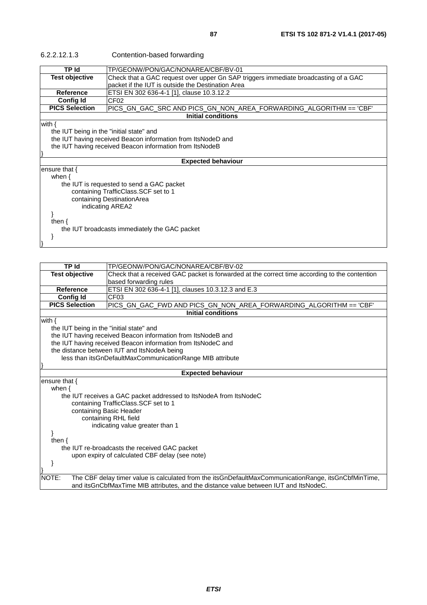| 6.2.2.12.1.3          | Contention-based forwarding                                                                                                              |
|-----------------------|------------------------------------------------------------------------------------------------------------------------------------------|
| TP Id                 | TP/GEONW/PON/GAC/NONAREA/CBF/BV-01                                                                                                       |
| <b>Test objective</b> | Check that a GAC request over upper Gn SAP triggers immediate broadcasting of a GAC<br>packet if the IUT is outside the Destination Area |
| <b>Reference</b>      | ETSI EN 302 636-4-1 [1], clause 10.3.12.2                                                                                                |
| <b>Config Id</b>      | CF <sub>02</sub>                                                                                                                         |
| <b>PICS Selection</b> |                                                                                                                                          |
| Initial conditions    |                                                                                                                                          |
| with {                |                                                                                                                                          |
|                       | the IUT being in the "initial state" and                                                                                                 |

the IUT being in the "initial state" and

the IUT having received Beacon information from ItsNodeD and

the IUT having received Beacon information from ItsNodeB

#### **Expected behaviour**

ensure that { when {

}

 the IUT is requested to send a GAC packet containing TrafficClass.SCF set to 1 containing DestinationArea indicating AREA2

then {

the IUT broadcasts immediately the GAC packet

}

}

| <b>TP Id</b>                                   | TP/GEONW/PON/GAC/NONAREA/CBF/BV-02                                                                   |  |
|------------------------------------------------|------------------------------------------------------------------------------------------------------|--|
| <b>Test objective</b>                          | Check that a received GAC packet is forwarded at the correct time according to the contention        |  |
|                                                | based forwarding rules                                                                               |  |
| <b>Reference</b>                               | ETSI EN 302 636-4-1 [1], clauses 10.3.12.3 and E.3                                                   |  |
| <b>Config Id</b>                               | CF <sub>03</sub>                                                                                     |  |
| <b>PICS Selection</b>                          | PICS_GN_GAC_FWD AND PICS_GN_NON_AREA_FORWARDING_ALGORITHM == 'CBF'                                   |  |
|                                                | <b>Initial conditions</b>                                                                            |  |
| with $\{$                                      |                                                                                                      |  |
| the IUT being in the "initial state" and       |                                                                                                      |  |
|                                                | the IUT having received Beacon information from ItsNodeB and                                         |  |
|                                                | the IUT having received Beacon information from ItsNodeC and                                         |  |
|                                                | the distance between IUT and ItsNodeA being                                                          |  |
|                                                | less than itsGnDefaultMaxCommunicationRange MIB attribute                                            |  |
|                                                |                                                                                                      |  |
|                                                | <b>Expected behaviour</b>                                                                            |  |
| ensure that {                                  |                                                                                                      |  |
| when $\{$                                      |                                                                                                      |  |
|                                                | the IUT receives a GAC packet addressed to ItsNodeA from ItsNodeC                                    |  |
|                                                | containing TrafficClass.SCF set to 1                                                                 |  |
|                                                | containing Basic Header                                                                              |  |
|                                                | containing RHL field                                                                                 |  |
|                                                | indicating value greater than 1                                                                      |  |
|                                                |                                                                                                      |  |
| then $\{$                                      |                                                                                                      |  |
|                                                | the IUT re-broadcasts the received GAC packet                                                        |  |
| upon expiry of calculated CBF delay (see note) |                                                                                                      |  |
| }                                              |                                                                                                      |  |
|                                                |                                                                                                      |  |
| NOTE:                                          | The CBF delay timer value is calculated from the itsGnDefaultMaxCommunicationRange, itsGnCbfMinTime, |  |
|                                                | and itsGnCbfMaxTime MIB attributes, and the distance value between IUT and ItsNodeC.                 |  |
|                                                |                                                                                                      |  |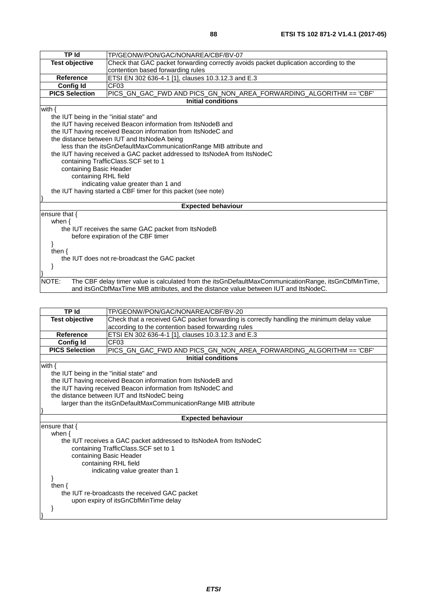| <b>TP Id</b>                                                             | TP/GEONW/PON/GAC/NONAREA/CBF/BV-07                                                                   |  |
|--------------------------------------------------------------------------|------------------------------------------------------------------------------------------------------|--|
| <b>Test objective</b>                                                    | Check that GAC packet forwarding correctly avoids packet duplication according to the                |  |
|                                                                          | contention based forwarding rules                                                                    |  |
| <b>Reference</b>                                                         | ETSI EN 302 636-4-1 [1], clauses 10.3.12.3 and E.3                                                   |  |
| <b>Config Id</b>                                                         | CF <sub>03</sub>                                                                                     |  |
| <b>PICS Selection</b>                                                    | PICS_GN_GAC_FWD AND PICS_GN_NON_AREA_FORWARDING_ALGORITHM == 'CBF'                                   |  |
|                                                                          | <b>Initial conditions</b>                                                                            |  |
| with $\{$                                                                |                                                                                                      |  |
| the IUT being in the "initial state" and                                 |                                                                                                      |  |
|                                                                          | the IUT having received Beacon information from ItsNodeB and                                         |  |
|                                                                          | the IUT having received Beacon information from ItsNodeC and                                         |  |
|                                                                          | the distance between IUT and ItsNodeA being                                                          |  |
| less than the itsGnDefaultMaxCommunicationRange MIB attribute and        |                                                                                                      |  |
| the IUT having received a GAC packet addressed to ItsNodeA from ItsNodeC |                                                                                                      |  |
|                                                                          | containing TrafficClass. SCF set to 1                                                                |  |
|                                                                          | containing Basic Header                                                                              |  |
|                                                                          | containing RHL field                                                                                 |  |
| indicating value greater than 1 and                                      |                                                                                                      |  |
|                                                                          | the IUT having started a CBF timer for this packet (see note)                                        |  |
|                                                                          |                                                                                                      |  |
|                                                                          | <b>Expected behaviour</b>                                                                            |  |
| ensure that $\{$                                                         |                                                                                                      |  |
| when $\{$                                                                |                                                                                                      |  |
|                                                                          | the IUT receives the same GAC packet from ItsNodeB                                                   |  |
|                                                                          | before expiration of the CBF timer                                                                   |  |
|                                                                          |                                                                                                      |  |
| then $\{$                                                                |                                                                                                      |  |
| the IUT does not re-broadcast the GAC packet                             |                                                                                                      |  |
|                                                                          |                                                                                                      |  |
|                                                                          |                                                                                                      |  |
| NOTE:                                                                    | The CBF delay timer value is calculated from the itsGnDefaultMaxCommunicationRange, itsGnCbfMinTime, |  |
|                                                                          | and itsGnCbfMaxTime MIB attributes, and the distance value between IUT and ItsNodeC.                 |  |

| <b>TP Id</b>                                                    | TP/GEONW/PON/GAC/NONAREA/CBF/BV-20                                                        |
|-----------------------------------------------------------------|-------------------------------------------------------------------------------------------|
| <b>Test objective</b>                                           | Check that a received GAC packet forwarding is correctly handling the minimum delay value |
|                                                                 | according to the contention based forwarding rules                                        |
| <b>Reference</b>                                                | ETSI EN 302 636-4-1 [1], clauses 10.3.12.3 and E.3                                        |
| <b>Config Id</b>                                                | CF <sub>03</sub>                                                                          |
| <b>PICS Selection</b>                                           | PICS_GN_GAC_FWD AND PICS_GN_NON_AREA_FORWARDING_ALGORITHM == 'CBF'                        |
|                                                                 | Initial conditions                                                                        |
| with $\{$                                                       |                                                                                           |
| the IUT being in the "initial state" and                        |                                                                                           |
|                                                                 | the IUT having received Beacon information from ItsNodeB and                              |
|                                                                 | the IUT having received Beacon information from ItsNodeC and                              |
|                                                                 | the distance between IUT and ItsNodeC being                                               |
| larger than the itsGnDefaultMaxCommunicationRange MIB attribute |                                                                                           |
|                                                                 |                                                                                           |
|                                                                 | <b>Expected behaviour</b>                                                                 |
| ensure that $\{$                                                |                                                                                           |
| when $\{$                                                       |                                                                                           |
|                                                                 | the IUT receives a GAC packet addressed to ItsNodeA from ItsNodeC                         |
| containing TrafficClass.SCF set to 1                            |                                                                                           |
| containing Basic Header                                         |                                                                                           |
| containing RHL field                                            |                                                                                           |
|                                                                 | indicating value greater than 1                                                           |
|                                                                 |                                                                                           |
| then $\{$                                                       |                                                                                           |
| the IUT re-broadcasts the received GAC packet                   |                                                                                           |
|                                                                 | upon expiry of itsGnCbfMinTime delay                                                      |
|                                                                 |                                                                                           |
|                                                                 |                                                                                           |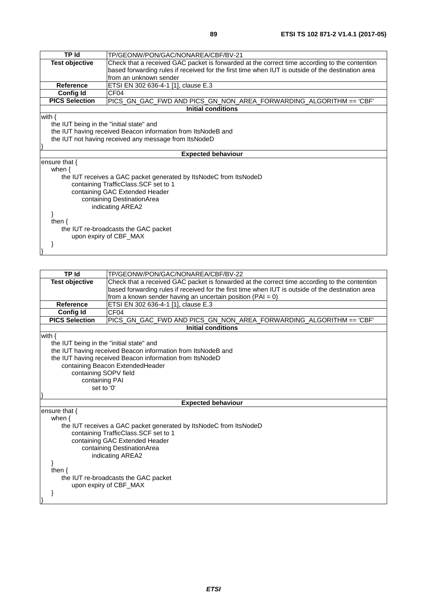| <b>TP Id</b>                             | TP/GEONW/PON/GAC/NONAREA/CBF/BV-21                                                                |  |
|------------------------------------------|---------------------------------------------------------------------------------------------------|--|
| <b>Test objective</b>                    | Check that a received GAC packet is forwarded at the correct time according to the contention     |  |
|                                          | based forwarding rules if received for the first time when IUT is outside of the destination area |  |
|                                          | from an unknown sender                                                                            |  |
| <b>Reference</b>                         | ETSI EN 302 636-4-1 [1], clause E.3                                                               |  |
| <b>Config Id</b>                         | CF <sub>04</sub>                                                                                  |  |
| <b>PICS Selection</b>                    | PICS_GN_GAC_FWD AND PICS_GN_NON_AREA_FORWARDING_ALGORITHM == 'CBF'                                |  |
|                                          | Initial conditions                                                                                |  |
| with $\{$                                |                                                                                                   |  |
| the IUT being in the "initial state" and |                                                                                                   |  |
|                                          | the IUT having received Beacon information from ItsNodeB and                                      |  |
|                                          | the IUT not having received any message from ItsNodeD                                             |  |
|                                          |                                                                                                   |  |
|                                          | <b>Expected behaviour</b>                                                                         |  |
| ensure that $\{$                         |                                                                                                   |  |
| when $\{$                                |                                                                                                   |  |
|                                          | the IUT receives a GAC packet generated by ItsNodeC from ItsNodeD                                 |  |
| containing TrafficClass.SCF set to 1     |                                                                                                   |  |
| containing GAC Extended Header           |                                                                                                   |  |
| containing DestinationArea               |                                                                                                   |  |
| indicating AREA2                         |                                                                                                   |  |
|                                          |                                                                                                   |  |
| then $\{$                                |                                                                                                   |  |
| the IUT re-broadcasts the GAC packet     |                                                                                                   |  |
|                                          | upon expiry of CBF_MAX                                                                            |  |
|                                          |                                                                                                   |  |
|                                          |                                                                                                   |  |

| <b>TP</b> Id                             | TP/GEONW/PON/GAC/NONAREA/CBF/BV-22                                                                |
|------------------------------------------|---------------------------------------------------------------------------------------------------|
| <b>Test objective</b>                    | Check that a received GAC packet is forwarded at the correct time according to the contention     |
|                                          | based forwarding rules if received for the first time when IUT is outside of the destination area |
|                                          | from a known sender having an uncertain position ( $PAI = 0$ )                                    |
| Reference                                | ETSI EN 302 636-4-1 [1], clause E.3                                                               |
| <b>Config Id</b>                         | CF <sub>04</sub>                                                                                  |
| <b>PICS Selection</b>                    | PICS_GN_GAC_FWD AND PICS_GN_NON_AREA_FORWARDING_ALGORITHM == 'CBF'                                |
|                                          | <b>Initial conditions</b>                                                                         |
| with $\{$                                |                                                                                                   |
| the IUT being in the "initial state" and |                                                                                                   |
|                                          | the IUT having received Beacon information from ItsNodeB and                                      |
|                                          | the IUT having received Beacon information from ItsNodeD                                          |
|                                          | containing Beacon ExtendedHeader                                                                  |
| containing SOPV field                    |                                                                                                   |
| containing PAI                           |                                                                                                   |
| set to '0'                               |                                                                                                   |
|                                          |                                                                                                   |
|                                          | <b>Expected behaviour</b>                                                                         |
| ensure that {                            |                                                                                                   |
| when $\{$                                |                                                                                                   |
|                                          | the IUT receives a GAC packet generated by ItsNodeC from ItsNodeD                                 |
| containing TrafficClass.SCF set to 1     |                                                                                                   |
| containing GAC Extended Header           |                                                                                                   |
| containing DestinationArea               |                                                                                                   |
|                                          | indicating AREA2                                                                                  |
|                                          |                                                                                                   |
| then $\{$                                |                                                                                                   |
| the IUT re-broadcasts the GAC packet     |                                                                                                   |
|                                          | upon expiry of CBF MAX                                                                            |
|                                          |                                                                                                   |
|                                          |                                                                                                   |
|                                          |                                                                                                   |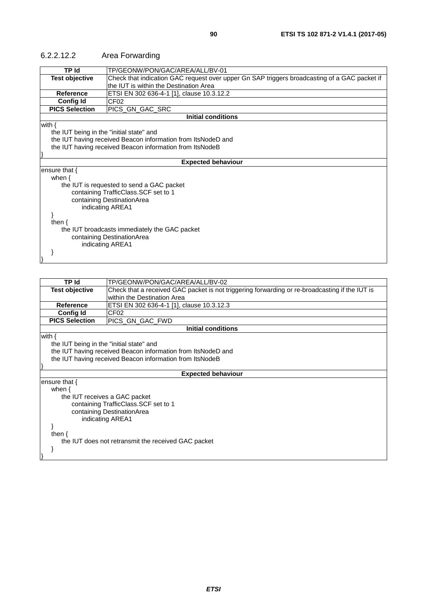| TP/GEONW/PON/GAC/AREA/ALL/BV-01                                                              |
|----------------------------------------------------------------------------------------------|
|                                                                                              |
| Check that indication GAC request over upper Gn SAP triggers broadcasting of a GAC packet if |
| the IUT is within the Destination Area                                                       |
| ETSI EN 302 636-4-1 [1], clause 10.3.12.2                                                    |
|                                                                                              |
|                                                                                              |
| <b>Initial conditions</b>                                                                    |
|                                                                                              |
|                                                                                              |
| the IUT having received Beacon information from ItsNodeD and                                 |
| the IUT having received Beacon information from ItsNodeB                                     |
|                                                                                              |
| <b>Expected behaviour</b>                                                                    |
|                                                                                              |
|                                                                                              |
|                                                                                              |
|                                                                                              |
|                                                                                              |
|                                                                                              |
|                                                                                              |
|                                                                                              |
|                                                                                              |
|                                                                                              |
|                                                                                              |
|                                                                                              |
|                                                                                              |

#### 6.2.2.12.2 Area Forwarding

| <b>TP Id</b>                             | TP/GEONW/PON/GAC/AREA/ALL/BV-02                                                                |  |
|------------------------------------------|------------------------------------------------------------------------------------------------|--|
| <b>Test objective</b>                    | Check that a received GAC packet is not triggering forwarding or re-broadcasting if the IUT is |  |
|                                          | within the Destination Area                                                                    |  |
| <b>Reference</b>                         | ETSI EN 302 636-4-1 [1], clause 10.3.12.3                                                      |  |
| <b>Config Id</b>                         | CF <sub>02</sub>                                                                               |  |
| <b>PICS Selection</b>                    | PICS GN GAC FWD                                                                                |  |
|                                          | Initial conditions                                                                             |  |
| with $\{$                                |                                                                                                |  |
| the IUT being in the "initial state" and |                                                                                                |  |
|                                          | the IUT having received Beacon information from ItsNodeD and                                   |  |
|                                          | the IUT having received Beacon information from ItsNodeB                                       |  |
|                                          |                                                                                                |  |
|                                          | <b>Expected behaviour</b>                                                                      |  |
| ensure that $\{$                         |                                                                                                |  |
| when $\{$                                |                                                                                                |  |
|                                          | the IUT receives a GAC packet                                                                  |  |
|                                          | containing TrafficClass.SCF set to 1                                                           |  |
| containing DestinationArea               |                                                                                                |  |
|                                          | indicating AREA1                                                                               |  |
|                                          |                                                                                                |  |
| then $\{$                                |                                                                                                |  |
|                                          | the IUT does not retransmit the received GAC packet                                            |  |
|                                          |                                                                                                |  |
|                                          |                                                                                                |  |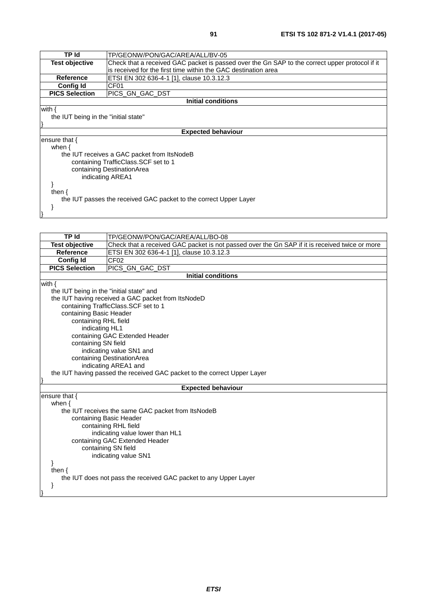| TP Id                                                             | TP/GEONW/PON/GAC/AREA/ALL/BV-05                                                                |  |  |  |
|-------------------------------------------------------------------|------------------------------------------------------------------------------------------------|--|--|--|
| Test objective                                                    | Check that a received GAC packet is passed over the Gn SAP to the correct upper protocol if it |  |  |  |
|                                                                   | is received for the first time within the GAC destination area                                 |  |  |  |
| <b>Reference</b>                                                  | ETSI EN 302 636-4-1 [1], clause 10.3.12.3                                                      |  |  |  |
| <b>Config Id</b>                                                  | CF <sub>01</sub>                                                                               |  |  |  |
| <b>PICS Selection</b>                                             | PICS GN GAC DST                                                                                |  |  |  |
|                                                                   | Initial conditions                                                                             |  |  |  |
| with {                                                            |                                                                                                |  |  |  |
| the IUT being in the "initial state"                              |                                                                                                |  |  |  |
|                                                                   |                                                                                                |  |  |  |
| <b>Expected behaviour</b>                                         |                                                                                                |  |  |  |
| ensure that {                                                     |                                                                                                |  |  |  |
| when $\{$                                                         |                                                                                                |  |  |  |
|                                                                   | the IUT receives a GAC packet from ItsNodeB                                                    |  |  |  |
|                                                                   | containing TrafficClass. SCF set to 1                                                          |  |  |  |
| containing DestinationArea                                        |                                                                                                |  |  |  |
| indicating AREA1                                                  |                                                                                                |  |  |  |
|                                                                   |                                                                                                |  |  |  |
| then $\{$                                                         |                                                                                                |  |  |  |
| the IUT passes the received GAC packet to the correct Upper Layer |                                                                                                |  |  |  |
|                                                                   |                                                                                                |  |  |  |
|                                                                   |                                                                                                |  |  |  |

| <b>TP Id</b>            | TP/GEONW/PON/GAC/AREA/ALL/BO-08                                                                |  |  |  |
|-------------------------|------------------------------------------------------------------------------------------------|--|--|--|
| <b>Test objective</b>   | Check that a received GAC packet is not passed over the Gn SAP if it is received twice or more |  |  |  |
| <b>Reference</b>        | ETSI EN 302 636-4-1 [1], clause 10.3.12.3                                                      |  |  |  |
| Config Id               | CF <sub>02</sub>                                                                               |  |  |  |
| <b>PICS Selection</b>   | PICS_GN_GAC_DST                                                                                |  |  |  |
|                         | <b>Initial conditions</b>                                                                      |  |  |  |
| with $\{$               |                                                                                                |  |  |  |
|                         | the IUT being in the "initial state" and                                                       |  |  |  |
|                         | the IUT having received a GAC packet from ItsNodeD                                             |  |  |  |
|                         | containing TrafficClass.SCF set to 1                                                           |  |  |  |
| containing Basic Header |                                                                                                |  |  |  |
| containing RHL field    |                                                                                                |  |  |  |
| indicating HL1          |                                                                                                |  |  |  |
|                         | containing GAC Extended Header                                                                 |  |  |  |
| containing SN field     |                                                                                                |  |  |  |
|                         | indicating value SN1 and                                                                       |  |  |  |
|                         | containing DestinationArea                                                                     |  |  |  |
|                         | indicating AREA1 and                                                                           |  |  |  |
|                         | the IUT having passed the received GAC packet to the correct Upper Layer                       |  |  |  |
|                         | <b>Expected behaviour</b>                                                                      |  |  |  |
| ensure that {           |                                                                                                |  |  |  |
| when $\{$               |                                                                                                |  |  |  |
|                         | the IUT receives the same GAC packet from ItsNodeB                                             |  |  |  |
|                         | containing Basic Header                                                                        |  |  |  |
|                         | containing RHL field                                                                           |  |  |  |
|                         | indicating value lower than HL1                                                                |  |  |  |
|                         | containing GAC Extended Header                                                                 |  |  |  |
|                         | containing SN field                                                                            |  |  |  |
|                         | indicating value SN1                                                                           |  |  |  |
| ł                       |                                                                                                |  |  |  |
| then $\{$               |                                                                                                |  |  |  |
|                         | the IUT does not pass the received GAC packet to any Upper Layer                               |  |  |  |
|                         |                                                                                                |  |  |  |
|                         |                                                                                                |  |  |  |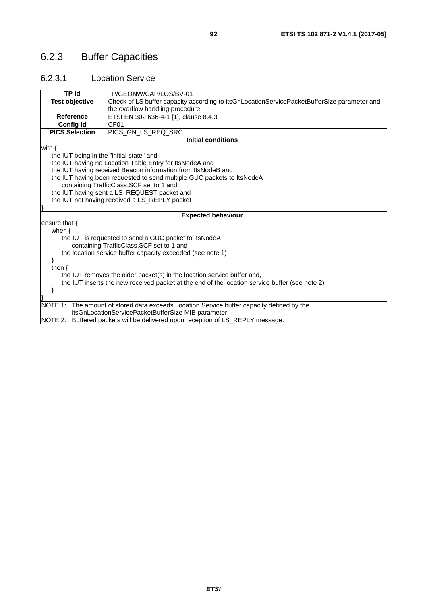## 6.2.3 Buffer Capacities

### 6.2.3.1 Location Service

| <b>TP Id</b>                             | TP/GEONW/CAP/LOS/BV-01                                                                                                                   |  |  |  |
|------------------------------------------|------------------------------------------------------------------------------------------------------------------------------------------|--|--|--|
| <b>Test objective</b>                    | Check of LS buffer capacity according to itsGnLocationServicePacketBufferSize parameter and                                              |  |  |  |
|                                          | the overflow handling procedure                                                                                                          |  |  |  |
| <b>Reference</b>                         | ETSI EN 302 636-4-1 [1], clause 8.4.3                                                                                                    |  |  |  |
| <b>Config Id</b>                         | CF <sub>01</sub>                                                                                                                         |  |  |  |
| <b>PICS Selection</b>                    | PICS_GN_LS_REQ_SRC                                                                                                                       |  |  |  |
|                                          | <b>Initial conditions</b>                                                                                                                |  |  |  |
| with $\{$                                |                                                                                                                                          |  |  |  |
| the IUT being in the "initial state" and |                                                                                                                                          |  |  |  |
|                                          | the IUT having no Location Table Entry for ItsNodeA and                                                                                  |  |  |  |
|                                          | the IUT having received Beacon information from ItsNodeB and                                                                             |  |  |  |
|                                          | the IUT having been requested to send multiple GUC packets to ItsNodeA                                                                   |  |  |  |
|                                          | containing TrafficClass.SCF set to 1 and                                                                                                 |  |  |  |
|                                          | the IUT having sent a LS_REQUEST packet and                                                                                              |  |  |  |
|                                          | the IUT not having received a LS_REPLY packet                                                                                            |  |  |  |
|                                          |                                                                                                                                          |  |  |  |
|                                          | <b>Expected behaviour</b>                                                                                                                |  |  |  |
| ensure that {                            |                                                                                                                                          |  |  |  |
| when $\{$                                |                                                                                                                                          |  |  |  |
|                                          | the IUT is requested to send a GUC packet to ItsNodeA                                                                                    |  |  |  |
|                                          | containing TrafficClass.SCF set to 1 and                                                                                                 |  |  |  |
|                                          | the location service buffer capacity exceeded (see note 1)                                                                               |  |  |  |
| }                                        |                                                                                                                                          |  |  |  |
| then $\{$                                |                                                                                                                                          |  |  |  |
|                                          | the IUT removes the older packet(s) in the location service buffer and,                                                                  |  |  |  |
|                                          | the IUT inserts the new received packet at the end of the location service buffer (see note 2)                                           |  |  |  |
|                                          |                                                                                                                                          |  |  |  |
|                                          |                                                                                                                                          |  |  |  |
| INOTE 1:                                 | The amount of stored data exceeds Location Service buffer capacity defined by the<br>itsGnLocationServicePacketBufferSize MIB parameter. |  |  |  |
|                                          |                                                                                                                                          |  |  |  |
|                                          | NOTE 2: Buffered packets will be delivered upon reception of LS_REPLY message.                                                           |  |  |  |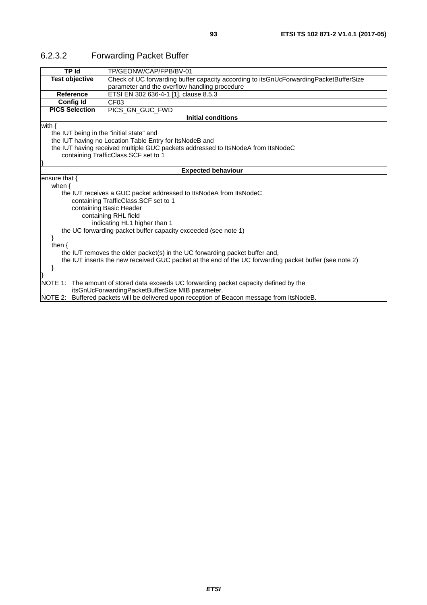| TP Id                                                                            | TP/GEONW/CAP/FPB/BV-01                                                                                 |  |  |  |
|----------------------------------------------------------------------------------|--------------------------------------------------------------------------------------------------------|--|--|--|
| <b>Test objective</b>                                                            | Check of UC forwarding buffer capacity according to itsGnUcForwardingPacketBufferSize                  |  |  |  |
|                                                                                  | parameter and the overflow handling procedure                                                          |  |  |  |
| Reference                                                                        | ETSI EN 302 636-4-1 [1], clause 8.5.3                                                                  |  |  |  |
| <b>Config Id</b>                                                                 | CF <sub>03</sub>                                                                                       |  |  |  |
| <b>PICS Selection</b>                                                            | PICS_GN_GUC_FWD                                                                                        |  |  |  |
|                                                                                  | <b>Initial conditions</b>                                                                              |  |  |  |
| with $\{$                                                                        |                                                                                                        |  |  |  |
| the IUT being in the "initial state" and                                         |                                                                                                        |  |  |  |
| the IUT having no Location Table Entry for ItsNodeB and                          |                                                                                                        |  |  |  |
| the IUT having received multiple GUC packets addressed to ItsNodeA from ItsNodeC |                                                                                                        |  |  |  |
| containing TrafficClass.SCF set to 1                                             |                                                                                                        |  |  |  |
|                                                                                  |                                                                                                        |  |  |  |
| <b>Expected behaviour</b>                                                        |                                                                                                        |  |  |  |
| ensure that {                                                                    |                                                                                                        |  |  |  |
| when $\{$                                                                        |                                                                                                        |  |  |  |
|                                                                                  | the IUT receives a GUC packet addressed to ItsNodeA from ItsNodeC                                      |  |  |  |
|                                                                                  | containing TrafficClass.SCF set to 1                                                                   |  |  |  |
|                                                                                  | containing Basic Header                                                                                |  |  |  |
| containing RHL field                                                             |                                                                                                        |  |  |  |
|                                                                                  | indicating HL1 higher than 1                                                                           |  |  |  |
|                                                                                  | the UC forwarding packet buffer capacity exceeded (see note 1)                                         |  |  |  |
|                                                                                  |                                                                                                        |  |  |  |
| then $\{$                                                                        |                                                                                                        |  |  |  |
|                                                                                  | the IUT removes the older packet(s) in the UC forwarding packet buffer and,                            |  |  |  |
|                                                                                  | the IUT inserts the new received GUC packet at the end of the UC forwarding packet buffer (see note 2) |  |  |  |
|                                                                                  |                                                                                                        |  |  |  |
|                                                                                  |                                                                                                        |  |  |  |
|                                                                                  | NOTE 1: The amount of stored data exceeds UC forwarding packet capacity defined by the                 |  |  |  |
|                                                                                  | itsGnUcForwardingPacketBufferSize MIB parameter.                                                       |  |  |  |
|                                                                                  | NOTE 2: Buffered packets will be delivered upon reception of Beacon message from ItsNodeB.             |  |  |  |

## 6.2.3.2 Forwarding Packet Buffer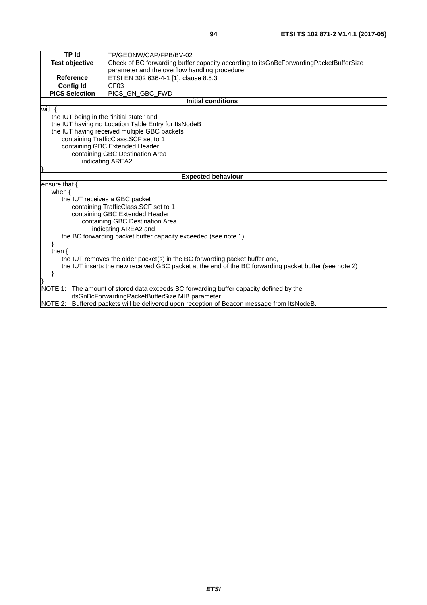| <b>TP Id</b>                                                                                                                               | TP/GEONW/CAP/FPB/BV-02                                                                     |  |  |  |
|--------------------------------------------------------------------------------------------------------------------------------------------|--------------------------------------------------------------------------------------------|--|--|--|
| <b>Test objective</b>                                                                                                                      | Check of BC forwarding buffer capacity according to itsGnBcForwardingPacketBufferSize      |  |  |  |
|                                                                                                                                            | parameter and the overflow handling procedure                                              |  |  |  |
| <b>Reference</b>                                                                                                                           | ETSI EN 302 636-4-1 [1], clause 8.5.3                                                      |  |  |  |
| <b>Config Id</b>                                                                                                                           | CF03                                                                                       |  |  |  |
| <b>PICS Selection</b>                                                                                                                      | PICS GN GBC FWD                                                                            |  |  |  |
|                                                                                                                                            | <b>Initial conditions</b>                                                                  |  |  |  |
| with $\{$                                                                                                                                  |                                                                                            |  |  |  |
| the IUT being in the "initial state" and                                                                                                   |                                                                                            |  |  |  |
|                                                                                                                                            | the IUT having no Location Table Entry for ItsNodeB                                        |  |  |  |
| the IUT having received multiple GBC packets                                                                                               |                                                                                            |  |  |  |
| containing TrafficClass.SCF set to 1                                                                                                       |                                                                                            |  |  |  |
| containing GBC Extended Header                                                                                                             |                                                                                            |  |  |  |
|                                                                                                                                            | containing GBC Destination Area                                                            |  |  |  |
|                                                                                                                                            | indicating AREA2                                                                           |  |  |  |
|                                                                                                                                            |                                                                                            |  |  |  |
|                                                                                                                                            | <b>Expected behaviour</b>                                                                  |  |  |  |
| ensure that $\{$                                                                                                                           |                                                                                            |  |  |  |
| when $\{$                                                                                                                                  |                                                                                            |  |  |  |
| the IUT receives a GBC packet                                                                                                              |                                                                                            |  |  |  |
|                                                                                                                                            | containing TrafficClass.SCF set to 1                                                       |  |  |  |
|                                                                                                                                            | containing GBC Extended Header                                                             |  |  |  |
|                                                                                                                                            | containing GBC Destination Area                                                            |  |  |  |
|                                                                                                                                            | indicating AREA2 and                                                                       |  |  |  |
|                                                                                                                                            | the BC forwarding packet buffer capacity exceeded (see note 1)                             |  |  |  |
|                                                                                                                                            |                                                                                            |  |  |  |
|                                                                                                                                            | then $\{$                                                                                  |  |  |  |
| the IUT removes the older packet(s) in the BC forwarding packet buffer and,                                                                |                                                                                            |  |  |  |
| the IUT inserts the new received GBC packet at the end of the BC forwarding packet buffer (see note 2)                                     |                                                                                            |  |  |  |
|                                                                                                                                            |                                                                                            |  |  |  |
|                                                                                                                                            |                                                                                            |  |  |  |
| NOTE 1: The amount of stored data exceeds BC forwarding buffer capacity defined by the<br>itsGnBcForwardingPacketBufferSize MIB parameter. |                                                                                            |  |  |  |
|                                                                                                                                            | NOTE 2: Buffered packets will be delivered upon reception of Beacon message from ItsNodeB. |  |  |  |
|                                                                                                                                            |                                                                                            |  |  |  |